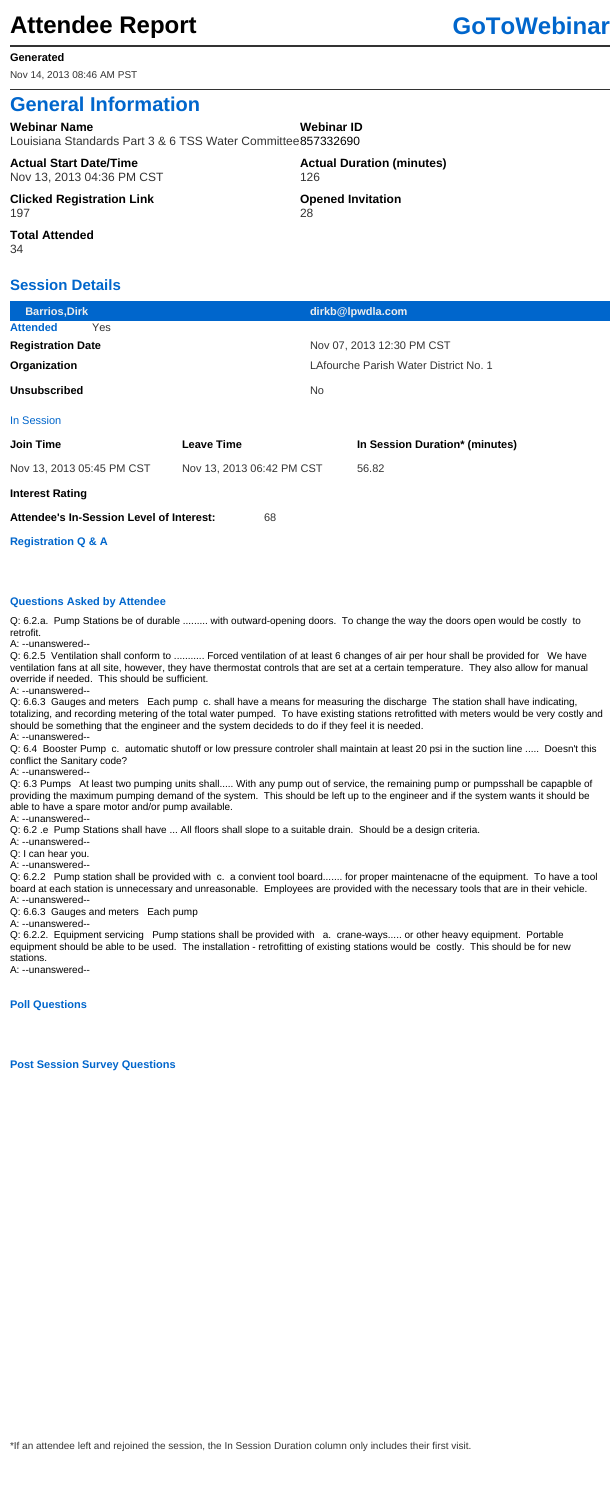Louisiana Standards Part 3 & 6 TSS Water Committee 857332690 **Webinar Name Webinar ID**

# **General Information**

34 **Total Attended**

Nov 13, 2013 04:36 PM CST **Actual Start Date/Time Actual Duration (minutes)**

197 **Clicked Registration Link**

126 28 **Opened Invitation**

Nov 14, 2013 08:46 AM PST

# **Attendee Report GoToWebinar**

#### **Generated**

## **Session Details**

| <b>Barrios, Dirk</b>                            |                           | dirkb@lpwdla.com                      |  |  |
|-------------------------------------------------|---------------------------|---------------------------------------|--|--|
| <b>Attended</b><br>Yes                          |                           |                                       |  |  |
| <b>Registration Date</b>                        |                           | Nov 07, 2013 12:30 PM CST             |  |  |
| Organization                                    |                           | LAfourche Parish Water District No. 1 |  |  |
| <b>Unsubscribed</b>                             |                           | No.                                   |  |  |
| <b>In Session</b>                               |                           |                                       |  |  |
| <b>Join Time</b>                                | <b>Leave Time</b>         | In Session Duration* (minutes)        |  |  |
| Nov 13, 2013 05:45 PM CST                       | Nov 13, 2013 06:42 PM CST | 56.82                                 |  |  |
| <b>Interest Rating</b>                          |                           |                                       |  |  |
| <b>Attendee's In-Session Level of Interest:</b> | 68                        |                                       |  |  |
| <b>Registration Q &amp; A</b>                   |                           |                                       |  |  |

#### **Questions Asked by Attendee**

Q: 6.2.a. Pump Stations be of durable ......... with outward-opening doors. To change the way the doors open would be costly to retrofit.

A: --unanswered--

Q: 6.2.5 Ventilation shall conform to ........... Forced ventilation of at least 6 changes of air per hour shall be provided for We have ventilation fans at all site, however, they have thermostat controls that are set at a certain temperature. They also allow for manual override if needed. This should be sufficient.

A: --unanswered--

Q: 6.6.3 Gauges and meters Each pump c. shall have a means for measuring the discharge The station shall have indicating, totalizing, and recording metering of the total water pumped. To have existing stations retrofitted with meters would be very costly and should be something that the engineer and the system decideds to do if they feel it is needed. A: --unanswered--

Q: 6.4 Booster Pump c. automatic shutoff or low pressure controler shall maintain at least 20 psi in the suction line ..... Doesn't this conflict the Sanitary code?

A: --unanswered--

Q: 6.3 Pumps At least two pumping units shall..... With any pump out of service, the remaining pump or pumpsshall be capapble of providing the maximum pumping demand of the system. This should be left up to the engineer and if the system wants it should be able to have a spare motor and/or pump available.

A: --unanswered--

Q: 6.2 .e Pump Stations shall have ... All floors shall slope to a suitable drain. Should be a design criteria.

A: --unanswered--

Q: I can hear you.

A: --unanswered--

Q: 6.2.2 Pump station shall be provided with c. a convient tool board....... for proper maintenacne of the equipment. To have a tool board at each station is unnecessary and unreasonable. Employees are provided with the necessary tools that are in their vehicle.

A: --unanswered--

Q: 6.6.3 Gauges and meters Each pump

A: --unanswered--

Q: 6.2.2. Equipment servicing Pump stations shall be provided with a. crane-ways..... or other heavy equipment. Portable equipment should be able to be used. The installation - retrofitting of existing stations would be costly. This should be for new stations.

A: --unanswered--

**Poll Questions**

**Post Session Survey Questions**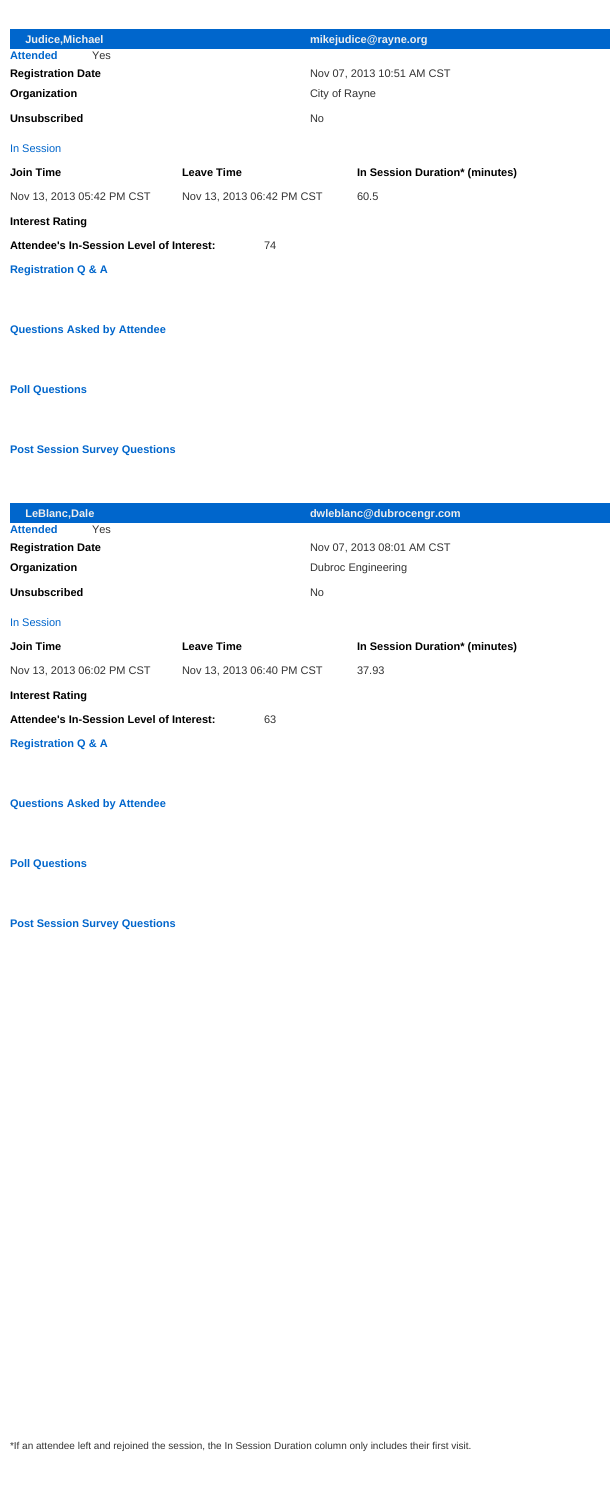| Judice, Michael                                 |                           | mikejudice@rayne.org           |
|-------------------------------------------------|---------------------------|--------------------------------|
| <b>Attended</b><br>Yes                          |                           |                                |
| <b>Registration Date</b>                        |                           | Nov 07, 2013 10:51 AM CST      |
| Organization                                    |                           | City of Rayne                  |
| <b>Unsubscribed</b>                             |                           | <b>No</b>                      |
| <b>In Session</b>                               |                           |                                |
| <b>Join Time</b>                                | <b>Leave Time</b>         | In Session Duration* (minutes) |
| Nov 13, 2013 05:42 PM CST                       | Nov 13, 2013 06:42 PM CST | 60.5                           |
| <b>Interest Rating</b>                          |                           |                                |
| <b>Attendee's In-Session Level of Interest:</b> | 74                        |                                |
| <b>Registration Q &amp; A</b>                   |                           |                                |
|                                                 |                           |                                |
| <b>Questions Asked by Attendee</b>              |                           |                                |
|                                                 |                           |                                |
|                                                 |                           |                                |
| <b>Poll Questions</b>                           |                           |                                |

| LeBlanc, Dale                                   |                           | dwleblanc@dubrocengr.com       |  |
|-------------------------------------------------|---------------------------|--------------------------------|--|
| Yes<br><b>Attended</b>                          |                           |                                |  |
| <b>Registration Date</b>                        |                           | Nov 07, 2013 08:01 AM CST      |  |
| Organization                                    |                           | <b>Dubroc Engineering</b>      |  |
| <b>Unsubscribed</b>                             | <b>No</b>                 |                                |  |
| <b>In Session</b>                               |                           |                                |  |
| <b>Join Time</b>                                | <b>Leave Time</b>         | In Session Duration* (minutes) |  |
| Nov 13, 2013 06:02 PM CST                       | Nov 13, 2013 06:40 PM CST | 37.93                          |  |
| <b>Interest Rating</b>                          |                           |                                |  |
| <b>Attendee's In-Session Level of Interest:</b> | 63                        |                                |  |
| <b>Registration Q &amp; A</b>                   |                           |                                |  |
|                                                 |                           |                                |  |
|                                                 |                           |                                |  |

## **Questions Asked by Attendee**

**Post Session Survey Questions**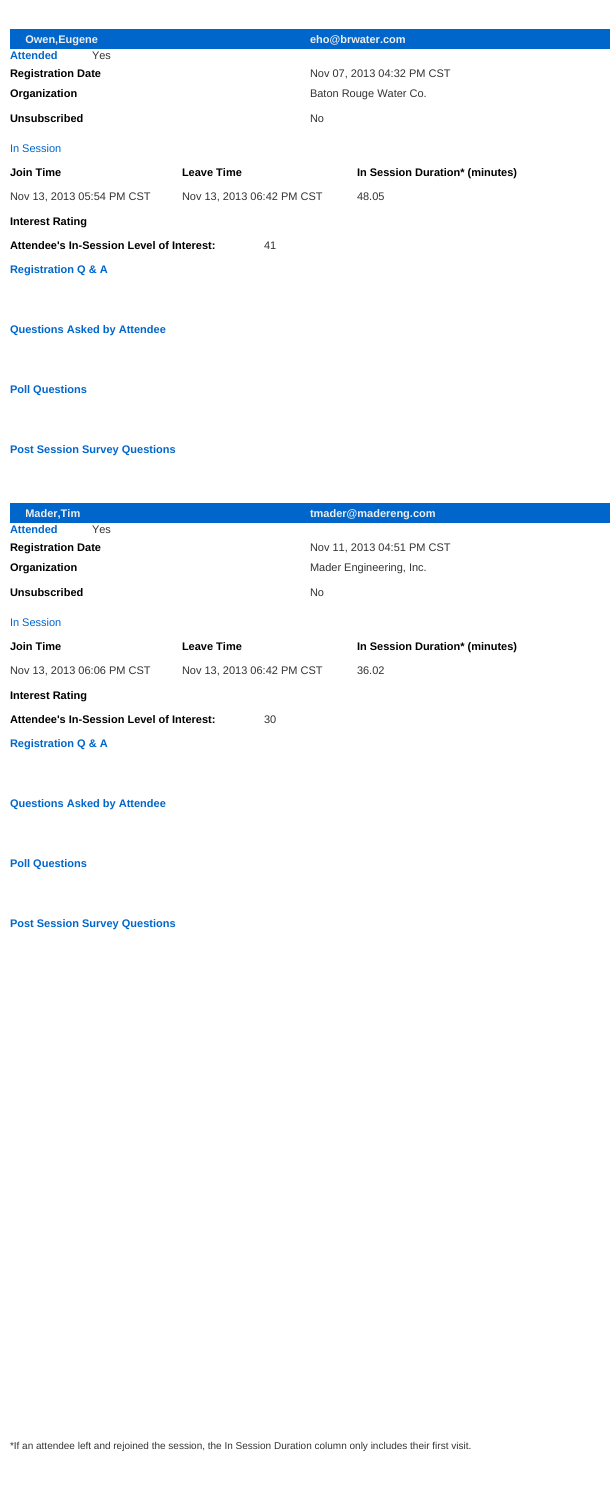| <b>Owen, Eugene</b>                             |                           | eho@brwater.com                |  |
|-------------------------------------------------|---------------------------|--------------------------------|--|
| <b>Attended</b><br>Yes                          |                           |                                |  |
| <b>Registration Date</b>                        |                           | Nov 07, 2013 04:32 PM CST      |  |
| Organization                                    |                           | Baton Rouge Water Co.          |  |
| <b>Unsubscribed</b>                             |                           | <b>No</b>                      |  |
| <b>In Session</b>                               |                           |                                |  |
| <b>Join Time</b>                                | <b>Leave Time</b>         | In Session Duration* (minutes) |  |
| Nov 13, 2013 05:54 PM CST                       | Nov 13, 2013 06:42 PM CST | 48.05                          |  |
| <b>Interest Rating</b>                          |                           |                                |  |
| <b>Attendee's In-Session Level of Interest:</b> | 41                        |                                |  |
| <b>Registration Q &amp; A</b>                   |                           |                                |  |
|                                                 |                           |                                |  |
| <b>Questions Asked by Attendee</b>              |                           |                                |  |
|                                                 |                           |                                |  |
|                                                 |                           |                                |  |
| <b>Poll Questions</b>                           |                           |                                |  |

| <b>Mader, Tim</b>                        |                           | tmader@madereng.com            |
|------------------------------------------|---------------------------|--------------------------------|
| <b>Attended</b><br>Yes                   |                           |                                |
| <b>Registration Date</b>                 |                           | Nov 11, 2013 04:51 PM CST      |
| Organization                             |                           | Mader Engineering, Inc.        |
| <b>Unsubscribed</b>                      | <b>No</b>                 |                                |
| In Session                               |                           |                                |
| <b>Join Time</b>                         | <b>Leave Time</b>         | In Session Duration* (minutes) |
| Nov 13, 2013 06:06 PM CST                | Nov 13, 2013 06:42 PM CST | 36.02                          |
| <b>Interest Rating</b>                   |                           |                                |
| Attendee's In-Session Level of Interest: | 30                        |                                |
| <b>Registration Q &amp; A</b>            |                           |                                |
|                                          |                           |                                |
| <b>Questions Asked by Attendee</b>       |                           |                                |
|                                          |                           |                                |

**Post Session Survey Questions**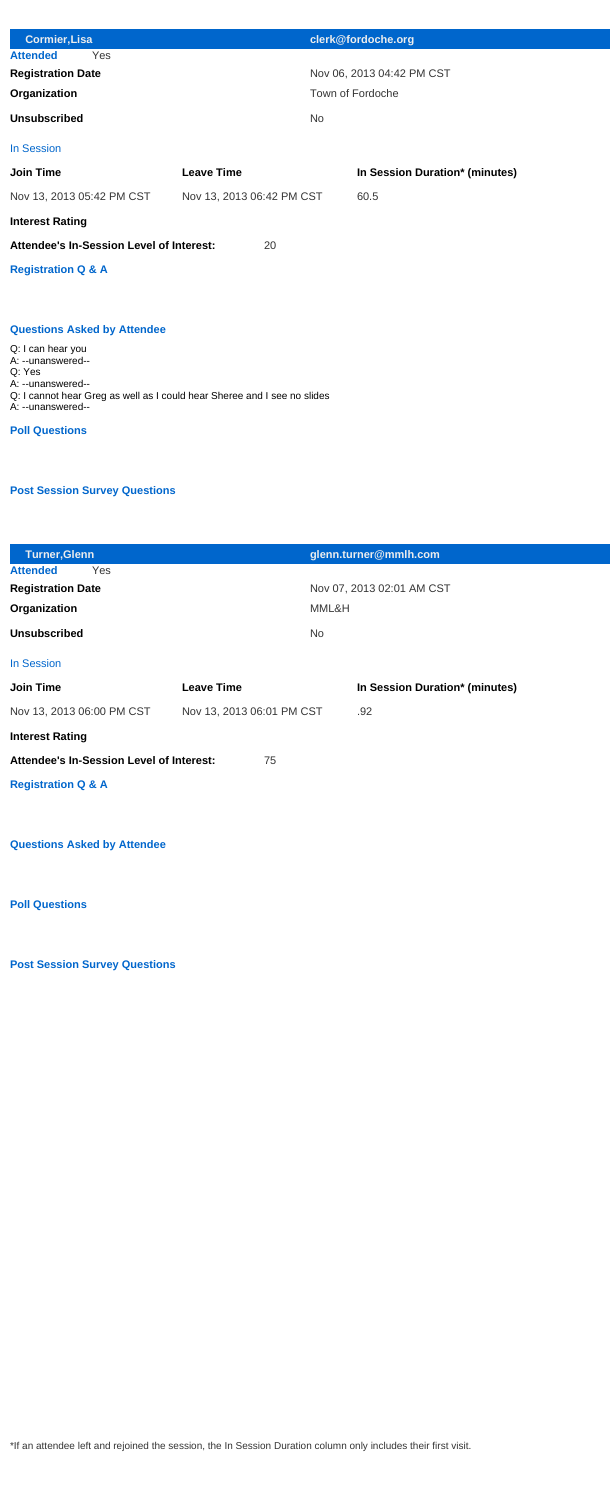| <b>Cormier, Lisa</b>                                    |                           | clerk@fordoche.org             |  |
|---------------------------------------------------------|---------------------------|--------------------------------|--|
| <b>Attended</b><br>Yes                                  |                           |                                |  |
| <b>Registration Date</b>                                |                           | Nov 06, 2013 04:42 PM CST      |  |
| Organization                                            |                           | Town of Fordoche               |  |
| <b>Unsubscribed</b>                                     |                           | <b>No</b>                      |  |
| <b>In Session</b>                                       |                           |                                |  |
| <b>Join Time</b>                                        | <b>Leave Time</b>         | In Session Duration* (minutes) |  |
| Nov 13, 2013 05:42 PM CST                               | Nov 13, 2013 06:42 PM CST | 60.5                           |  |
| <b>Interest Rating</b>                                  |                           |                                |  |
| Attendee's In-Session Level of Interest:                | 20                        |                                |  |
| <b>Registration Q &amp; A</b>                           |                           |                                |  |
|                                                         |                           |                                |  |
| <b>Questions Asked by Attendee</b>                      |                           |                                |  |
| Q: I can hear you<br>A: --unanswered--<br>$\sim$ $\sim$ |                           |                                |  |

Q: Yes A: --unanswered--

Q: I cannot hear Greg as well as I could hear Sheree and I see no slides A: --unanswered--

**Poll Questions**

#### **Post Session Survey Questions**

| <b>Turner, Glenn</b>                            |                           | glenn.turner@mmlh.com          |  |
|-------------------------------------------------|---------------------------|--------------------------------|--|
| <b>Attended</b><br>Yes                          |                           |                                |  |
| <b>Registration Date</b>                        |                           | Nov 07, 2013 02:01 AM CST      |  |
| Organization                                    |                           | MML&H                          |  |
| <b>Unsubscribed</b>                             |                           | N <sub>o</sub>                 |  |
| In Session                                      |                           |                                |  |
| <b>Join Time</b>                                | <b>Leave Time</b>         | In Session Duration* (minutes) |  |
| Nov 13, 2013 06:00 PM CST                       | Nov 13, 2013 06:01 PM CST | .92                            |  |
| <b>Interest Rating</b>                          |                           |                                |  |
| <b>Attendee's In-Session Level of Interest:</b> | 75                        |                                |  |
| <b>Registration Q &amp; A</b>                   |                           |                                |  |
|                                                 |                           |                                |  |

**Post Session Survey Questions**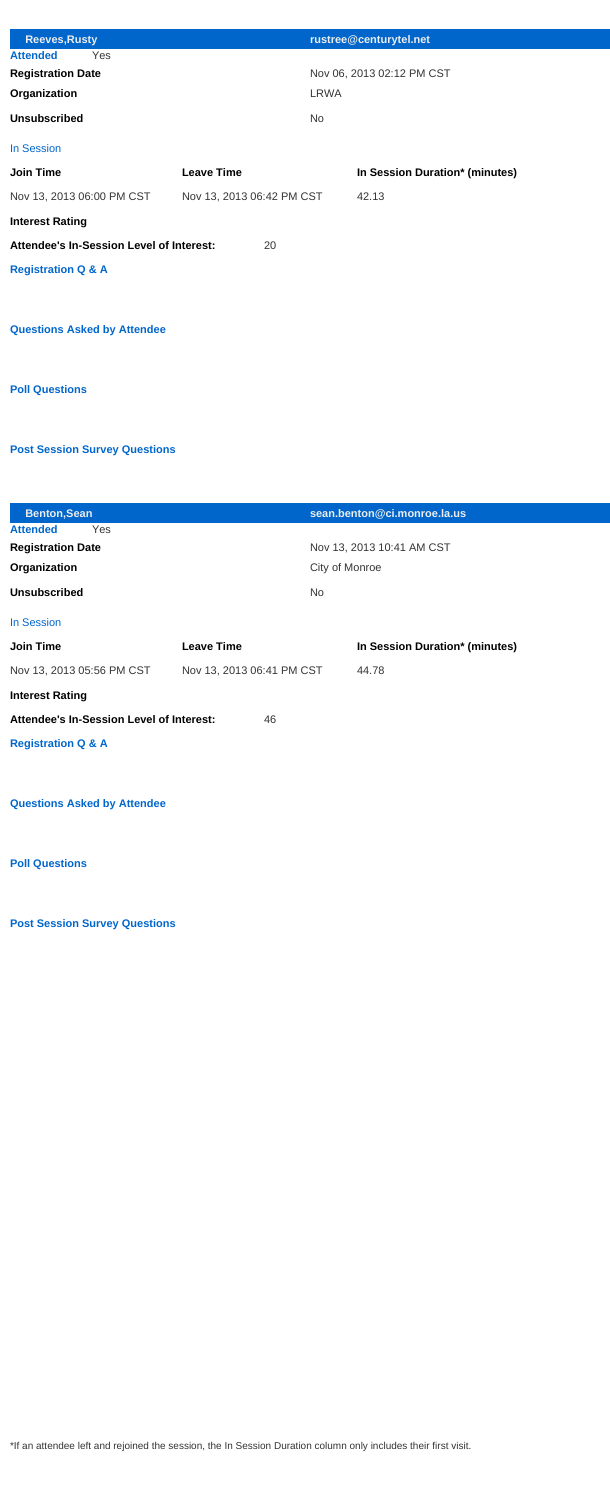| <b>Reeves, Rusty</b>                            |                           | rustree@centurytel.net         |
|-------------------------------------------------|---------------------------|--------------------------------|
| <b>Attended</b><br>Yes                          |                           |                                |
| <b>Registration Date</b>                        |                           | Nov 06, 2013 02:12 PM CST      |
| Organization                                    |                           | <b>LRWA</b>                    |
| <b>Unsubscribed</b>                             |                           | <b>No</b>                      |
| In Session                                      |                           |                                |
| <b>Join Time</b>                                | <b>Leave Time</b>         | In Session Duration* (minutes) |
| Nov 13, 2013 06:00 PM CST                       | Nov 13, 2013 06:42 PM CST | 42.13                          |
| <b>Interest Rating</b>                          |                           |                                |
| <b>Attendee's In-Session Level of Interest:</b> | 20                        |                                |
| <b>Registration Q &amp; A</b>                   |                           |                                |
|                                                 |                           |                                |
| <b>Questions Asked by Attendee</b>              |                           |                                |
|                                                 |                           |                                |
|                                                 |                           |                                |
| <b>Poll Questions</b>                           |                           |                                |

| <b>Benton, Sean</b>                             |                           | sean.benton@ci.monroe.la.us    |
|-------------------------------------------------|---------------------------|--------------------------------|
| <b>Attended</b><br>Yes                          |                           |                                |
| <b>Registration Date</b>                        |                           | Nov 13, 2013 10:41 AM CST      |
| Organization                                    |                           | City of Monroe                 |
| <b>Unsubscribed</b>                             | <b>No</b>                 |                                |
| <b>In Session</b>                               |                           |                                |
| <b>Join Time</b>                                | <b>Leave Time</b>         | In Session Duration* (minutes) |
| Nov 13, 2013 05:56 PM CST                       | Nov 13, 2013 06:41 PM CST | 44.78                          |
| <b>Interest Rating</b>                          |                           |                                |
| <b>Attendee's In-Session Level of Interest:</b> | 46                        |                                |
| <b>Registration Q &amp; A</b>                   |                           |                                |
|                                                 |                           |                                |
| <b>Questions Asked by Attendee</b>              |                           |                                |

**Post Session Survey Questions**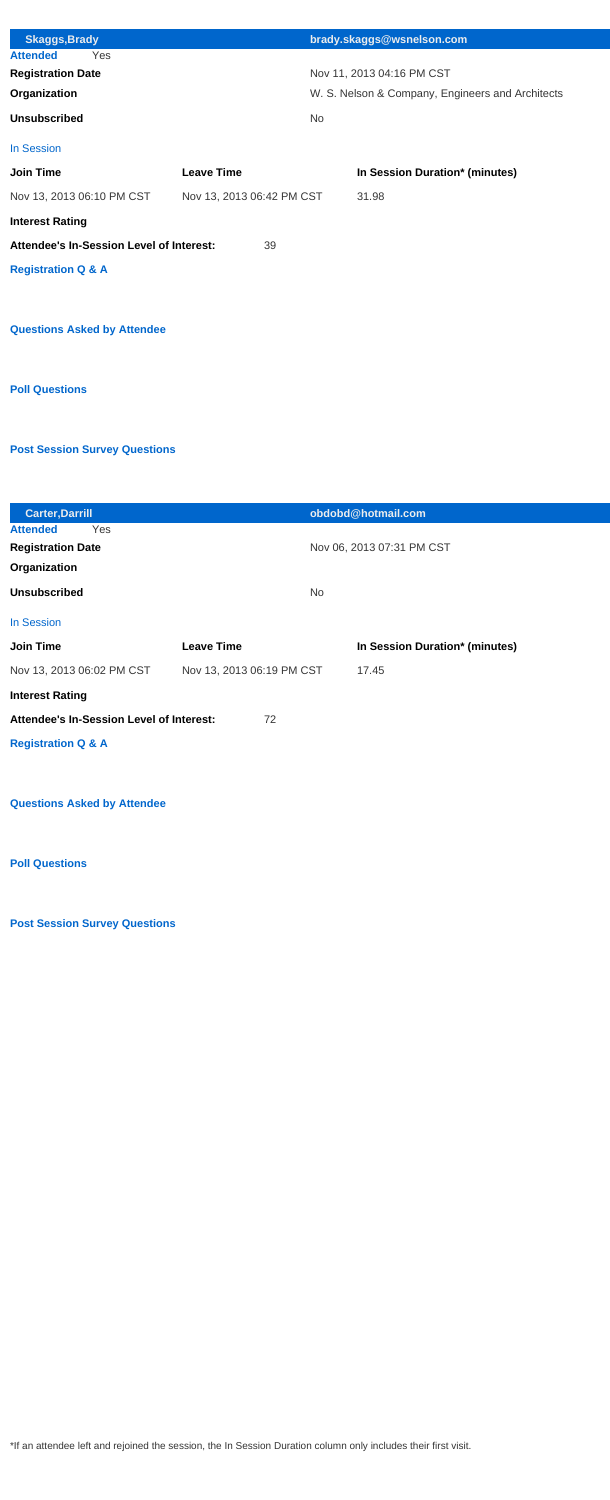| <b>Skaggs, Brady</b>                            |                           | brady.skaggs@wsnelson.com                        |
|-------------------------------------------------|---------------------------|--------------------------------------------------|
| <b>Attended</b><br>Yes                          |                           |                                                  |
| <b>Registration Date</b>                        |                           | Nov 11, 2013 04:16 PM CST                        |
| Organization                                    |                           | W. S. Nelson & Company, Engineers and Architects |
| <b>Unsubscribed</b>                             |                           | <b>No</b>                                        |
| <b>In Session</b>                               |                           |                                                  |
| <b>Join Time</b>                                | <b>Leave Time</b>         | In Session Duration* (minutes)                   |
| Nov 13, 2013 06:10 PM CST                       | Nov 13, 2013 06:42 PM CST | 31.98                                            |
| <b>Interest Rating</b>                          |                           |                                                  |
| <b>Attendee's In-Session Level of Interest:</b> | 39                        |                                                  |
| <b>Registration Q &amp; A</b>                   |                           |                                                  |
| <b>Questions Asked by Attendee</b>              |                           |                                                  |
|                                                 |                           |                                                  |
| <b>Poll Questions</b>                           |                           |                                                  |

| <b>Carter, Darrill</b>                             |                           | obdobd@hotmail.com             |
|----------------------------------------------------|---------------------------|--------------------------------|
| <b>Attended</b><br>Yes<br><b>Registration Date</b> |                           |                                |
| Organization                                       | Nov 06, 2013 07:31 PM CST |                                |
| <b>Unsubscribed</b>                                |                           | <b>No</b>                      |
| <b>In Session</b>                                  |                           |                                |
| <b>Join Time</b>                                   | <b>Leave Time</b>         | In Session Duration* (minutes) |
| Nov 13, 2013 06:02 PM CST                          | Nov 13, 2013 06:19 PM CST | 17.45                          |
| <b>Interest Rating</b>                             |                           |                                |
| Attendee's In-Session Level of Interest:           | 72                        |                                |
| <b>Registration Q &amp; A</b>                      |                           |                                |
|                                                    |                           |                                |
| <b>Questions Asked by Attendee</b>                 |                           |                                |

**Post Session Survey Questions**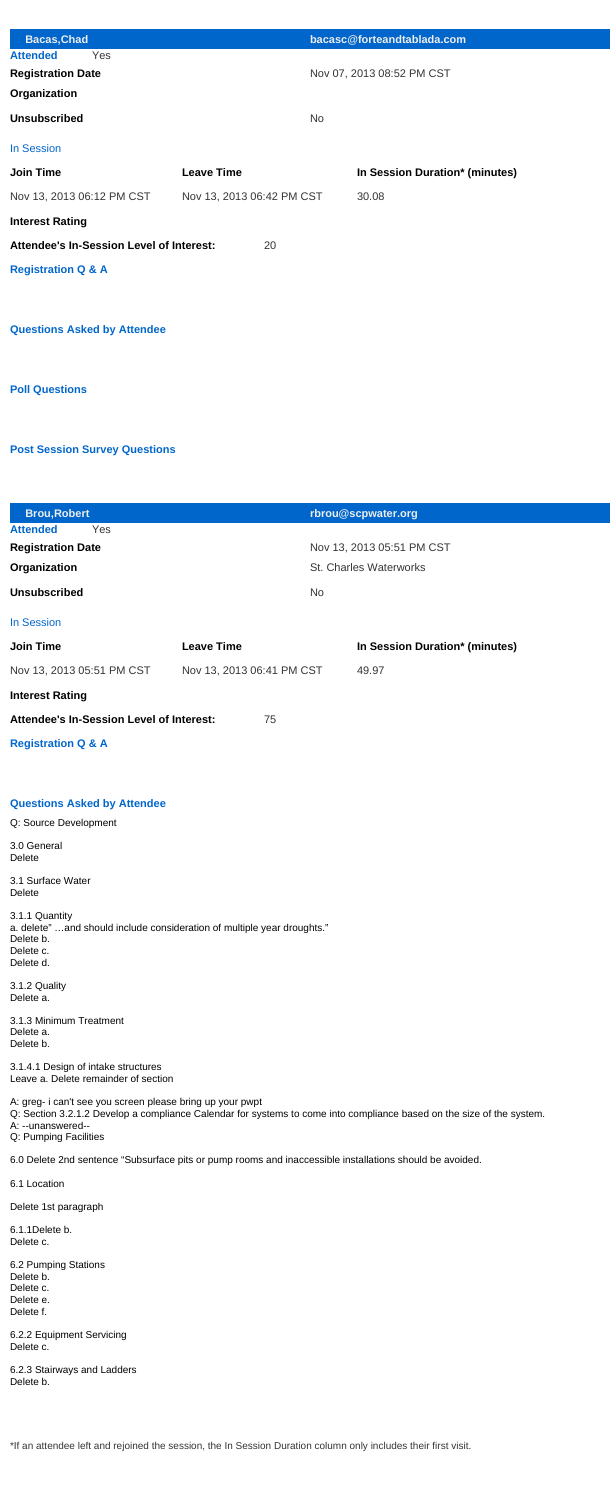| <b>Bacas, Chad</b>                 |                                          |                           |           | bacasc@forteandtablada.com     |
|------------------------------------|------------------------------------------|---------------------------|-----------|--------------------------------|
| <b>Attended</b>                    | Yes                                      |                           |           |                                |
| <b>Registration Date</b>           |                                          |                           |           | Nov 07, 2013 08:52 PM CST      |
| Organization                       |                                          |                           |           |                                |
| <b>Unsubscribed</b>                |                                          |                           | <b>No</b> |                                |
| <b>In Session</b>                  |                                          |                           |           |                                |
| <b>Join Time</b>                   |                                          | <b>Leave Time</b>         |           | In Session Duration* (minutes) |
| Nov 13, 2013 06:12 PM CST          |                                          | Nov 13, 2013 06:42 PM CST |           | 30.08                          |
| <b>Interest Rating</b>             |                                          |                           |           |                                |
|                                    | Attendee's In-Session Level of Interest: | 20                        |           |                                |
| <b>Registration Q &amp; A</b>      |                                          |                           |           |                                |
|                                    |                                          |                           |           |                                |
| <b>Questions Asked by Attendee</b> |                                          |                           |           |                                |
| <b>Poll Questions</b>              |                                          |                           |           |                                |

3.1.4.1 Design of intake structures Leave a. Delete remainder of section

| <b>Brou, Robert</b>                             |                           | rbrou@scpwater.org             |
|-------------------------------------------------|---------------------------|--------------------------------|
| <b>Attended</b><br>Yes                          |                           |                                |
| <b>Registration Date</b>                        |                           | Nov 13, 2013 05:51 PM CST      |
| Organization                                    |                           | <b>St. Charles Waterworks</b>  |
| <b>Unsubscribed</b>                             |                           | <b>No</b>                      |
| In Session                                      |                           |                                |
| <b>Join Time</b>                                | <b>Leave Time</b>         | In Session Duration* (minutes) |
| Nov 13, 2013 05:51 PM CST                       | Nov 13, 2013 06:41 PM CST | 49.97                          |
| <b>Interest Rating</b>                          |                           |                                |
| <b>Attendee's In-Session Level of Interest:</b> | 75                        |                                |
| <b>Registration Q &amp; A</b>                   |                           |                                |
|                                                 |                           |                                |
|                                                 |                           |                                |
| <b>Questions Asked by Attendee</b>              |                           |                                |
| Q: Source Development                           |                           |                                |
| $  -$                                           |                           |                                |

3.0 General Delete

3.1 Surface Water Delete

3.1.1 Quantity

 a. delete" …and should include consideration of multiple year droughts."

 Delete b.

 Delete c.

 Delete d.

3.1.2 Quality Delete a.

3.1.3 Minimum Treatment Delete a. Delete b.

A: greg- i can't see you screen please bring up your pwpt

Q: Section 3.2.1.2 Develop a compliance Calendar for systems to come into compliance based on the size of the system. A: --unanswered--

Q: Pumping Facilities

6.0 Delete 2nd sentence "Subsurface pits or pump rooms and inaccessible installations should be avoided.

6.1 Location

Delete 1st paragraph

6.1.1 Delete b. Delete c.

6.2 Pumping Stations Delete b. Delete c. Delete e. Delete f.

6.2.2 Equipment Servicing Delete c.

6.2.3 Stairways and Ladders Delete b.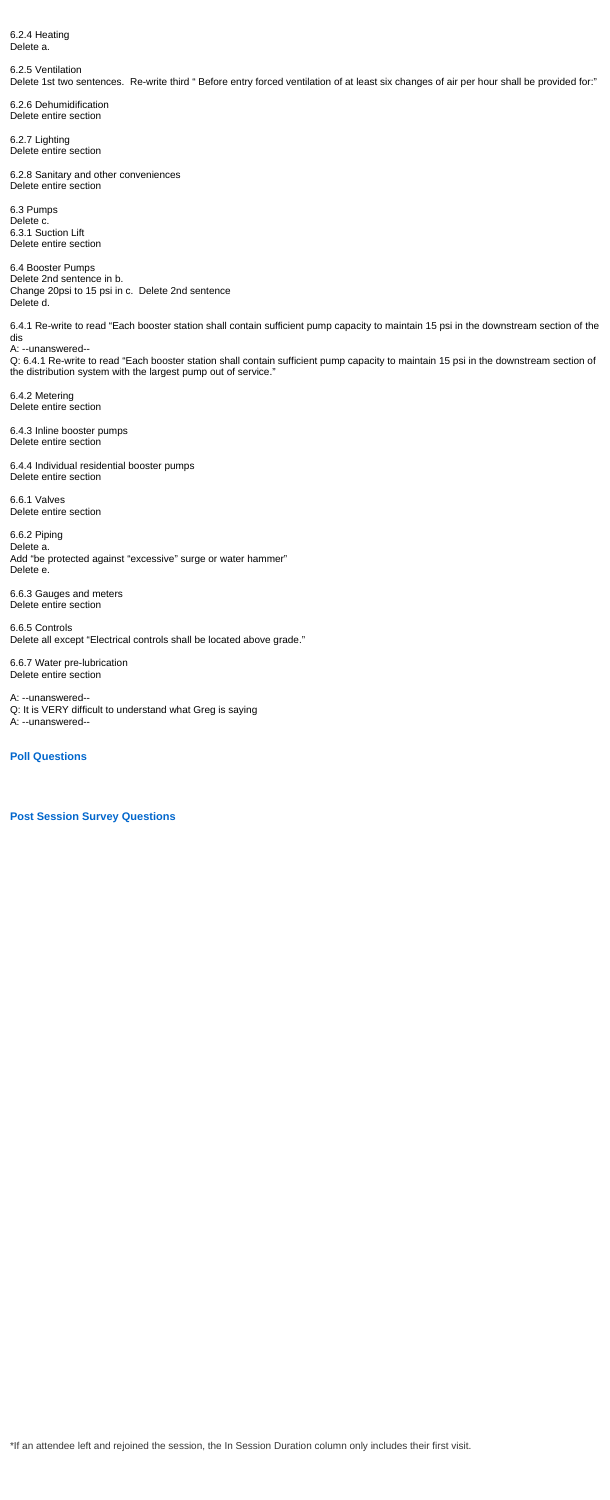6.2.4 Heating Delete a.

6.2.5 Ventilation Delete 1st two sentences. Re-write third " Before entry forced ventilation of at least six changes of air per hour shall be provided for:"

6.2.6 Dehumidification Delete entire section

6.2.7 Lighting Delete entire section

6.2.8 Sanitary and other conveniences Delete entire section

6.3 Pumps Delete c. 6.3.1 Suction Lift Delete entire section

6.4 Booster Pumps Delete 2nd sentence in b. Change 20psi to 15 psi in c. Delete 2nd sentence Delete d.

6.4.1 Re-write to read "Each booster station shall contain sufficient pump capacity to maintain 15 psi in the downstream section of the dis

A: --unanswered--

Q: 6.4.1 Re-write to read "Each booster station shall contain sufficient pump capacity to maintain 15 psi in the downstream section of the distribution system with the largest pump out of service."

6.4.2 Metering Delete entire section

6.4.3 Inline booster pumps Delete entire section

6.4.4 Individual residential booster pumps Delete entire section

6.6.1 Valves Delete entire section

6.6.2 Piping Delete a. Add "be protected against "excessive" surge or water hammer" Delete e.

6.6.3 Gauges and meters Delete entire section

6.6.5 Controls Delete all except "Electrical controls shall be located above grade."

6.6.7 Water pre-lubrication Delete entire section

A: --unanswered-- Q: It is VERY difficult to understand what Greg is saying A: --unanswered--

**Poll Questions**

#### **Post Session Survey Questions**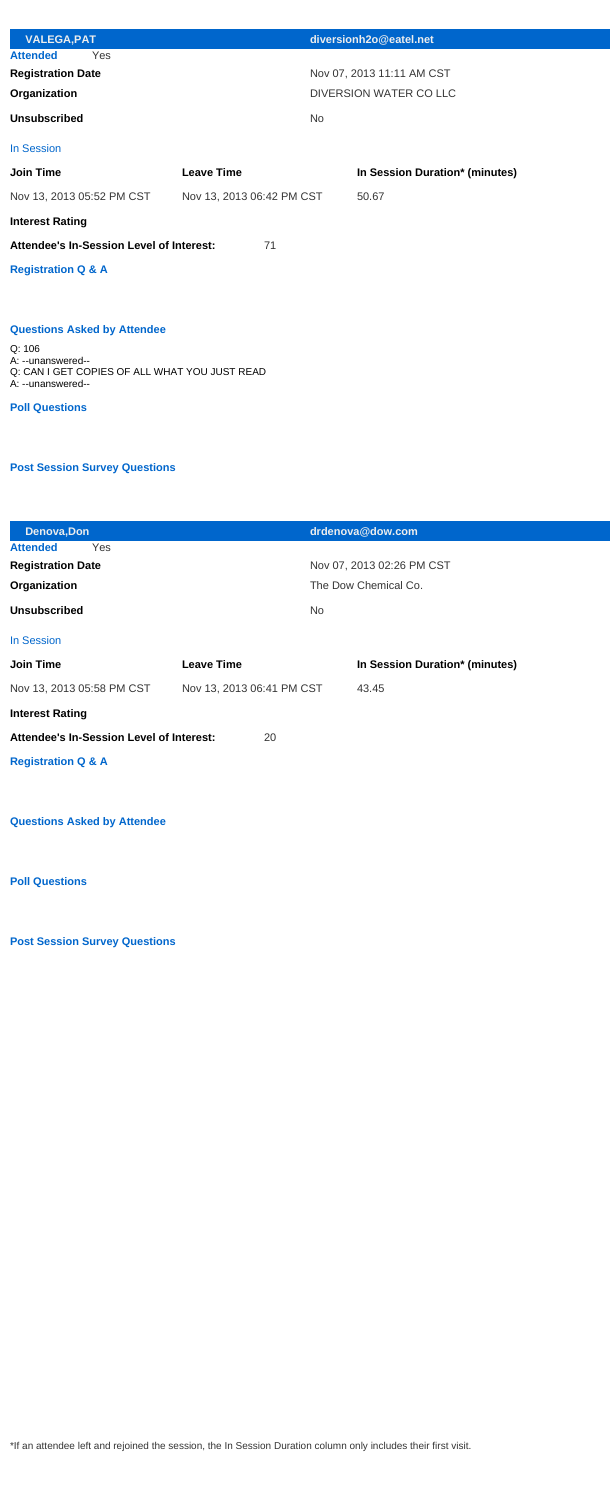| <b>VALEGA, PAT</b>                                                                                |                           | diversionh2o@eatel.net         |
|---------------------------------------------------------------------------------------------------|---------------------------|--------------------------------|
| <b>Attended</b><br>Yes                                                                            |                           |                                |
| <b>Registration Date</b>                                                                          |                           | Nov 07, 2013 11:11 AM CST      |
| Organization                                                                                      |                           | <b>DIVERSION WATER CO LLC</b>  |
| <b>Unsubscribed</b>                                                                               |                           | <b>No</b>                      |
| In Session                                                                                        |                           |                                |
| <b>Join Time</b>                                                                                  | <b>Leave Time</b>         | In Session Duration* (minutes) |
| Nov 13, 2013 05:52 PM CST                                                                         | Nov 13, 2013 06:42 PM CST | 50.67                          |
| <b>Interest Rating</b>                                                                            |                           |                                |
| Attendee's In-Session Level of Interest:                                                          | 71                        |                                |
| <b>Registration Q &amp; A</b>                                                                     |                           |                                |
|                                                                                                   |                           |                                |
| <b>Questions Asked by Attendee</b>                                                                |                           |                                |
| Q: 106<br>A: --unanswered--<br>Q: CAN I GET COPIES OF ALL WHAT YOU JUST READ<br>A: --unanswered-- |                           |                                |

#### **Poll Questions**

## **Post Session Survey Questions**

| Denova, Don                              |                           | drdenova@dow.com               |
|------------------------------------------|---------------------------|--------------------------------|
| <b>Attended</b><br>Yes                   |                           |                                |
| <b>Registration Date</b>                 |                           | Nov 07, 2013 02:26 PM CST      |
| Organization                             |                           | The Dow Chemical Co.           |
| <b>Unsubscribed</b>                      | <b>No</b>                 |                                |
| <b>In Session</b>                        |                           |                                |
| <b>Join Time</b>                         | <b>Leave Time</b>         | In Session Duration* (minutes) |
| Nov 13, 2013 05:58 PM CST                | Nov 13, 2013 06:41 PM CST | 43.45                          |
| <b>Interest Rating</b>                   |                           |                                |
| Attendee's In-Session Level of Interest: | 20                        |                                |
| <b>Registration Q &amp; A</b>            |                           |                                |
|                                          |                           |                                |
| <b>Questions Asked by Attendee</b>       |                           |                                |

**Post Session Survey Questions**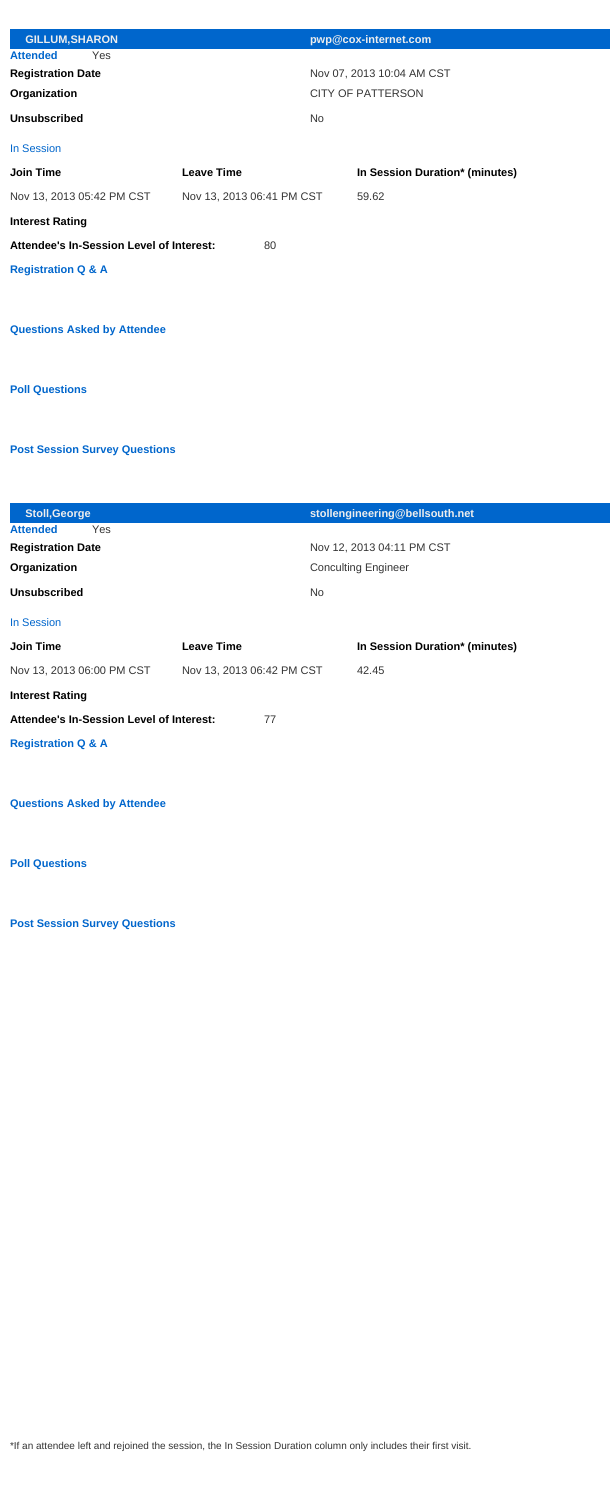| <b>GILLUM, SHARON</b>                           |                           |           | pwp@cox-internet.com           |
|-------------------------------------------------|---------------------------|-----------|--------------------------------|
| <b>Attended</b><br>Yes                          |                           |           |                                |
| <b>Registration Date</b>                        |                           |           | Nov 07, 2013 10:04 AM CST      |
| Organization                                    |                           |           | <b>CITY OF PATTERSON</b>       |
| <b>Unsubscribed</b>                             |                           | <b>No</b> |                                |
| <b>In Session</b>                               |                           |           |                                |
| <b>Join Time</b>                                | <b>Leave Time</b>         |           | In Session Duration* (minutes) |
| Nov 13, 2013 05:42 PM CST                       | Nov 13, 2013 06:41 PM CST |           | 59.62                          |
| <b>Interest Rating</b>                          |                           |           |                                |
| <b>Attendee's In-Session Level of Interest:</b> | 80                        |           |                                |
| <b>Registration Q &amp; A</b>                   |                           |           |                                |
|                                                 |                           |           |                                |
| <b>Questions Asked by Attendee</b>              |                           |           |                                |
|                                                 |                           |           |                                |
|                                                 |                           |           |                                |
| <b>Poll Questions</b>                           |                           |           |                                |

| <b>Stoll, George</b>                     |                           | stollengineering@bellsouth.net |
|------------------------------------------|---------------------------|--------------------------------|
| Yes<br><b>Attended</b>                   |                           |                                |
| <b>Registration Date</b>                 |                           | Nov 12, 2013 04:11 PM CST      |
| Organization                             |                           | <b>Conculting Engineer</b>     |
| <b>Unsubscribed</b>                      |                           | <b>No</b>                      |
| <b>In Session</b>                        |                           |                                |
| <b>Join Time</b>                         | <b>Leave Time</b>         | In Session Duration* (minutes) |
| Nov 13, 2013 06:00 PM CST                | Nov 13, 2013 06:42 PM CST | 42.45                          |
| <b>Interest Rating</b>                   |                           |                                |
| Attendee's In-Session Level of Interest: | 77                        |                                |
| <b>Registration Q &amp; A</b>            |                           |                                |
|                                          |                           |                                |
|                                          |                           |                                |

## **Questions Asked by Attendee**

**Post Session Survey Questions**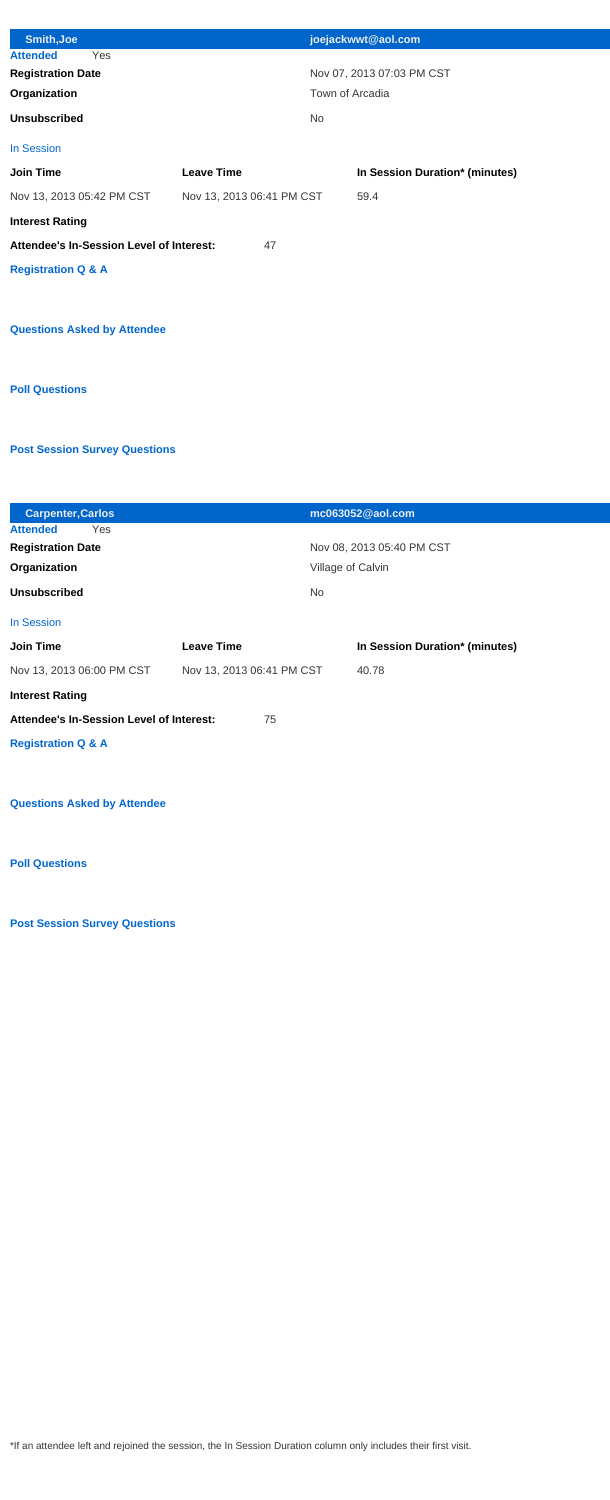| <b>Smith, Joe</b>                               |                           | joejackwwt@aol.com             |
|-------------------------------------------------|---------------------------|--------------------------------|
| <b>Attended</b><br>Yes                          |                           |                                |
| <b>Registration Date</b>                        |                           | Nov 07, 2013 07:03 PM CST      |
| Organization                                    |                           | Town of Arcadia                |
| <b>Unsubscribed</b>                             |                           | <b>No</b>                      |
| <b>In Session</b>                               |                           |                                |
| <b>Join Time</b>                                | <b>Leave Time</b>         | In Session Duration* (minutes) |
| Nov 13, 2013 05:42 PM CST                       | Nov 13, 2013 06:41 PM CST | 59.4                           |
| <b>Interest Rating</b>                          |                           |                                |
| <b>Attendee's In-Session Level of Interest:</b> | 47                        |                                |
| <b>Registration Q &amp; A</b>                   |                           |                                |
|                                                 |                           |                                |
| <b>Questions Asked by Attendee</b>              |                           |                                |
|                                                 |                           |                                |
|                                                 |                           |                                |
| <b>Poll Questions</b>                           |                           |                                |

| <b>Carpenter, Carlos</b>                 |                           | mc063052@aol.com               |
|------------------------------------------|---------------------------|--------------------------------|
| <b>Attended</b><br>Yes                   |                           |                                |
| <b>Registration Date</b>                 |                           | Nov 08, 2013 05:40 PM CST      |
| Organization                             |                           | Village of Calvin              |
| <b>Unsubscribed</b>                      |                           | <b>No</b>                      |
| In Session                               |                           |                                |
| <b>Join Time</b>                         | <b>Leave Time</b>         | In Session Duration* (minutes) |
| Nov 13, 2013 06:00 PM CST                | Nov 13, 2013 06:41 PM CST | 40.78                          |
| <b>Interest Rating</b>                   |                           |                                |
| Attendee's In-Session Level of Interest: | 75                        |                                |
| <b>Registration Q &amp; A</b>            |                           |                                |
|                                          |                           |                                |
| <b>Questions Asked by Attendee</b>       |                           |                                |

**Post Session Survey Questions**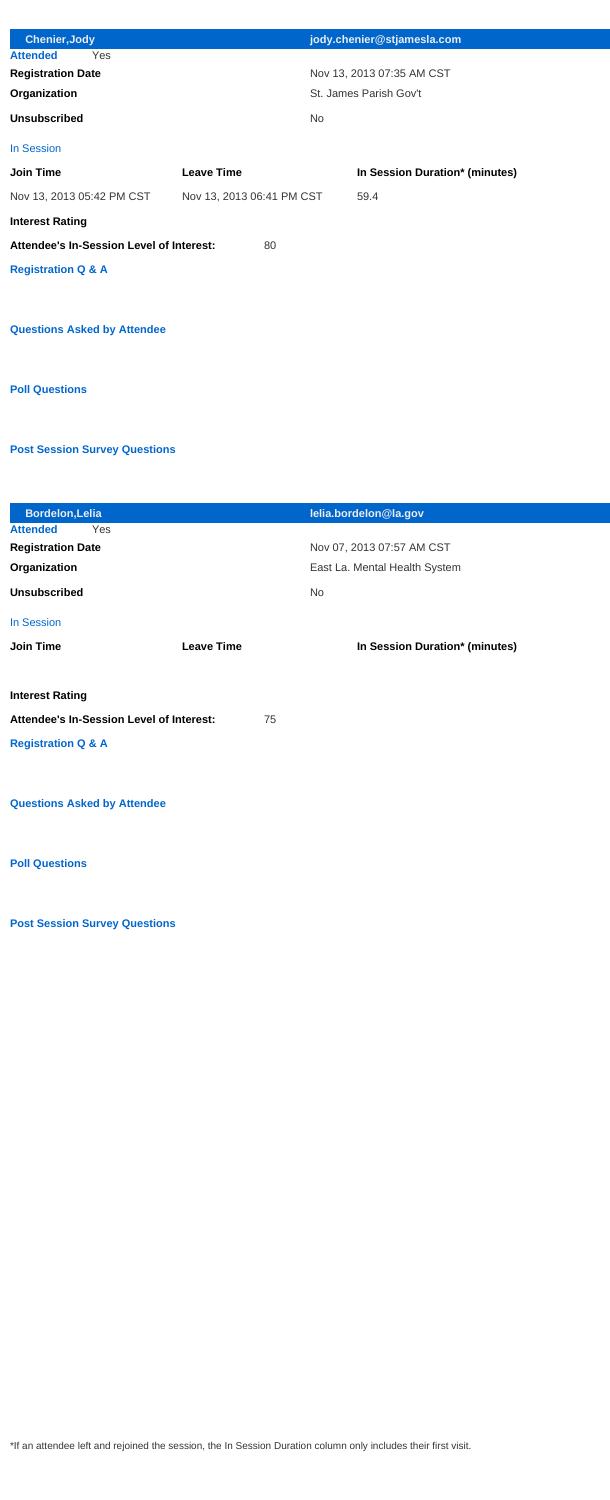| <b>Chenier, Jody</b>                            |                           | jody.chenier@stjamesla.com     |
|-------------------------------------------------|---------------------------|--------------------------------|
| <b>Attended</b><br>Yes                          |                           |                                |
| <b>Registration Date</b>                        |                           | Nov 13, 2013 07:35 AM CST      |
| Organization                                    |                           | St. James Parish Gov't         |
| <b>Unsubscribed</b>                             |                           | <b>No</b>                      |
| <b>In Session</b>                               |                           |                                |
| <b>Join Time</b>                                | <b>Leave Time</b>         | In Session Duration* (minutes) |
| Nov 13, 2013 05:42 PM CST                       | Nov 13, 2013 06:41 PM CST | 59.4                           |
| <b>Interest Rating</b>                          |                           |                                |
| <b>Attendee's In-Session Level of Interest:</b> | 80                        |                                |
| <b>Registration Q &amp; A</b>                   |                           |                                |
|                                                 |                           |                                |
| <b>Questions Asked by Attendee</b>              |                           |                                |
|                                                 |                           |                                |
| <b>Poll Questions</b>                           |                           |                                |

| <b>Bordelon, Lelia</b>                   |                   | lelia.bordelon@la.gov          |
|------------------------------------------|-------------------|--------------------------------|
| <b>Attended</b><br>Yes                   |                   |                                |
| <b>Registration Date</b>                 |                   | Nov 07, 2013 07:57 AM CST      |
| Organization                             |                   | East La. Mental Health System  |
| <b>Unsubscribed</b>                      |                   | <b>No</b>                      |
| In Session                               |                   |                                |
| <b>Join Time</b>                         | <b>Leave Time</b> | In Session Duration* (minutes) |
|                                          |                   |                                |
| <b>Interest Rating</b>                   |                   |                                |
| Attendee's In-Session Level of Interest: | 75                |                                |
| <b>Registration Q &amp; A</b>            |                   |                                |
|                                          |                   |                                |
| <b>Questions Asked by Attendee</b>       |                   |                                |

**Post Session Survey Questions**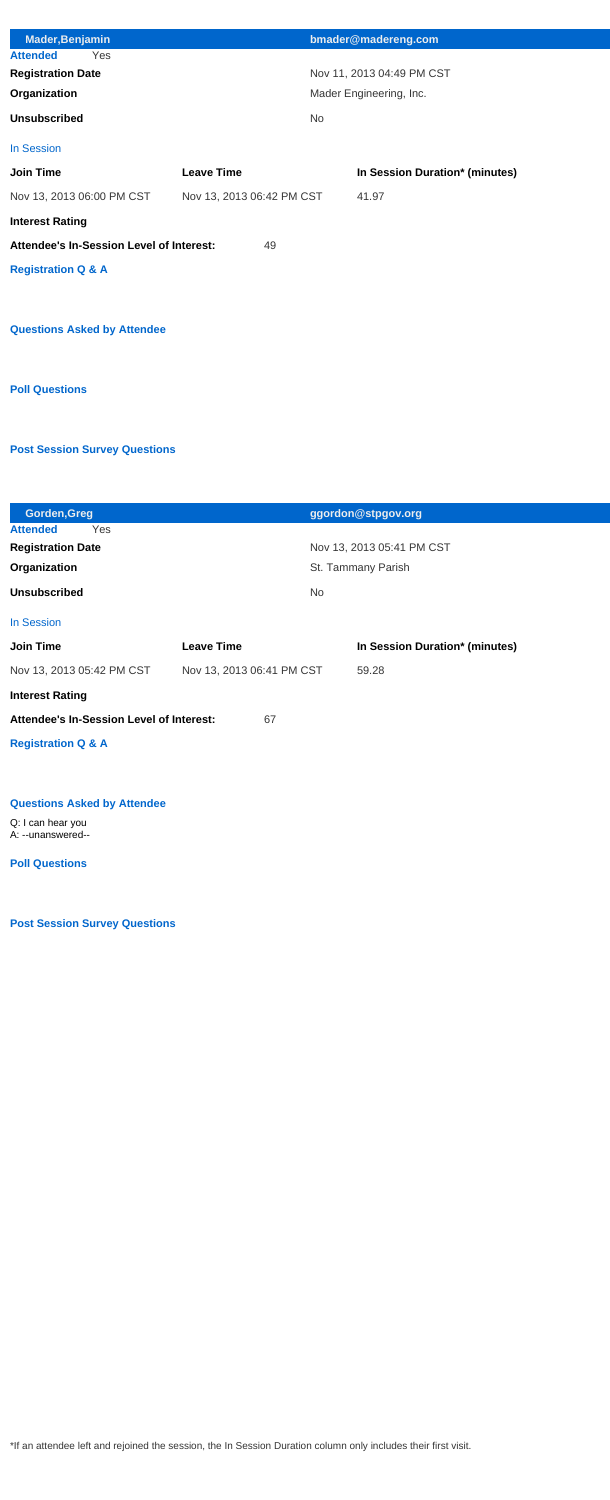| Mader, Benjamin                                 |                           | bmader@madereng.com            |
|-------------------------------------------------|---------------------------|--------------------------------|
| <b>Attended</b><br>Yes                          |                           |                                |
| <b>Registration Date</b>                        |                           | Nov 11, 2013 04:49 PM CST      |
| Organization                                    |                           | Mader Engineering, Inc.        |
| <b>Unsubscribed</b>                             |                           | <b>No</b>                      |
| <b>In Session</b>                               |                           |                                |
| <b>Join Time</b>                                | <b>Leave Time</b>         | In Session Duration* (minutes) |
| Nov 13, 2013 06:00 PM CST                       | Nov 13, 2013 06:42 PM CST | 41.97                          |
| <b>Interest Rating</b>                          |                           |                                |
| <b>Attendee's In-Session Level of Interest:</b> | 49                        |                                |
| <b>Registration Q &amp; A</b>                   |                           |                                |
|                                                 |                           |                                |
| <b>Questions Asked by Attendee</b>              |                           |                                |
|                                                 |                           |                                |
|                                                 |                           |                                |
| <b>Poll Questions</b>                           |                           |                                |

| <b>Gorden, Greg</b>                             |                           | ggordon@stpgov.org             |
|-------------------------------------------------|---------------------------|--------------------------------|
| <b>Attended</b><br>Yes                          |                           |                                |
| <b>Registration Date</b>                        |                           | Nov 13, 2013 05:41 PM CST      |
| Organization                                    |                           | St. Tammany Parish             |
| <b>Unsubscribed</b>                             |                           | <b>No</b>                      |
| In Session                                      |                           |                                |
| <b>Join Time</b>                                | <b>Leave Time</b>         | In Session Duration* (minutes) |
| Nov 13, 2013 05:42 PM CST                       | Nov 13, 2013 06:41 PM CST | 59.28                          |
| <b>Interest Rating</b>                          |                           |                                |
| <b>Attendee's In-Session Level of Interest:</b> | 67                        |                                |
| <b>Registration Q &amp; A</b>                   |                           |                                |
|                                                 |                           |                                |
|                                                 |                           |                                |
| <b>Questions Asked by Attendee</b>              |                           |                                |
| Q: I can hear you                               |                           |                                |

A: --unanswered--

#### **Poll Questions**

**Post Session Survey Questions**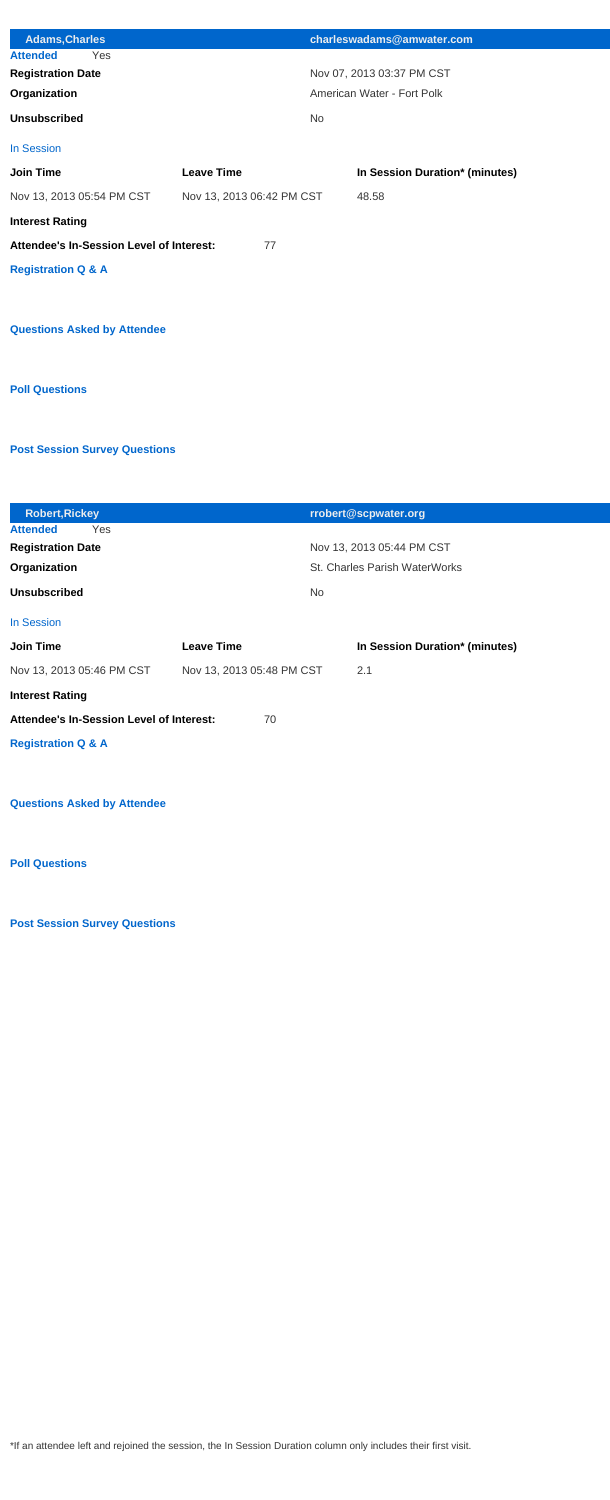| <b>Adams, Charles</b>                    |                           | charleswadams@amwater.com      |
|------------------------------------------|---------------------------|--------------------------------|
| <b>Attended</b><br>Yes                   |                           |                                |
| <b>Registration Date</b>                 |                           | Nov 07, 2013 03:37 PM CST      |
| Organization                             |                           | American Water - Fort Polk     |
| <b>Unsubscribed</b>                      |                           | <b>No</b>                      |
| <b>In Session</b>                        |                           |                                |
| <b>Join Time</b>                         | <b>Leave Time</b>         | In Session Duration* (minutes) |
| Nov 13, 2013 05:54 PM CST                | Nov 13, 2013 06:42 PM CST | 48.58                          |
| <b>Interest Rating</b>                   |                           |                                |
| Attendee's In-Session Level of Interest: | 77                        |                                |
| <b>Registration Q &amp; A</b>            |                           |                                |
|                                          |                           |                                |
| <b>Questions Asked by Attendee</b>       |                           |                                |
|                                          |                           |                                |
| <b>Poll Questions</b>                    |                           |                                |

| <b>Robert, Rickey</b>                           |                           | rrobert@scpwater.org                 |
|-------------------------------------------------|---------------------------|--------------------------------------|
| <b>Attended</b><br>Yes                          |                           |                                      |
| <b>Registration Date</b>                        |                           | Nov 13, 2013 05:44 PM CST            |
| Organization                                    |                           | <b>St. Charles Parish WaterWorks</b> |
| <b>Unsubscribed</b>                             |                           | <b>No</b>                            |
| In Session                                      |                           |                                      |
| <b>Join Time</b>                                | <b>Leave Time</b>         | In Session Duration* (minutes)       |
| Nov 13, 2013 05:46 PM CST                       | Nov 13, 2013 05:48 PM CST | 2.1                                  |
| <b>Interest Rating</b>                          |                           |                                      |
| <b>Attendee's In-Session Level of Interest:</b> | 70                        |                                      |
| <b>Registration Q &amp; A</b>                   |                           |                                      |
|                                                 |                           |                                      |
|                                                 |                           |                                      |

**Questions Asked by Attendee**

**Post Session Survey Questions**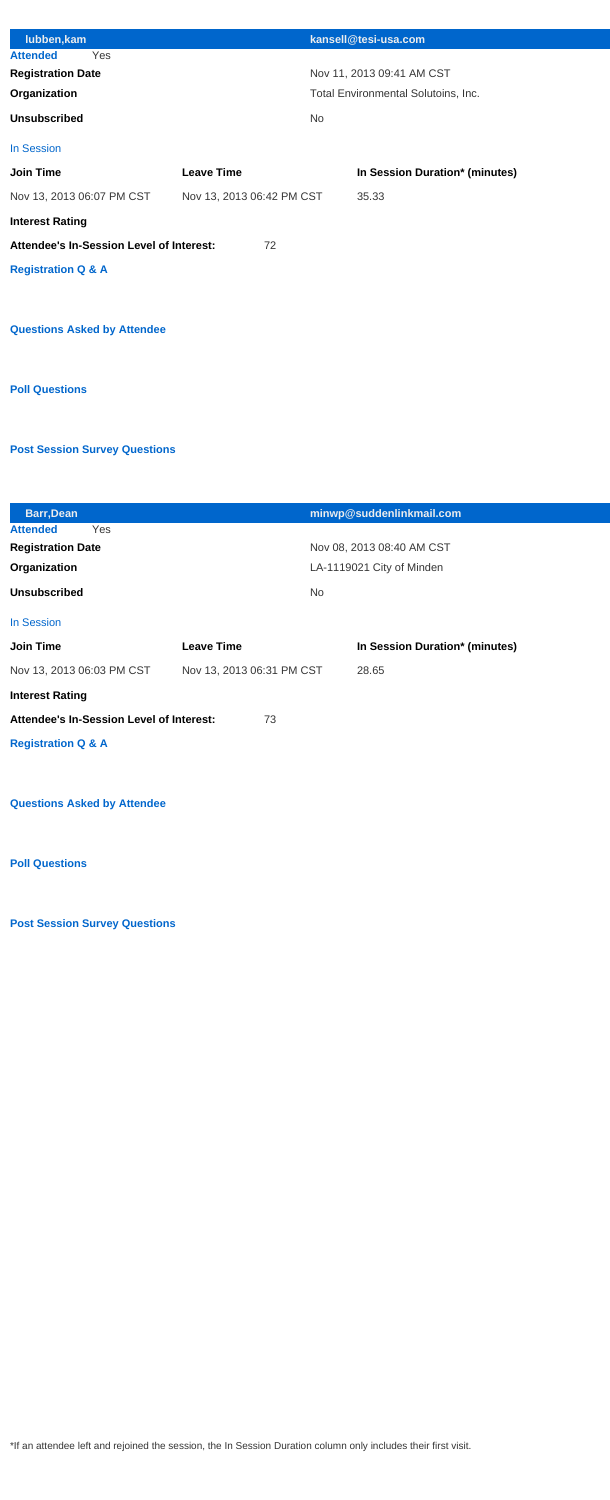| lubben, kam                                     |                           | kansell@tesi-usa.com                |
|-------------------------------------------------|---------------------------|-------------------------------------|
| <b>Attended</b><br>Yes                          |                           |                                     |
| <b>Registration Date</b>                        |                           | Nov 11, 2013 09:41 AM CST           |
| Organization                                    |                           | Total Environmental Solutoins, Inc. |
| <b>Unsubscribed</b>                             |                           | <b>No</b>                           |
| <b>In Session</b>                               |                           |                                     |
| <b>Join Time</b>                                | <b>Leave Time</b>         | In Session Duration* (minutes)      |
| Nov 13, 2013 06:07 PM CST                       | Nov 13, 2013 06:42 PM CST | 35.33                               |
| <b>Interest Rating</b>                          |                           |                                     |
| <b>Attendee's In-Session Level of Interest:</b> | 72                        |                                     |
| <b>Registration Q &amp; A</b>                   |                           |                                     |
|                                                 |                           |                                     |
| <b>Questions Asked by Attendee</b>              |                           |                                     |
| <b>Poll Questions</b>                           |                           |                                     |

| <b>Barr, Dean</b>                                     |                           | minwp@suddenlinkmail.com       |  |
|-------------------------------------------------------|---------------------------|--------------------------------|--|
| Yes<br><b>Attended</b>                                |                           |                                |  |
| <b>Registration Date</b>                              |                           | Nov 08, 2013 08:40 AM CST      |  |
| Organization                                          |                           | LA-1119021 City of Minden      |  |
| <b>Unsubscribed</b>                                   |                           | <b>No</b>                      |  |
| <b>In Session</b>                                     |                           |                                |  |
| <b>Join Time</b>                                      | <b>Leave Time</b>         | In Session Duration* (minutes) |  |
| Nov 13, 2013 06:03 PM CST                             | Nov 13, 2013 06:31 PM CST | 28.65                          |  |
| <b>Interest Rating</b>                                |                           |                                |  |
| <b>Attendee's In-Session Level of Interest:</b><br>73 |                           |                                |  |
| <b>Registration Q &amp; A</b>                         |                           |                                |  |
|                                                       |                           |                                |  |
|                                                       |                           |                                |  |

#### **Questions Asked by Attendee**

**Post Session Survey Questions**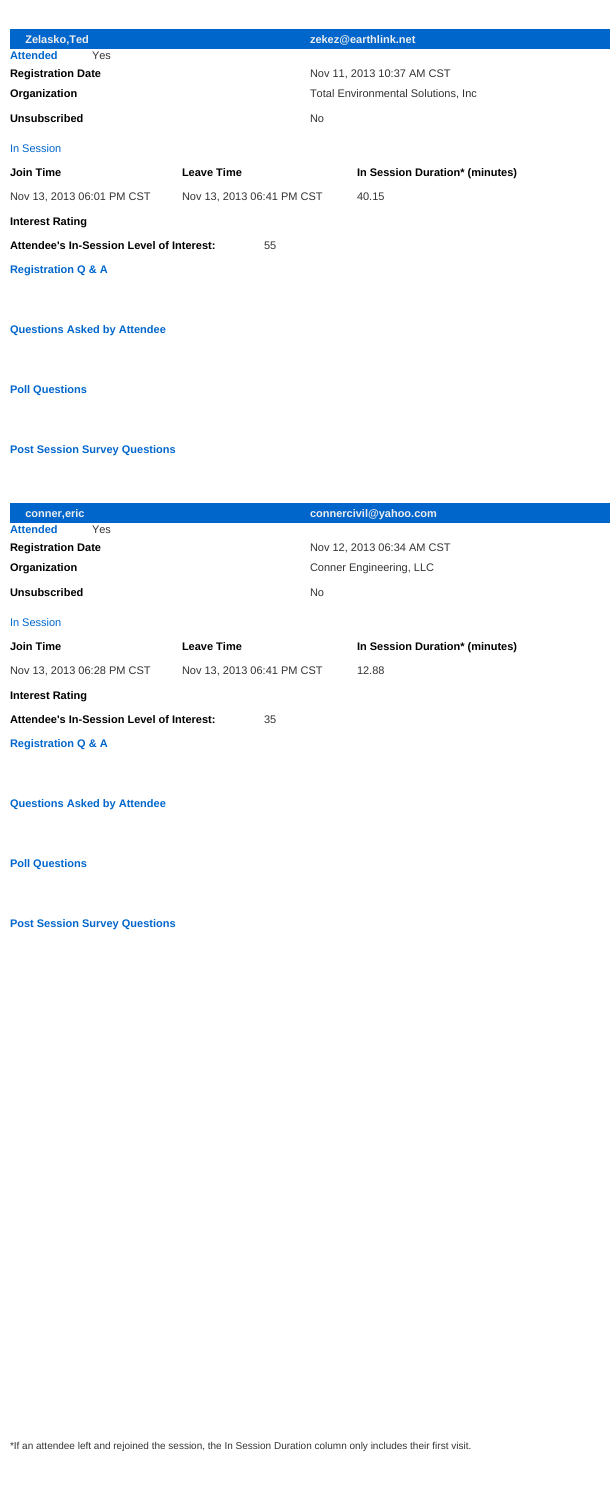| Zelasko, Ted                             |                           | zekez@earthlink.net                        |
|------------------------------------------|---------------------------|--------------------------------------------|
| <b>Attended</b><br>Yes                   |                           |                                            |
| <b>Registration Date</b>                 |                           | Nov 11, 2013 10:37 AM CST                  |
| Organization                             |                           | <b>Total Environmental Solutions, Inc.</b> |
| <b>Unsubscribed</b>                      |                           | <b>No</b>                                  |
| <b>In Session</b>                        |                           |                                            |
| <b>Join Time</b>                         | <b>Leave Time</b>         | In Session Duration* (minutes)             |
| Nov 13, 2013 06:01 PM CST                | Nov 13, 2013 06:41 PM CST | 40.15                                      |
| <b>Interest Rating</b>                   |                           |                                            |
| Attendee's In-Session Level of Interest: | 55                        |                                            |
| <b>Registration Q &amp; A</b>            |                           |                                            |
|                                          |                           |                                            |
| <b>Questions Asked by Attendee</b>       |                           |                                            |
|                                          |                           |                                            |
| <b>Poll Questions</b>                    |                           |                                            |

| conner, eric                                   |                           | connercivil@yahoo.com          |  |
|------------------------------------------------|---------------------------|--------------------------------|--|
| <b>Attended</b><br>Yes                         |                           |                                |  |
| <b>Registration Date</b>                       |                           | Nov 12, 2013 06:34 AM CST      |  |
| Organization                                   |                           | <b>Conner Engineering, LLC</b> |  |
| <b>Unsubscribed</b>                            |                           | <b>No</b>                      |  |
| In Session                                     |                           |                                |  |
| <b>Join Time</b>                               | <b>Leave Time</b>         | In Session Duration* (minutes) |  |
| Nov 13, 2013 06:28 PM CST                      | Nov 13, 2013 06:41 PM CST | 12.88                          |  |
| <b>Interest Rating</b>                         |                           |                                |  |
| Attendee's In-Session Level of Interest:<br>35 |                           |                                |  |
| <b>Registration Q &amp; A</b>                  |                           |                                |  |
|                                                |                           |                                |  |
|                                                |                           |                                |  |

#### **Questions Asked by Attendee**

**Post Session Survey Questions**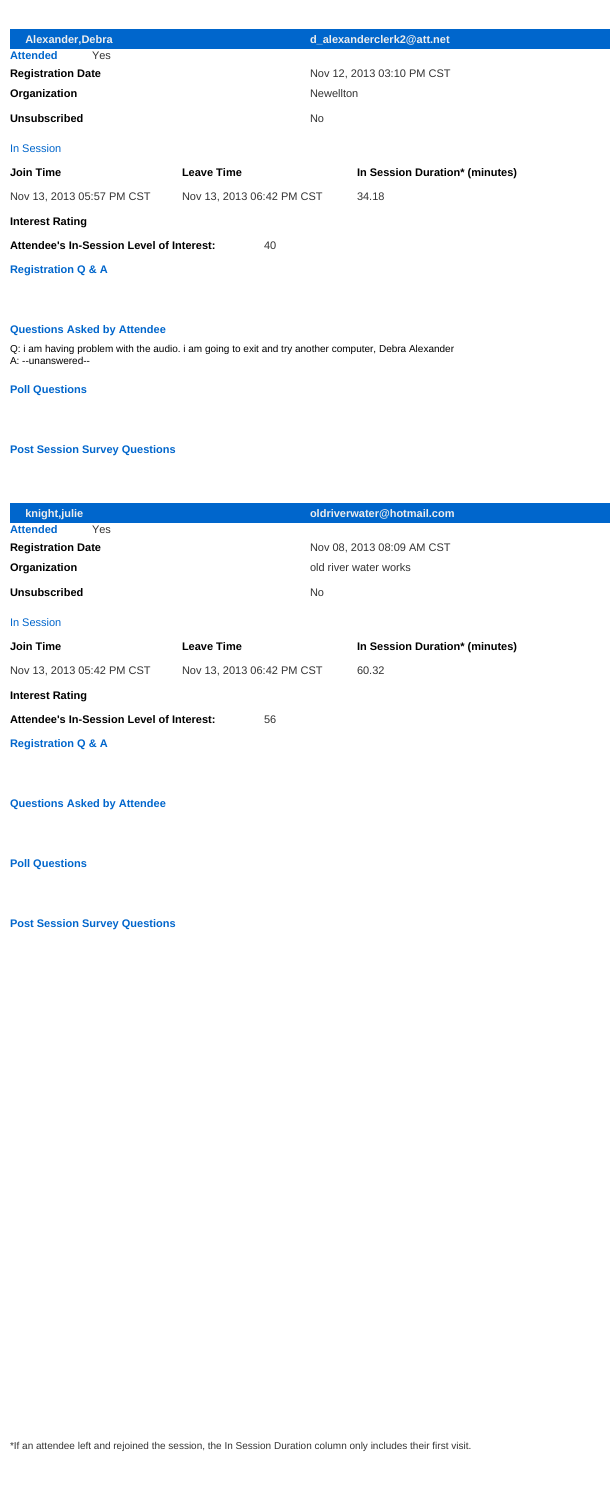| Alexander, Debra                                |                           | d alexanderclerk2@att.net      |
|-------------------------------------------------|---------------------------|--------------------------------|
| <b>Attended</b><br>Yes.                         |                           |                                |
| <b>Registration Date</b>                        |                           | Nov 12, 2013 03:10 PM CST      |
| Organization                                    |                           | <b>Newellton</b>               |
| <b>Unsubscribed</b>                             |                           | <b>No</b>                      |
| In Session                                      |                           |                                |
| <b>Join Time</b>                                | <b>Leave Time</b>         | In Session Duration* (minutes) |
| Nov 13, 2013 05:57 PM CST                       | Nov 13, 2013 06:42 PM CST | 34.18                          |
| <b>Interest Rating</b>                          |                           |                                |
| <b>Attendee's In-Session Level of Interest:</b> | 40                        |                                |
| <b>Registration Q &amp; A</b>                   |                           |                                |

#### **Questions Asked by Attendee**

Q: i am having problem with the audio. i am going to exit and try another computer, Debra Alexander A: --unanswered--

#### **Poll Questions**

#### **Post Session Survey Questions**

| knight, julie                                   |                           | oldriverwater@hotmail.com      |
|-------------------------------------------------|---------------------------|--------------------------------|
| Yes<br><b>Attended</b>                          |                           |                                |
| <b>Registration Date</b>                        |                           | Nov 08, 2013 08:09 AM CST      |
| Organization                                    |                           | old river water works          |
| <b>Unsubscribed</b>                             |                           | <b>No</b>                      |
| <b>In Session</b>                               |                           |                                |
| <b>Join Time</b>                                | <b>Leave Time</b>         | In Session Duration* (minutes) |
| Nov 13, 2013 05:42 PM CST                       | Nov 13, 2013 06:42 PM CST | 60.32                          |
| <b>Interest Rating</b>                          |                           |                                |
| <b>Attendee's In-Session Level of Interest:</b> | 56                        |                                |
| <b>Registration Q &amp; A</b>                   |                           |                                |
|                                                 |                           |                                |
|                                                 |                           |                                |

#### **Questions Asked by Attendee**

**Post Session Survey Questions**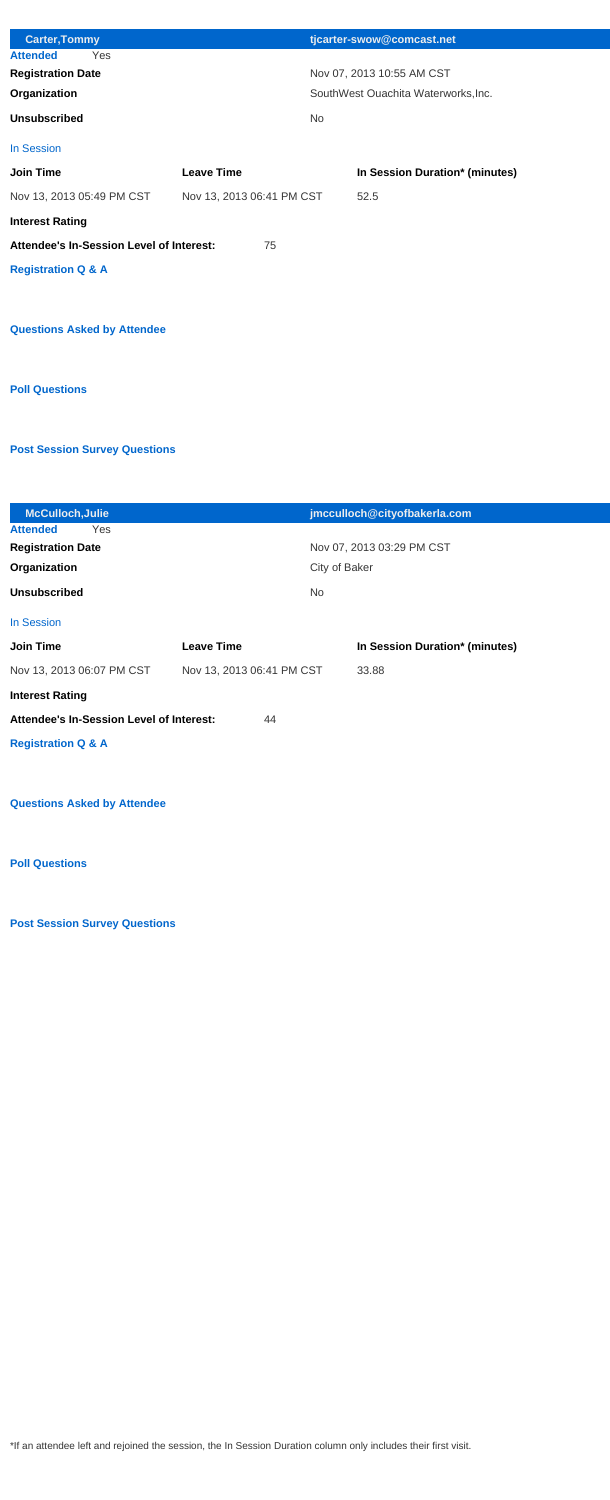| <b>Carter, Tommy</b>                     |                           | tjcarter-swow@comcast.net           |
|------------------------------------------|---------------------------|-------------------------------------|
| <b>Attended</b><br>Yes                   |                           |                                     |
| <b>Registration Date</b>                 |                           | Nov 07, 2013 10:55 AM CST           |
| Organization                             |                           | SouthWest Ouachita Waterworks, Inc. |
| <b>Unsubscribed</b>                      |                           | <b>No</b>                           |
| <b>In Session</b>                        |                           |                                     |
| <b>Join Time</b>                         | <b>Leave Time</b>         | In Session Duration* (minutes)      |
| Nov 13, 2013 05:49 PM CST                | Nov 13, 2013 06:41 PM CST | 52.5                                |
| <b>Interest Rating</b>                   |                           |                                     |
| Attendee's In-Session Level of Interest: | 75                        |                                     |
| <b>Registration Q &amp; A</b>            |                           |                                     |
|                                          |                           |                                     |
| <b>Questions Asked by Attendee</b>       |                           |                                     |
|                                          |                           |                                     |
| <b>Poll Questions</b>                    |                           |                                     |
|                                          |                           |                                     |

| <b>McCulloch, Julie</b>                               |                           | jmcculloch@cityofbakerla.com   |  |
|-------------------------------------------------------|---------------------------|--------------------------------|--|
| <b>Attended</b><br><b>Yes</b>                         |                           |                                |  |
| <b>Registration Date</b>                              |                           | Nov 07, 2013 03:29 PM CST      |  |
| Organization                                          |                           | City of Baker                  |  |
| <b>Unsubscribed</b>                                   |                           | <b>No</b>                      |  |
| <b>In Session</b>                                     |                           |                                |  |
| <b>Join Time</b>                                      | <b>Leave Time</b>         | In Session Duration* (minutes) |  |
| Nov 13, 2013 06:07 PM CST                             | Nov 13, 2013 06:41 PM CST | 33.88                          |  |
| <b>Interest Rating</b>                                |                           |                                |  |
| <b>Attendee's In-Session Level of Interest:</b><br>44 |                           |                                |  |
| <b>Registration Q &amp; A</b>                         |                           |                                |  |
|                                                       |                           |                                |  |
|                                                       |                           |                                |  |

## **Questions Asked by Attendee**

**Post Session Survey Questions**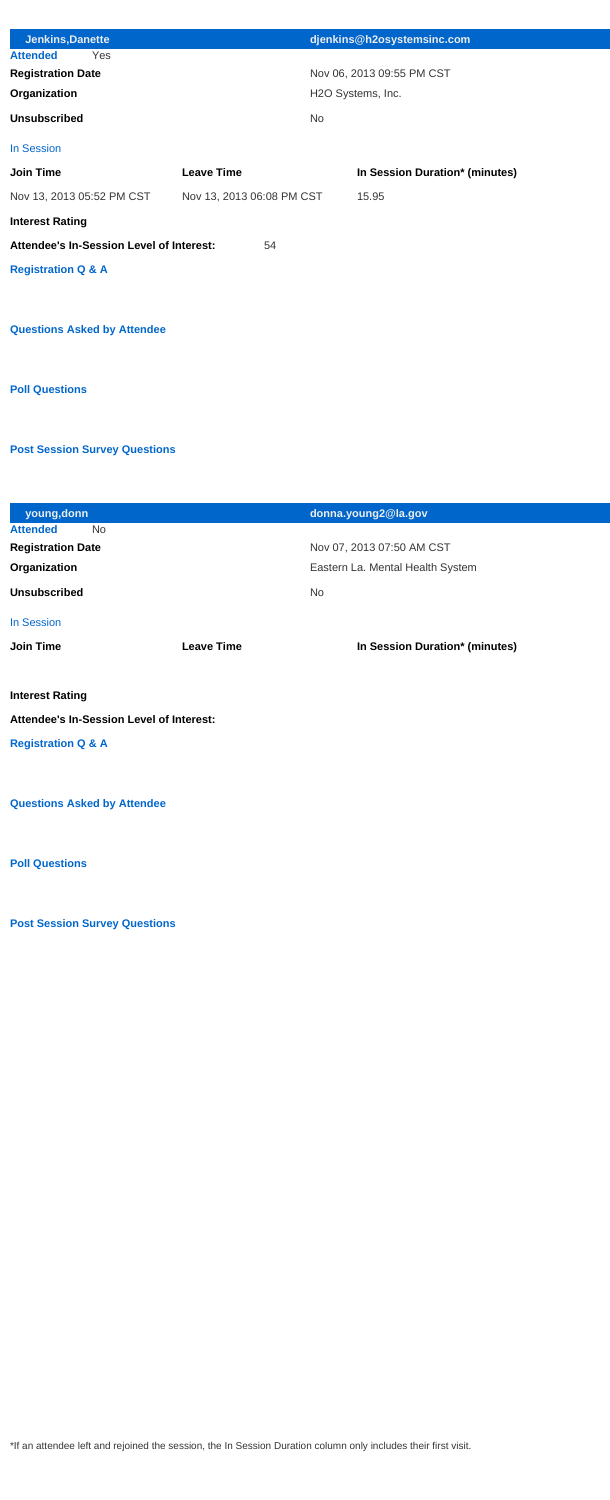| <b>Jenkins, Danette</b>                         |                           | djenkins@h2osystemsinc.com     |
|-------------------------------------------------|---------------------------|--------------------------------|
| <b>Attended</b><br>Yes                          |                           |                                |
| <b>Registration Date</b>                        |                           | Nov 06, 2013 09:55 PM CST      |
| Organization                                    |                           | H2O Systems, Inc.              |
| <b>Unsubscribed</b>                             |                           | <b>No</b>                      |
| <b>In Session</b>                               |                           |                                |
| <b>Join Time</b>                                | <b>Leave Time</b>         | In Session Duration* (minutes) |
| Nov 13, 2013 05:52 PM CST                       | Nov 13, 2013 06:08 PM CST | 15.95                          |
| <b>Interest Rating</b>                          |                           |                                |
| <b>Attendee's In-Session Level of Interest:</b> | 54                        |                                |
| <b>Registration Q &amp; A</b>                   |                           |                                |
|                                                 |                           |                                |
| <b>Questions Asked by Attendee</b>              |                           |                                |
|                                                 |                           |                                |
| <b>Poll Questions</b>                           |                           |                                |

| young, donn                              |                   | donna.young2@la.gov              |
|------------------------------------------|-------------------|----------------------------------|
| <b>Attended</b><br><b>No</b>             |                   |                                  |
| <b>Registration Date</b>                 |                   | Nov 07, 2013 07:50 AM CST        |
| Organization                             |                   | Eastern La. Mental Health System |
| <b>Unsubscribed</b>                      |                   | <b>No</b>                        |
| In Session                               |                   |                                  |
| <b>Join Time</b>                         | <b>Leave Time</b> | In Session Duration* (minutes)   |
|                                          |                   |                                  |
| <b>Interest Rating</b>                   |                   |                                  |
| Attendee's In-Session Level of Interest: |                   |                                  |
| <b>Registration Q &amp; A</b>            |                   |                                  |
|                                          |                   |                                  |
| <b>Questions Asked by Attendee</b>       |                   |                                  |

**Post Session Survey Questions**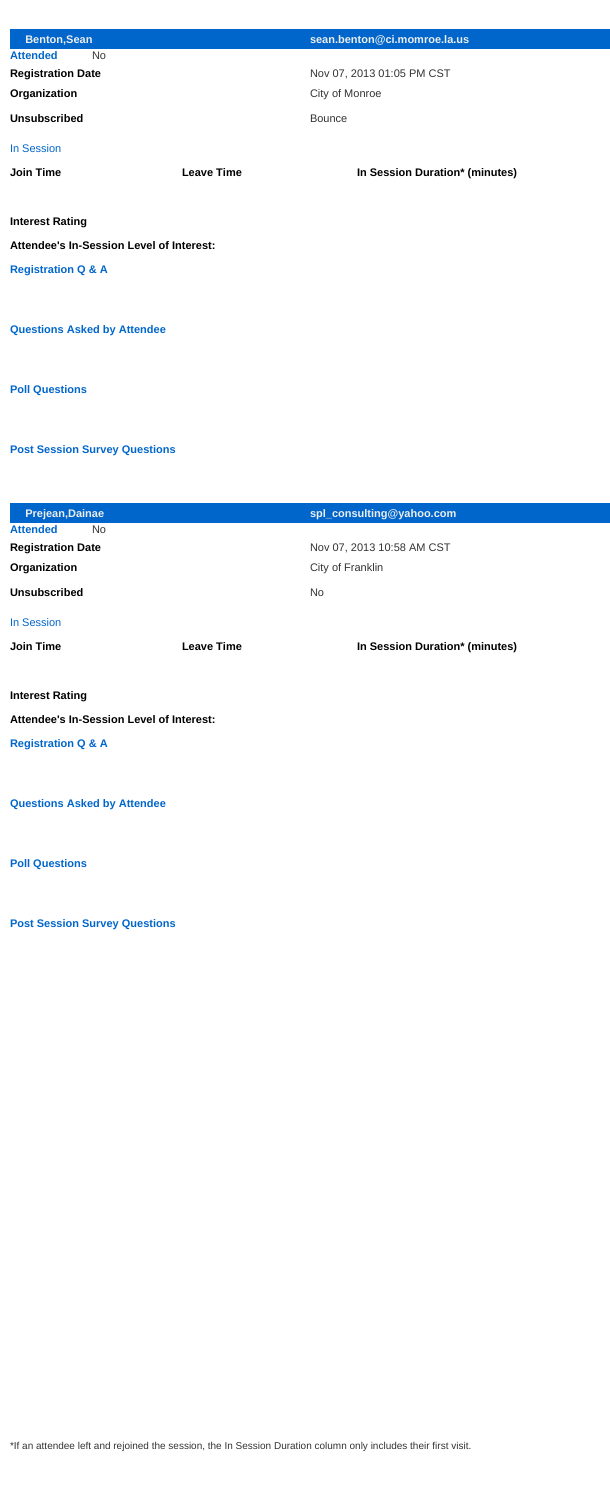|                                          | sean.benton@ci.momroe.la.us    |  |
|------------------------------------------|--------------------------------|--|
|                                          |                                |  |
|                                          | Nov 07, 2013 01:05 PM CST      |  |
|                                          | City of Monroe                 |  |
|                                          | <b>Bounce</b>                  |  |
|                                          |                                |  |
| <b>Leave Time</b>                        | In Session Duration* (minutes) |  |
|                                          |                                |  |
|                                          |                                |  |
| Attendee's In-Session Level of Interest: |                                |  |
|                                          |                                |  |
|                                          |                                |  |
| <b>Questions Asked by Attendee</b>       |                                |  |
|                                          |                                |  |
|                                          |                                |  |
|                                          |                                |  |

| Prejean, Dainae                          |                   | spl_consulting@yahoo.com       |
|------------------------------------------|-------------------|--------------------------------|
| <b>Attended</b><br><b>No</b>             |                   |                                |
| <b>Registration Date</b>                 |                   | Nov 07, 2013 10:58 AM CST      |
| Organization                             |                   | City of Franklin               |
| <b>Unsubscribed</b>                      |                   | <b>No</b>                      |
| <b>In Session</b>                        |                   |                                |
|                                          |                   |                                |
| <b>Join Time</b>                         | <b>Leave Time</b> | In Session Duration* (minutes) |
|                                          |                   |                                |
| <b>Interest Rating</b>                   |                   |                                |
| Attendee's In-Session Level of Interest: |                   |                                |
| <b>Registration Q &amp; A</b>            |                   |                                |
|                                          |                   |                                |

## **Questions Asked by Attendee**

**Post Session Survey Questions**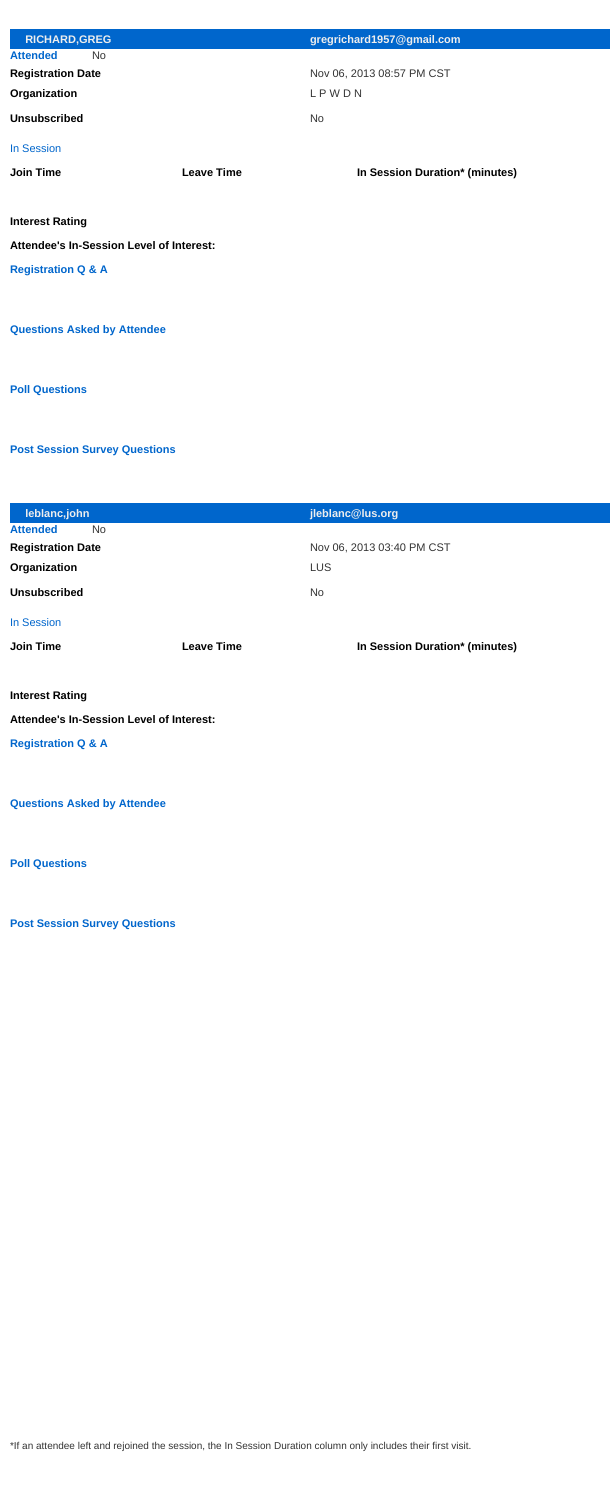| <b>RICHARD, GREG</b>                     |                   | gregrichard1957@gmail.com      |
|------------------------------------------|-------------------|--------------------------------|
| <b>Attended</b><br><b>No</b>             |                   |                                |
| <b>Registration Date</b>                 |                   | Nov 06, 2013 08:57 PM CST      |
| Organization                             |                   | LPWDN                          |
| <b>Unsubscribed</b>                      |                   | <b>No</b>                      |
| <b>In Session</b>                        |                   |                                |
| <b>Join Time</b>                         | <b>Leave Time</b> | In Session Duration* (minutes) |
|                                          |                   |                                |
| <b>Interest Rating</b>                   |                   |                                |
| Attendee's In-Session Level of Interest: |                   |                                |
| <b>Registration Q &amp; A</b>            |                   |                                |
|                                          |                   |                                |
| <b>Questions Asked by Attendee</b>       |                   |                                |
|                                          |                   |                                |
|                                          |                   |                                |
| <b>Poll Questions</b>                    |                   |                                |

| leblanc, john                            |                   | jleblanc@lus.org               |
|------------------------------------------|-------------------|--------------------------------|
| <b>Attended</b><br><b>No</b>             |                   |                                |
| <b>Registration Date</b>                 |                   | Nov 06, 2013 03:40 PM CST      |
| Organization                             |                   | <b>LUS</b>                     |
| <b>Unsubscribed</b>                      |                   | <b>No</b>                      |
| <b>In Session</b>                        |                   |                                |
| <b>Join Time</b>                         | <b>Leave Time</b> | In Session Duration* (minutes) |
|                                          |                   |                                |
| <b>Interest Rating</b>                   |                   |                                |
| Attendee's In-Session Level of Interest: |                   |                                |
| <b>Registration Q &amp; A</b>            |                   |                                |
|                                          |                   |                                |
| <b>Questions Asked by Attendee</b>       |                   |                                |

**Post Session Survey Questions**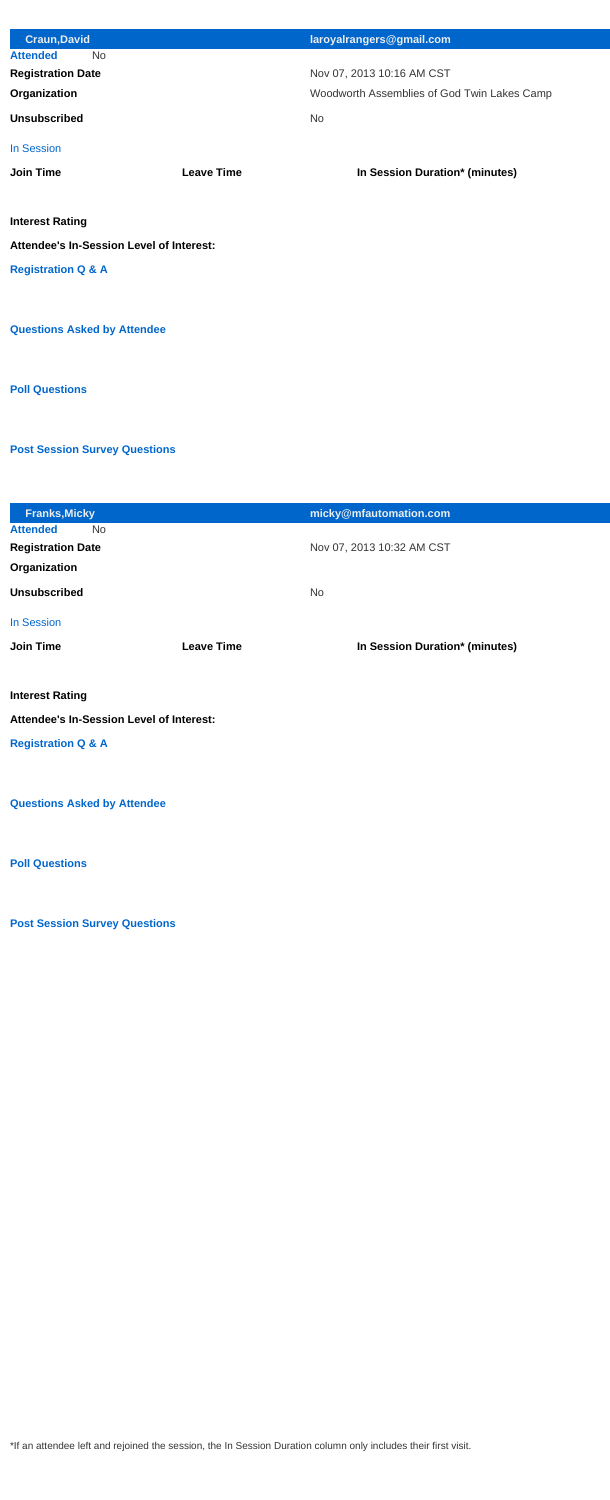| <b>Craun, David</b>                             |                   | laroyalrangers@gmail.com                    |
|-------------------------------------------------|-------------------|---------------------------------------------|
| <b>Attended</b><br><b>No</b>                    |                   |                                             |
| <b>Registration Date</b>                        |                   | Nov 07, 2013 10:16 AM CST                   |
| Organization                                    |                   | Woodworth Assemblies of God Twin Lakes Camp |
| <b>Unsubscribed</b>                             |                   | <b>No</b>                                   |
| <b>In Session</b>                               |                   |                                             |
| <b>Join Time</b>                                | <b>Leave Time</b> | In Session Duration* (minutes)              |
| <b>Interest Rating</b>                          |                   |                                             |
| <b>Attendee's In-Session Level of Interest:</b> |                   |                                             |
| <b>Registration Q &amp; A</b>                   |                   |                                             |
|                                                 |                   |                                             |
| <b>Questions Asked by Attendee</b>              |                   |                                             |
| <b>Poll Questions</b>                           |                   |                                             |
|                                                 |                   |                                             |
|                                                 |                   |                                             |

| <b>Franks, Micky</b>                            |                   | micky@mfautomation.com         |
|-------------------------------------------------|-------------------|--------------------------------|
| <b>Attended</b><br><b>No</b>                    |                   |                                |
| <b>Registration Date</b>                        |                   | Nov 07, 2013 10:32 AM CST      |
| Organization                                    |                   |                                |
| <b>Unsubscribed</b>                             |                   | <b>No</b>                      |
| <b>In Session</b>                               |                   |                                |
| <b>Join Time</b>                                | <b>Leave Time</b> | In Session Duration* (minutes) |
|                                                 |                   |                                |
| <b>Interest Rating</b>                          |                   |                                |
| <b>Attendee's In-Session Level of Interest:</b> |                   |                                |
| <b>Registration Q &amp; A</b>                   |                   |                                |
|                                                 |                   |                                |
|                                                 |                   |                                |
| <b>Questions Asked by Attendee</b>              |                   |                                |

**Post Session Survey Questions**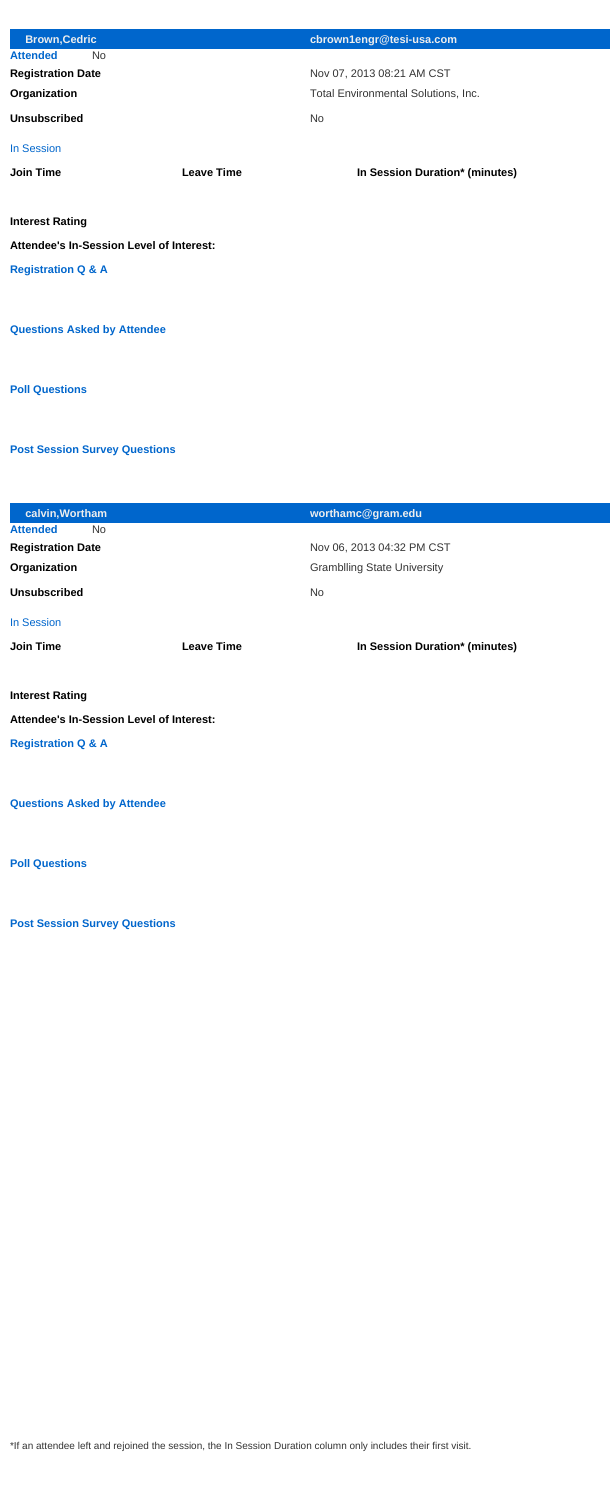| <b>Brown, Cedric</b>                     |                   | cbrown1engr@tesi-usa.com            |
|------------------------------------------|-------------------|-------------------------------------|
| <b>Attended</b><br><b>No</b>             |                   |                                     |
| <b>Registration Date</b>                 |                   | Nov 07, 2013 08:21 AM CST           |
| Organization                             |                   | Total Environmental Solutions, Inc. |
| <b>Unsubscribed</b>                      |                   | <b>No</b>                           |
| <b>In Session</b>                        |                   |                                     |
| <b>Join Time</b>                         | <b>Leave Time</b> | In Session Duration* (minutes)      |
|                                          |                   |                                     |
| <b>Interest Rating</b>                   |                   |                                     |
| Attendee's In-Session Level of Interest: |                   |                                     |
| <b>Registration Q &amp; A</b>            |                   |                                     |
|                                          |                   |                                     |
|                                          |                   |                                     |
| <b>Questions Asked by Attendee</b>       |                   |                                     |
|                                          |                   |                                     |
|                                          |                   |                                     |
| <b>Poll Questions</b>                    |                   |                                     |
|                                          |                   |                                     |

| calvin, Wortham                          |                   | worthamc@gram.edu                  |
|------------------------------------------|-------------------|------------------------------------|
| <b>Attended</b><br><b>No</b>             |                   |                                    |
| <b>Registration Date</b>                 |                   | Nov 06, 2013 04:32 PM CST          |
| Organization                             |                   | <b>Gramblling State University</b> |
| <b>Unsubscribed</b>                      |                   | <b>No</b>                          |
| In Session                               |                   |                                    |
| <b>Join Time</b>                         | <b>Leave Time</b> | In Session Duration* (minutes)     |
|                                          |                   |                                    |
| <b>Interest Rating</b>                   |                   |                                    |
| Attendee's In-Session Level of Interest: |                   |                                    |
| <b>Registration Q &amp; A</b>            |                   |                                    |
|                                          |                   |                                    |
| <b>Questions Asked by Attendee</b>       |                   |                                    |

**Post Session Survey Questions**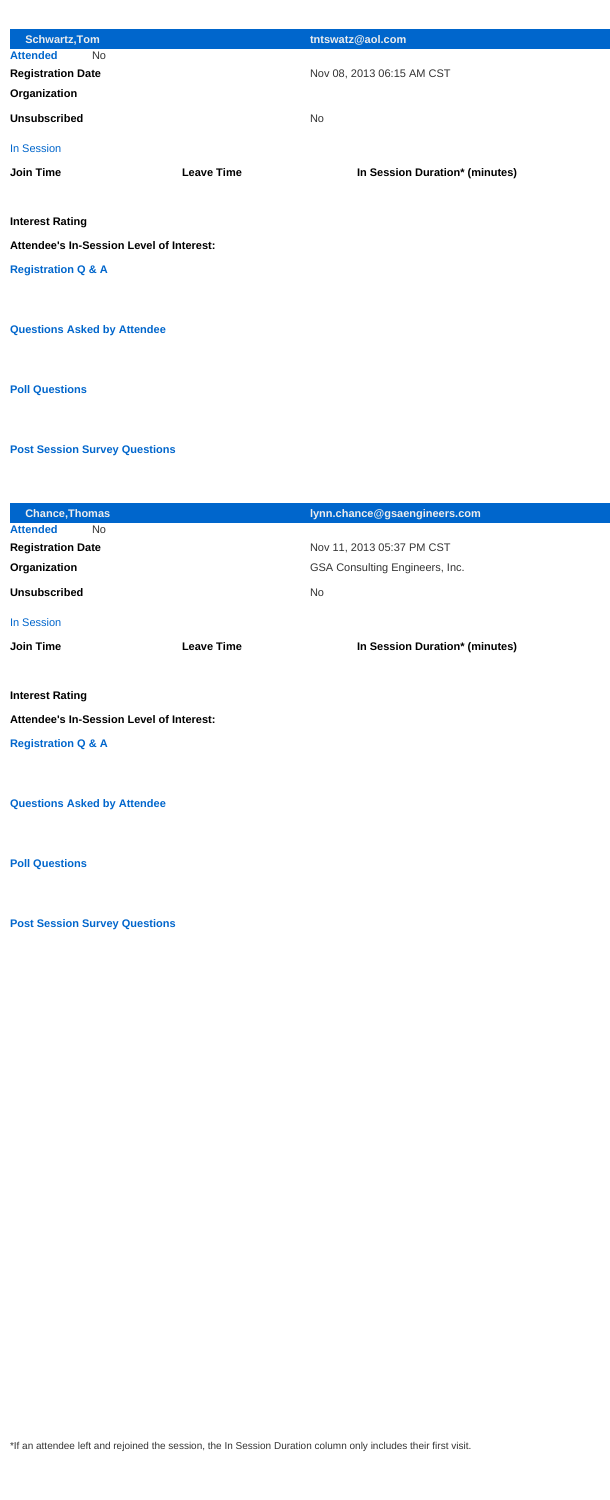| <b>Schwartz, Tom</b>                            |                   | tntswatz@aol.com               |
|-------------------------------------------------|-------------------|--------------------------------|
| <b>Attended</b><br><b>No</b>                    |                   |                                |
| <b>Registration Date</b>                        |                   | Nov 08, 2013 06:15 AM CST      |
| Organization                                    |                   |                                |
| <b>Unsubscribed</b>                             |                   | <b>No</b>                      |
| <b>In Session</b>                               |                   |                                |
| <b>Join Time</b>                                | <b>Leave Time</b> | In Session Duration* (minutes) |
| <b>Interest Rating</b>                          |                   |                                |
| <b>Attendee's In-Session Level of Interest:</b> |                   |                                |
| <b>Registration Q &amp; A</b>                   |                   |                                |
|                                                 |                   |                                |
| <b>Questions Asked by Attendee</b>              |                   |                                |
|                                                 |                   |                                |
| <b>Poll Questions</b>                           |                   |                                |
|                                                 |                   |                                |

| <b>Chance, Thomas</b>                           |                   | lynn.chance@gsaengineers.com   |
|-------------------------------------------------|-------------------|--------------------------------|
| <b>Attended</b><br><b>No</b>                    |                   |                                |
| <b>Registration Date</b>                        |                   | Nov 11, 2013 05:37 PM CST      |
| Organization                                    |                   | GSA Consulting Engineers, Inc. |
| <b>Unsubscribed</b>                             |                   | <b>No</b>                      |
| <b>In Session</b>                               |                   |                                |
| <b>Join Time</b>                                | <b>Leave Time</b> | In Session Duration* (minutes) |
|                                                 |                   |                                |
| <b>Interest Rating</b>                          |                   |                                |
| <b>Attendee's In-Session Level of Interest:</b> |                   |                                |
| <b>Registration Q &amp; A</b>                   |                   |                                |
|                                                 |                   |                                |
| <b>Questions Asked by Attendee</b>              |                   |                                |

**Post Session Survey Questions**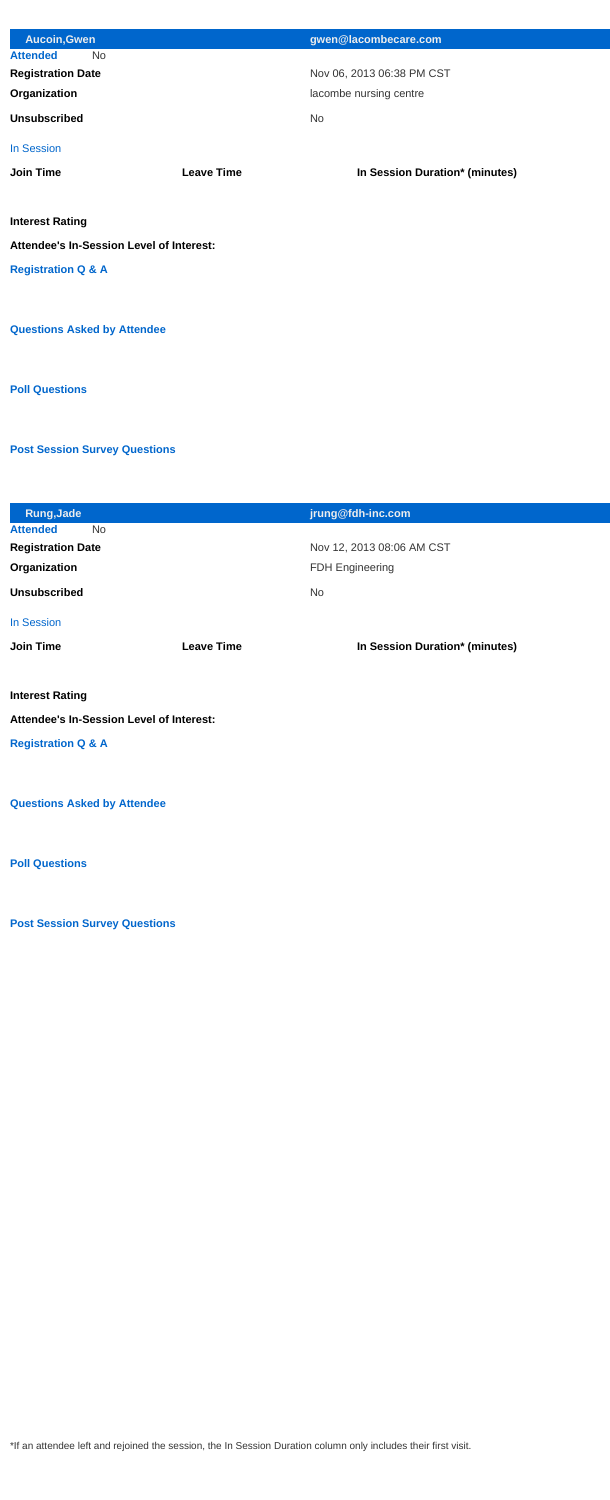| <b>Aucoin, Gwen</b>                      |                   | gwen@lacombecare.com           |
|------------------------------------------|-------------------|--------------------------------|
| <b>Attended</b><br><b>No</b>             |                   |                                |
| <b>Registration Date</b>                 |                   | Nov 06, 2013 06:38 PM CST      |
| Organization                             |                   | lacombe nursing centre         |
| <b>Unsubscribed</b>                      |                   | <b>No</b>                      |
| In Session                               |                   |                                |
| <b>Join Time</b>                         | <b>Leave Time</b> | In Session Duration* (minutes) |
|                                          |                   |                                |
| <b>Interest Rating</b>                   |                   |                                |
| Attendee's In-Session Level of Interest: |                   |                                |
| <b>Registration Q &amp; A</b>            |                   |                                |
|                                          |                   |                                |
| <b>Questions Asked by Attendee</b>       |                   |                                |
|                                          |                   |                                |
|                                          |                   |                                |
| <b>Poll Questions</b>                    |                   |                                |

| <b>Rung, Jade</b>                        |                   | jrung@fdh-inc.com              |
|------------------------------------------|-------------------|--------------------------------|
| <b>Attended</b><br><b>No</b>             |                   |                                |
| <b>Registration Date</b>                 |                   | Nov 12, 2013 08:06 AM CST      |
| Organization                             |                   | <b>FDH Engineering</b>         |
| <b>Unsubscribed</b>                      |                   | <b>No</b>                      |
| In Session                               |                   |                                |
| <b>Join Time</b>                         | <b>Leave Time</b> | In Session Duration* (minutes) |
|                                          |                   |                                |
| <b>Interest Rating</b>                   |                   |                                |
| Attendee's In-Session Level of Interest: |                   |                                |
| <b>Registration Q &amp; A</b>            |                   |                                |
|                                          |                   |                                |
| <b>Questions Asked by Attendee</b>       |                   |                                |

**Post Session Survey Questions**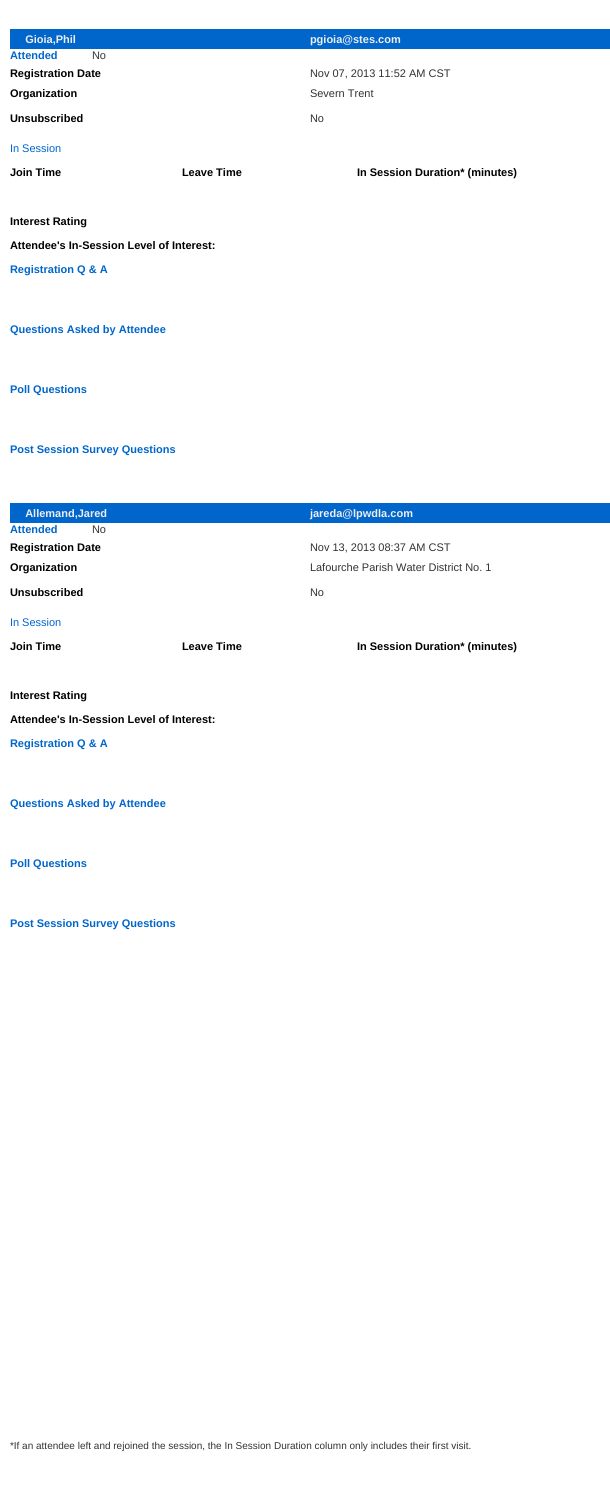| Gioia, Phil                                     |                   | pgioia@stes.com                |
|-------------------------------------------------|-------------------|--------------------------------|
| <b>Attended</b><br><b>No</b>                    |                   |                                |
| <b>Registration Date</b>                        |                   | Nov 07, 2013 11:52 AM CST      |
| Organization                                    |                   | <b>Severn Trent</b>            |
| <b>Unsubscribed</b>                             |                   | <b>No</b>                      |
| <b>In Session</b>                               |                   |                                |
| <b>Join Time</b>                                | <b>Leave Time</b> | In Session Duration* (minutes) |
|                                                 |                   |                                |
| <b>Interest Rating</b>                          |                   |                                |
| <b>Attendee's In-Session Level of Interest:</b> |                   |                                |
| <b>Registration Q &amp; A</b>                   |                   |                                |
|                                                 |                   |                                |
|                                                 |                   |                                |
| <b>Questions Asked by Attendee</b>              |                   |                                |
|                                                 |                   |                                |
| <b>Poll Questions</b>                           |                   |                                |
|                                                 |                   |                                |

| <b>Allemand, Jared</b>                   |                   | jareda@lpwdla.com                     |  |
|------------------------------------------|-------------------|---------------------------------------|--|
| <b>Attended</b><br><b>No</b>             |                   |                                       |  |
| <b>Registration Date</b>                 |                   | Nov 13, 2013 08:37 AM CST             |  |
| Organization                             |                   | Lafourche Parish Water District No. 1 |  |
| <b>Unsubscribed</b>                      |                   | <b>No</b>                             |  |
| In Session                               |                   |                                       |  |
| <b>Join Time</b>                         | <b>Leave Time</b> | In Session Duration* (minutes)        |  |
|                                          |                   |                                       |  |
| <b>Interest Rating</b>                   |                   |                                       |  |
| Attendee's In-Session Level of Interest: |                   |                                       |  |
| <b>Registration Q &amp; A</b>            |                   |                                       |  |
|                                          |                   |                                       |  |
| <b>Questions Asked by Attendee</b>       |                   |                                       |  |

**Post Session Survey Questions**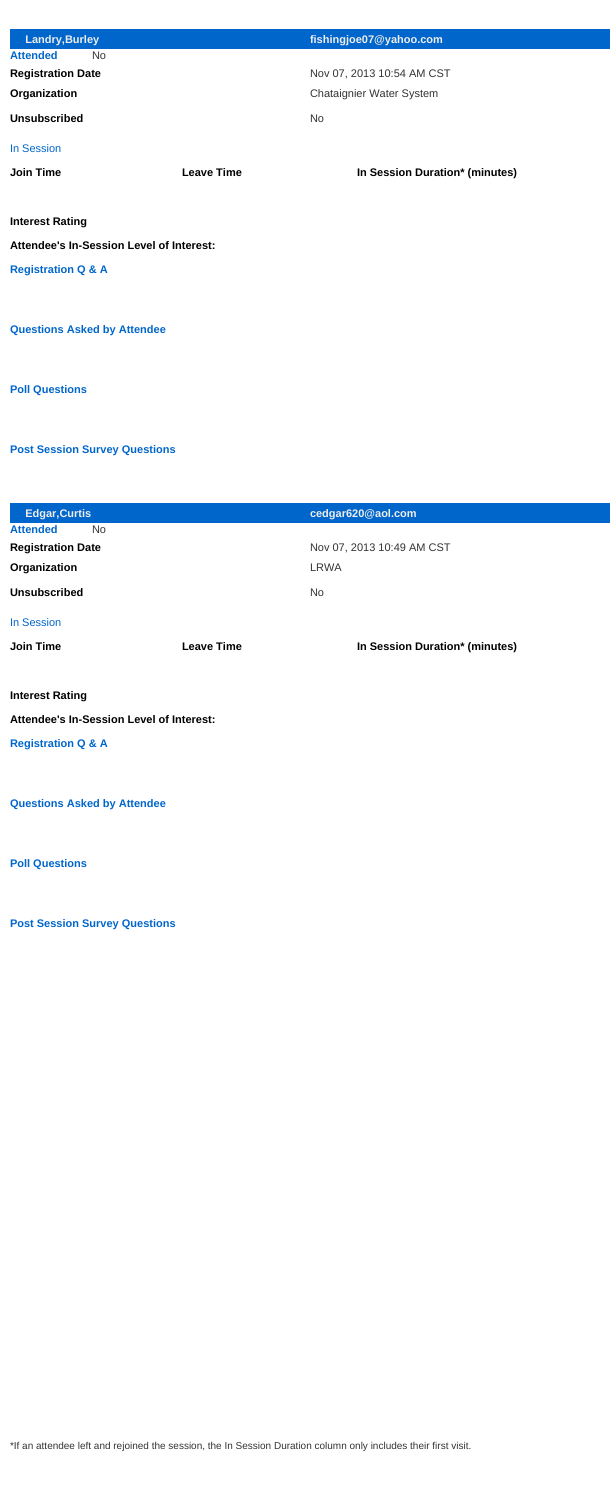| <b>Landry, Burley</b>                           |                   | fishingjoe07@yahoo.com         |
|-------------------------------------------------|-------------------|--------------------------------|
| <b>Attended</b><br><b>No</b>                    |                   |                                |
| <b>Registration Date</b>                        |                   | Nov 07, 2013 10:54 AM CST      |
| Organization                                    |                   | Chataignier Water System       |
| <b>Unsubscribed</b>                             |                   | <b>No</b>                      |
| <b>In Session</b>                               |                   |                                |
| <b>Join Time</b>                                | <b>Leave Time</b> | In Session Duration* (minutes) |
|                                                 |                   |                                |
| <b>Interest Rating</b>                          |                   |                                |
| <b>Attendee's In-Session Level of Interest:</b> |                   |                                |
| <b>Registration Q &amp; A</b>                   |                   |                                |
|                                                 |                   |                                |
| <b>Questions Asked by Attendee</b>              |                   |                                |
|                                                 |                   |                                |
| <b>Poll Questions</b>                           |                   |                                |
|                                                 |                   |                                |

| <b>Edgar, Curtis</b>                     |                   | cedgar620@aol.com              |  |
|------------------------------------------|-------------------|--------------------------------|--|
| <b>Attended</b><br><b>No</b>             |                   |                                |  |
| <b>Registration Date</b>                 |                   | Nov 07, 2013 10:49 AM CST      |  |
| Organization                             |                   | <b>LRWA</b>                    |  |
| <b>Unsubscribed</b>                      |                   | <b>No</b>                      |  |
| <b>In Session</b>                        |                   |                                |  |
| <b>Join Time</b>                         | <b>Leave Time</b> | In Session Duration* (minutes) |  |
|                                          |                   |                                |  |
| <b>Interest Rating</b>                   |                   |                                |  |
| Attendee's In-Session Level of Interest: |                   |                                |  |
| <b>Registration Q &amp; A</b>            |                   |                                |  |
|                                          |                   |                                |  |
|                                          |                   |                                |  |

**Post Session Survey Questions**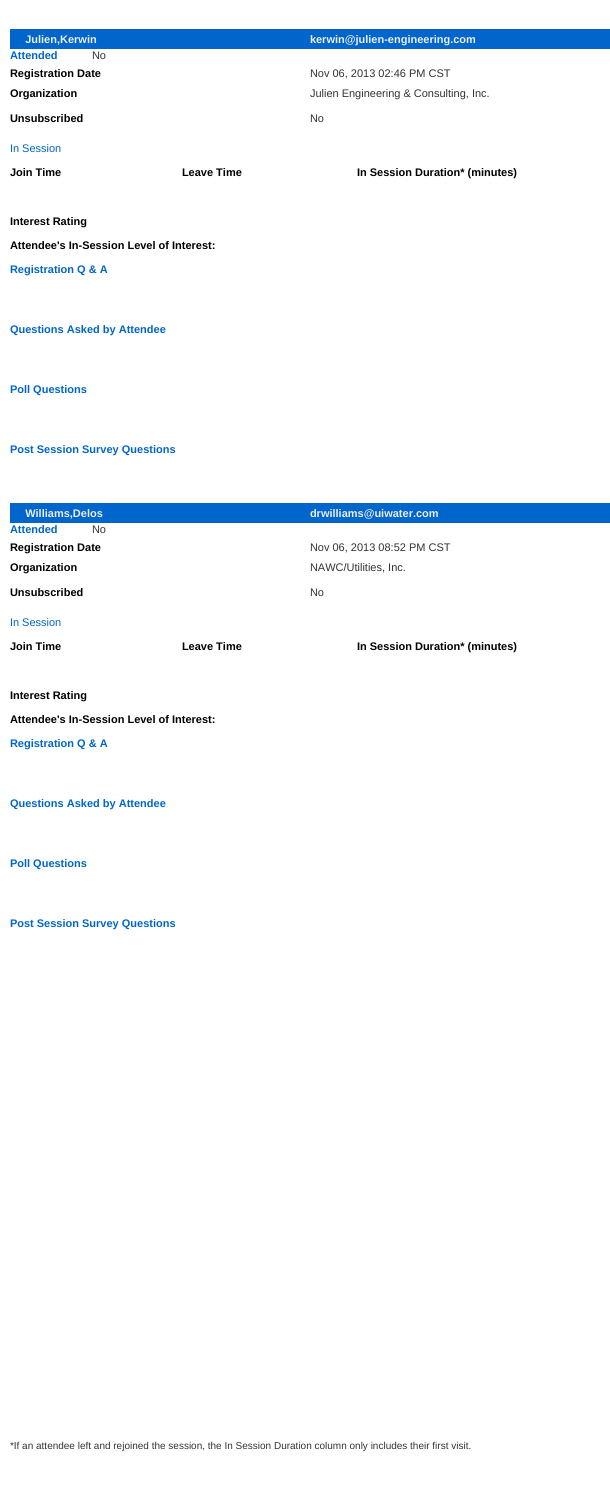| <b>Julien, Kerwin</b>                           |                   | kerwin@julien-engineering.com         |
|-------------------------------------------------|-------------------|---------------------------------------|
| <b>Attended</b><br><b>No</b>                    |                   |                                       |
| <b>Registration Date</b>                        |                   | Nov 06, 2013 02:46 PM CST             |
| Organization                                    |                   | Julien Engineering & Consulting, Inc. |
| <b>Unsubscribed</b>                             |                   | <b>No</b>                             |
| <b>In Session</b>                               |                   |                                       |
| <b>Join Time</b>                                | <b>Leave Time</b> | In Session Duration* (minutes)        |
|                                                 |                   |                                       |
| <b>Interest Rating</b>                          |                   |                                       |
| <b>Attendee's In-Session Level of Interest:</b> |                   |                                       |
| <b>Registration Q &amp; A</b>                   |                   |                                       |
|                                                 |                   |                                       |
| <b>Questions Asked by Attendee</b>              |                   |                                       |
|                                                 |                   |                                       |
|                                                 |                   |                                       |
| <b>Poll Questions</b>                           |                   |                                       |
|                                                 |                   |                                       |

| <b>Williams, Delos</b>                          |                   | drwilliams@uiwater.com         |  |
|-------------------------------------------------|-------------------|--------------------------------|--|
| <b>Attended</b><br><b>No</b>                    |                   |                                |  |
| <b>Registration Date</b>                        |                   | Nov 06, 2013 08:52 PM CST      |  |
| Organization                                    |                   | NAWC/Utilities, Inc.           |  |
| <b>Unsubscribed</b>                             |                   | <b>No</b>                      |  |
| <b>In Session</b>                               |                   |                                |  |
| <b>Join Time</b>                                | <b>Leave Time</b> | In Session Duration* (minutes) |  |
|                                                 |                   |                                |  |
| <b>Interest Rating</b>                          |                   |                                |  |
| <b>Attendee's In-Session Level of Interest:</b> |                   |                                |  |
| <b>Registration Q &amp; A</b>                   |                   |                                |  |
|                                                 |                   |                                |  |
| <b>Questions Asked by Attendee</b>              |                   |                                |  |

**Post Session Survey Questions**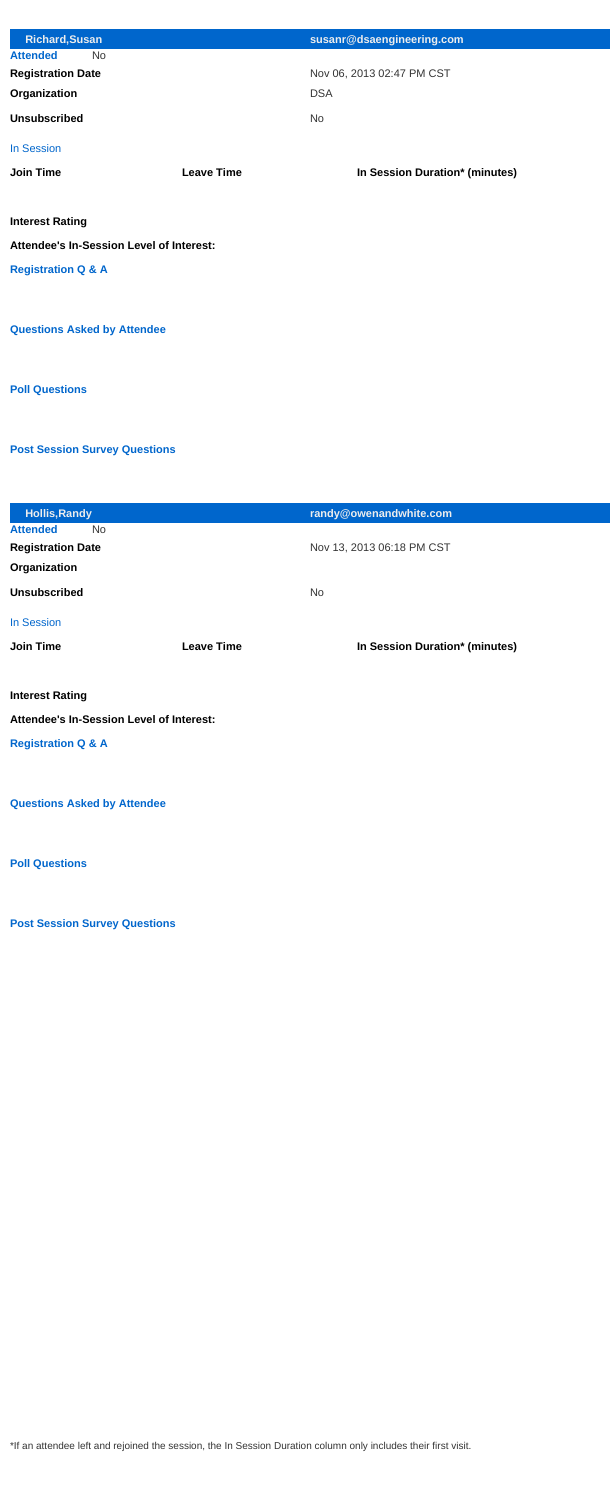| <b>Richard, Susan</b>                           |                   | susanr@dsaengineering.com      |
|-------------------------------------------------|-------------------|--------------------------------|
| <b>Attended</b><br><b>No</b>                    |                   |                                |
| <b>Registration Date</b>                        |                   | Nov 06, 2013 02:47 PM CST      |
| Organization                                    |                   | <b>DSA</b>                     |
| <b>Unsubscribed</b>                             |                   | <b>No</b>                      |
| <b>In Session</b>                               |                   |                                |
| <b>Join Time</b>                                | <b>Leave Time</b> | In Session Duration* (minutes) |
|                                                 |                   |                                |
| <b>Interest Rating</b>                          |                   |                                |
| <b>Attendee's In-Session Level of Interest:</b> |                   |                                |
| <b>Registration Q &amp; A</b>                   |                   |                                |
|                                                 |                   |                                |
|                                                 |                   |                                |
| <b>Questions Asked by Attendee</b>              |                   |                                |
|                                                 |                   |                                |
| <b>Poll Questions</b>                           |                   |                                |
|                                                 |                   |                                |

| <b>Hollis, Randy</b>                            |                   | randy@owenandwhite.com         |
|-------------------------------------------------|-------------------|--------------------------------|
| <b>Attended</b><br><b>No</b>                    |                   |                                |
| <b>Registration Date</b>                        |                   | Nov 13, 2013 06:18 PM CST      |
| Organization                                    |                   |                                |
| <b>Unsubscribed</b>                             |                   | <b>No</b>                      |
| In Session                                      |                   |                                |
| <b>Join Time</b>                                | <b>Leave Time</b> | In Session Duration* (minutes) |
|                                                 |                   |                                |
| <b>Interest Rating</b>                          |                   |                                |
| <b>Attendee's In-Session Level of Interest:</b> |                   |                                |
| <b>Registration Q &amp; A</b>                   |                   |                                |
|                                                 |                   |                                |
|                                                 |                   |                                |
| <b>Questions Asked by Attendee</b>              |                   |                                |

**Post Session Survey Questions**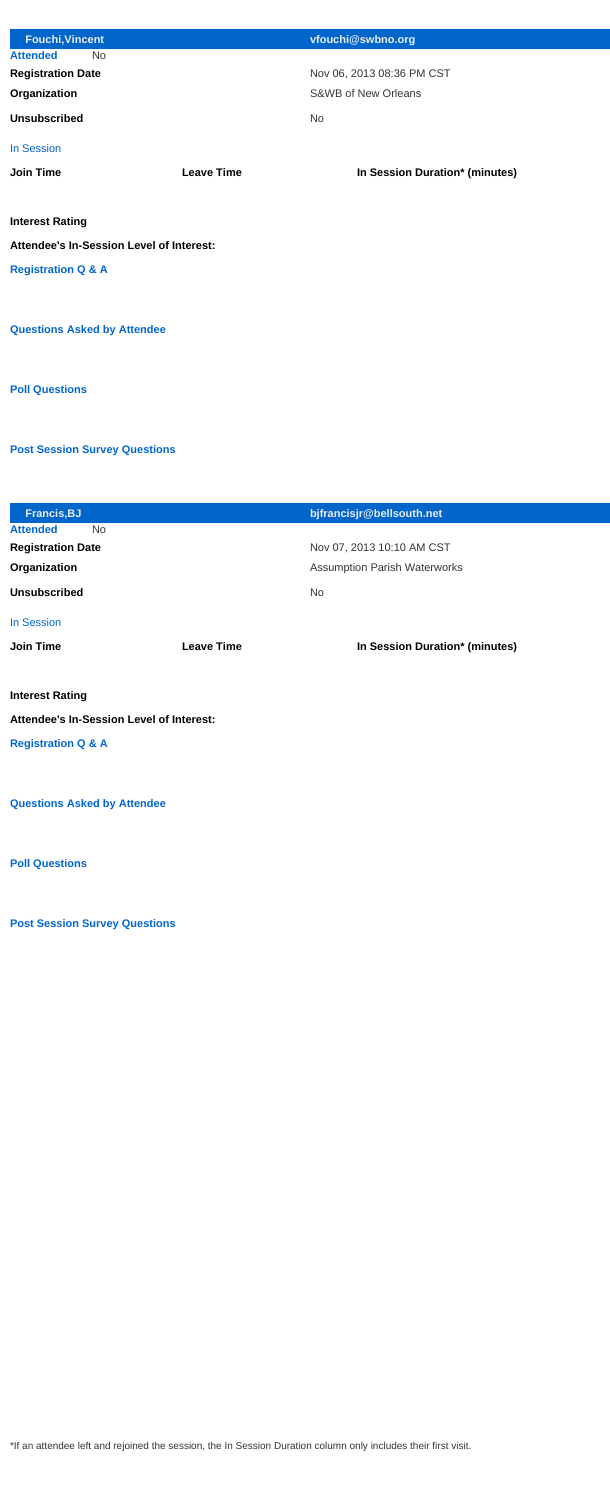| <b>Fouchi, Vincent</b>                   |                   | vfouchi@swbno.org              |
|------------------------------------------|-------------------|--------------------------------|
| <b>Attended</b><br><b>No</b>             |                   |                                |
| <b>Registration Date</b>                 |                   | Nov 06, 2013 08:36 PM CST      |
| Organization                             |                   | <b>S&amp;WB of New Orleans</b> |
| <b>Unsubscribed</b>                      |                   | <b>No</b>                      |
| In Session                               |                   |                                |
| <b>Join Time</b>                         | <b>Leave Time</b> | In Session Duration* (minutes) |
|                                          |                   |                                |
| <b>Interest Rating</b>                   |                   |                                |
| Attendee's In-Session Level of Interest: |                   |                                |
| <b>Registration Q &amp; A</b>            |                   |                                |
|                                          |                   |                                |
|                                          |                   |                                |
| <b>Questions Asked by Attendee</b>       |                   |                                |
|                                          |                   |                                |
| <b>Poll Questions</b>                    |                   |                                |
|                                          |                   |                                |

| <b>Francis, BJ</b>                              |                   | bjfrancisjr@bellsouth.net           |
|-------------------------------------------------|-------------------|-------------------------------------|
| <b>Attended</b><br><b>No</b>                    |                   |                                     |
| <b>Registration Date</b>                        |                   | Nov 07, 2013 10:10 AM CST           |
| Organization                                    |                   | <b>Assumption Parish Waterworks</b> |
| <b>Unsubscribed</b>                             |                   | <b>No</b>                           |
| <b>In Session</b>                               |                   |                                     |
|                                                 |                   |                                     |
| <b>Join Time</b>                                | <b>Leave Time</b> | In Session Duration* (minutes)      |
|                                                 |                   |                                     |
| <b>Interest Rating</b>                          |                   |                                     |
| <b>Attendee's In-Session Level of Interest:</b> |                   |                                     |
| <b>Registration Q &amp; A</b>                   |                   |                                     |
|                                                 |                   |                                     |

**Questions Asked by Attendee**

**Post Session Survey Questions**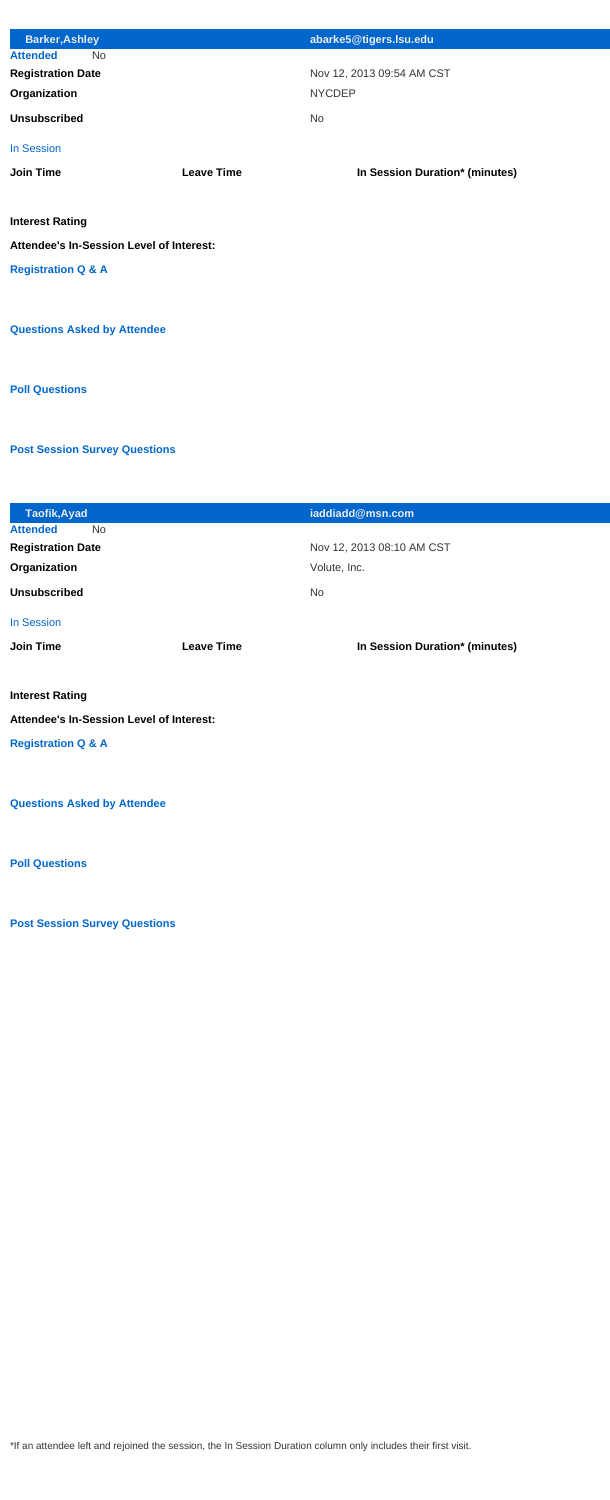| <b>Barker, Ashley</b>                    |                   | abarke5@tigers.lsu.edu         |
|------------------------------------------|-------------------|--------------------------------|
| <b>Attended</b><br><b>No</b>             |                   |                                |
| <b>Registration Date</b>                 |                   | Nov 12, 2013 09:54 AM CST      |
| Organization                             |                   | <b>NYCDEP</b>                  |
| <b>Unsubscribed</b>                      |                   | <b>No</b>                      |
| <b>In Session</b>                        |                   |                                |
| <b>Join Time</b>                         | <b>Leave Time</b> | In Session Duration* (minutes) |
|                                          |                   |                                |
| <b>Interest Rating</b>                   |                   |                                |
| Attendee's In-Session Level of Interest: |                   |                                |
| <b>Registration Q &amp; A</b>            |                   |                                |
|                                          |                   |                                |
|                                          |                   |                                |
| <b>Questions Asked by Attendee</b>       |                   |                                |
|                                          |                   |                                |
| <b>Poll Questions</b>                    |                   |                                |
|                                          |                   |                                |

| <b>Taofik, Ayad</b>                      |                   | iaddiadd@msn.com               |  |
|------------------------------------------|-------------------|--------------------------------|--|
| <b>Attended</b><br><b>No</b>             |                   |                                |  |
| <b>Registration Date</b>                 |                   | Nov 12, 2013 08:10 AM CST      |  |
| Organization                             |                   | Volute, Inc.                   |  |
| <b>Unsubscribed</b>                      |                   | <b>No</b>                      |  |
| In Session                               |                   |                                |  |
| <b>Join Time</b>                         | <b>Leave Time</b> | In Session Duration* (minutes) |  |
|                                          |                   |                                |  |
| <b>Interest Rating</b>                   |                   |                                |  |
| Attendee's In-Session Level of Interest: |                   |                                |  |
| <b>Registration Q &amp; A</b>            |                   |                                |  |
|                                          |                   |                                |  |
| <b>Questions Asked by Attendee</b>       |                   |                                |  |

**Post Session Survey Questions**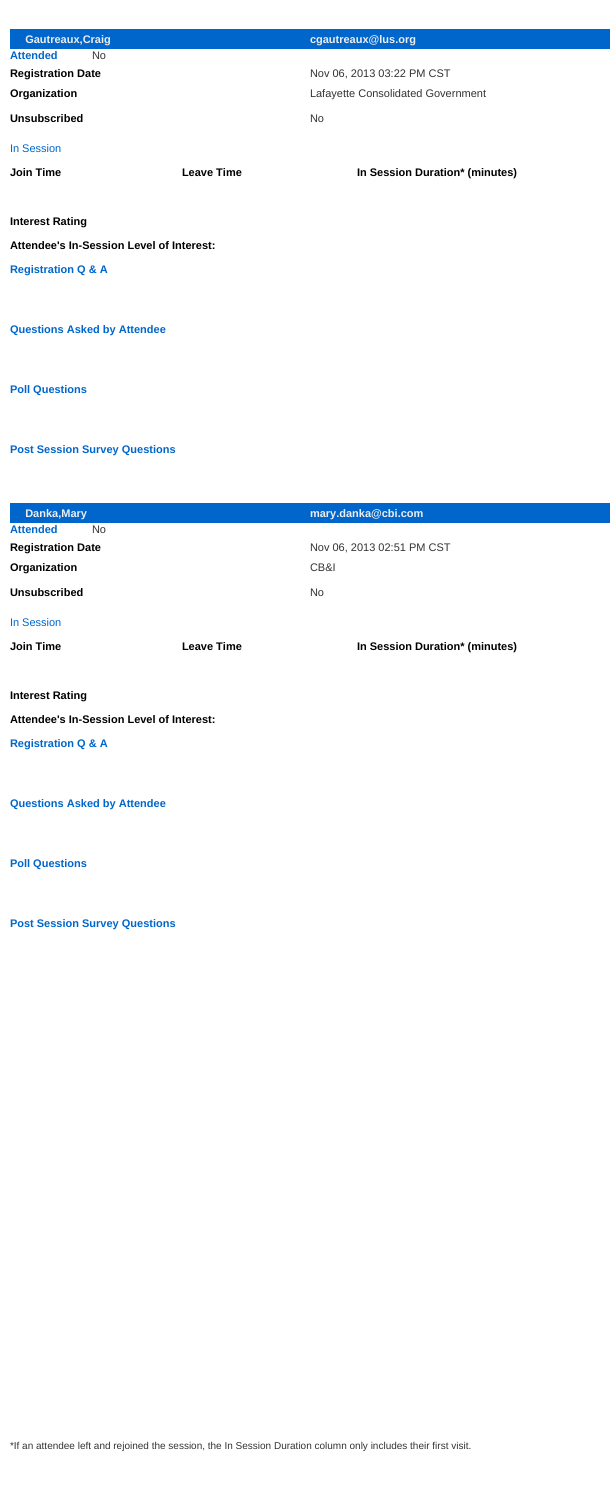| <b>Gautreaux, Craig</b>                         |                   | cgautreaux@lus.org                |
|-------------------------------------------------|-------------------|-----------------------------------|
| <b>Attended</b><br><b>No</b>                    |                   |                                   |
| <b>Registration Date</b>                        |                   | Nov 06, 2013 03:22 PM CST         |
| Organization                                    |                   | Lafayette Consolidated Government |
| <b>Unsubscribed</b>                             |                   | <b>No</b>                         |
| In Session                                      |                   |                                   |
| <b>Join Time</b>                                | <b>Leave Time</b> | In Session Duration* (minutes)    |
|                                                 |                   |                                   |
| <b>Interest Rating</b>                          |                   |                                   |
| <b>Attendee's In-Session Level of Interest:</b> |                   |                                   |
| <b>Registration Q &amp; A</b>                   |                   |                                   |
|                                                 |                   |                                   |
| <b>Questions Asked by Attendee</b>              |                   |                                   |
|                                                 |                   |                                   |
| <b>Poll Questions</b>                           |                   |                                   |
|                                                 |                   |                                   |

| Danka, Mary                              |                   | mary.danka@cbi.com             |
|------------------------------------------|-------------------|--------------------------------|
| <b>Attended</b><br><b>No</b>             |                   |                                |
| <b>Registration Date</b>                 |                   | Nov 06, 2013 02:51 PM CST      |
| Organization                             |                   | CB&I                           |
| <b>Unsubscribed</b>                      |                   | <b>No</b>                      |
|                                          |                   |                                |
| <b>In Session</b>                        |                   |                                |
| <b>Join Time</b>                         | <b>Leave Time</b> | In Session Duration* (minutes) |
|                                          |                   |                                |
| <b>Interest Rating</b>                   |                   |                                |
| Attendee's In-Session Level of Interest: |                   |                                |
| <b>Registration Q &amp; A</b>            |                   |                                |
|                                          |                   |                                |
|                                          |                   |                                |
| <b>Questions Asked by Attendee</b>       |                   |                                |

**Post Session Survey Questions**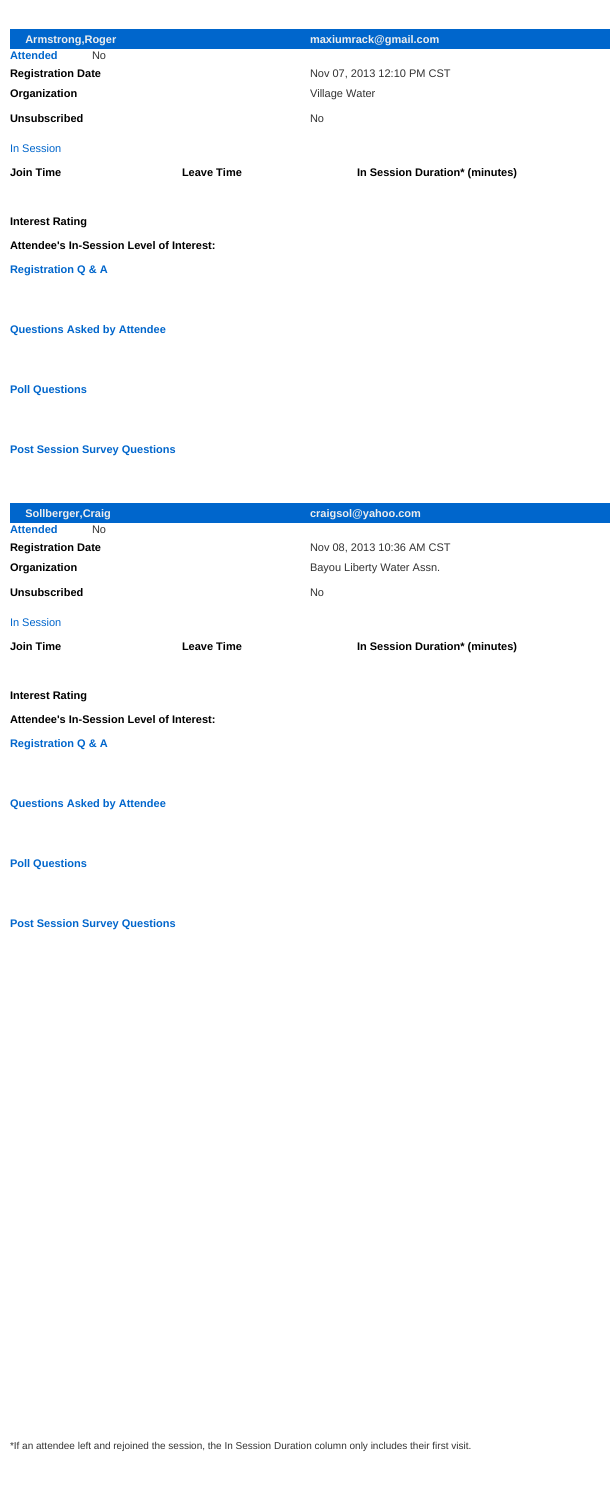| <b>Armstrong, Roger</b>                  |                   | maxiumrack@gmail.com           |
|------------------------------------------|-------------------|--------------------------------|
| <b>Attended</b><br><b>No</b>             |                   |                                |
| <b>Registration Date</b>                 |                   | Nov 07, 2013 12:10 PM CST      |
| Organization                             |                   | Village Water                  |
| <b>Unsubscribed</b>                      |                   | <b>No</b>                      |
| <b>In Session</b>                        |                   |                                |
| <b>Join Time</b>                         | <b>Leave Time</b> | In Session Duration* (minutes) |
|                                          |                   |                                |
| <b>Interest Rating</b>                   |                   |                                |
| Attendee's In-Session Level of Interest: |                   |                                |
| <b>Registration Q &amp; A</b>            |                   |                                |
|                                          |                   |                                |
|                                          |                   |                                |
| <b>Questions Asked by Attendee</b>       |                   |                                |
|                                          |                   |                                |
| <b>Poll Questions</b>                    |                   |                                |
|                                          |                   |                                |

| <b>Sollberger, Craig</b>                        |                   | craigsol@yahoo.com             |
|-------------------------------------------------|-------------------|--------------------------------|
| <b>Attended</b><br><b>No</b>                    |                   |                                |
| <b>Registration Date</b>                        |                   | Nov 08, 2013 10:36 AM CST      |
| Organization                                    |                   | Bayou Liberty Water Assn.      |
| <b>Unsubscribed</b>                             |                   | <b>No</b>                      |
| In Session                                      |                   |                                |
| <b>Join Time</b>                                | <b>Leave Time</b> | In Session Duration* (minutes) |
|                                                 |                   |                                |
| <b>Interest Rating</b>                          |                   |                                |
| <b>Attendee's In-Session Level of Interest:</b> |                   |                                |
| <b>Registration Q &amp; A</b>                   |                   |                                |
|                                                 |                   |                                |
| <b>Questions Asked by Attendee</b>              |                   |                                |

**Post Session Survey Questions**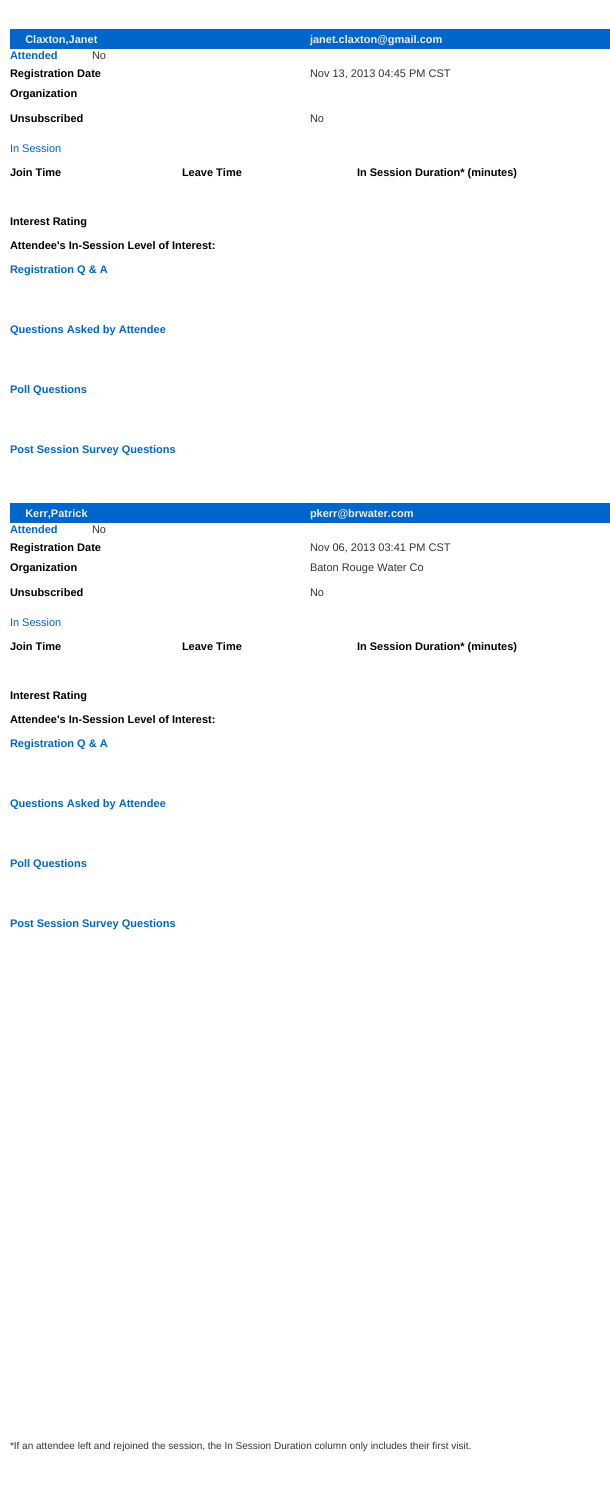| <b>Claxton, Janet</b>                    |                   | janet.claxton@gmail.com        |
|------------------------------------------|-------------------|--------------------------------|
| <b>Attended</b><br><b>No</b>             |                   |                                |
| <b>Registration Date</b>                 |                   | Nov 13, 2013 04:45 PM CST      |
| Organization                             |                   |                                |
| <b>Unsubscribed</b>                      |                   | <b>No</b>                      |
| <b>In Session</b>                        |                   |                                |
| <b>Join Time</b>                         | <b>Leave Time</b> | In Session Duration* (minutes) |
|                                          |                   |                                |
| <b>Interest Rating</b>                   |                   |                                |
| Attendee's In-Session Level of Interest: |                   |                                |
| <b>Registration Q &amp; A</b>            |                   |                                |
|                                          |                   |                                |
| <b>Questions Asked by Attendee</b>       |                   |                                |
|                                          |                   |                                |
|                                          |                   |                                |
| <b>Poll Questions</b>                    |                   |                                |

| <b>Kerr, Patrick</b>                            | pkerr@brwater.com              |
|-------------------------------------------------|--------------------------------|
| <b>Attended</b><br><b>No</b>                    |                                |
| <b>Registration Date</b>                        | Nov 06, 2013 03:41 PM CST      |
| Organization                                    | Baton Rouge Water Co           |
| <b>Unsubscribed</b>                             | <b>No</b>                      |
| In Session                                      |                                |
| <b>Join Time</b><br><b>Leave Time</b>           | In Session Duration* (minutes) |
|                                                 |                                |
|                                                 |                                |
| <b>Interest Rating</b>                          |                                |
| <b>Attendee's In-Session Level of Interest:</b> |                                |
| <b>Registration Q &amp; A</b>                   |                                |
|                                                 |                                |

**Post Session Survey Questions**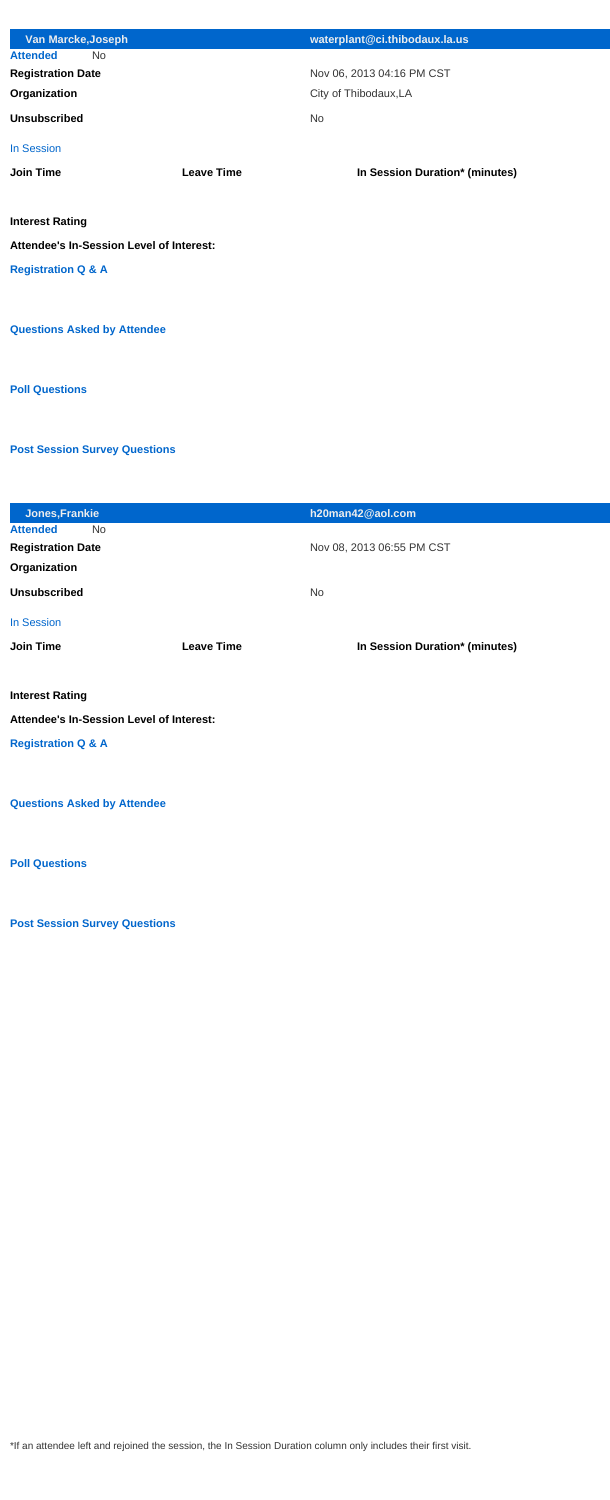| <b>Van Marcke, Joseph</b>                       |                   | waterplant@ci.thibodaux.la.us  |
|-------------------------------------------------|-------------------|--------------------------------|
| <b>Attended</b><br><b>No</b>                    |                   |                                |
| <b>Registration Date</b>                        |                   | Nov 06, 2013 04:16 PM CST      |
| Organization                                    |                   | City of Thibodaux, LA          |
| <b>Unsubscribed</b>                             |                   | <b>No</b>                      |
| <b>In Session</b>                               |                   |                                |
| <b>Join Time</b>                                | <b>Leave Time</b> | In Session Duration* (minutes) |
|                                                 |                   |                                |
| <b>Interest Rating</b>                          |                   |                                |
| <b>Attendee's In-Session Level of Interest:</b> |                   |                                |
| <b>Registration Q &amp; A</b>                   |                   |                                |
|                                                 |                   |                                |
|                                                 |                   |                                |
| <b>Questions Asked by Attendee</b>              |                   |                                |
|                                                 |                   |                                |
|                                                 |                   |                                |
| <b>Poll Questions</b>                           |                   |                                |
|                                                 |                   |                                |

| Jones, Frankie                           |                   | h20man42@aol.com               |
|------------------------------------------|-------------------|--------------------------------|
| <b>Attended</b><br><b>No</b>             |                   |                                |
| <b>Registration Date</b>                 |                   | Nov 08, 2013 06:55 PM CST      |
| Organization                             |                   |                                |
| <b>Unsubscribed</b>                      |                   | <b>No</b>                      |
| In Session                               |                   |                                |
| <b>Join Time</b>                         | <b>Leave Time</b> | In Session Duration* (minutes) |
|                                          |                   |                                |
| <b>Interest Rating</b>                   |                   |                                |
| Attendee's In-Session Level of Interest: |                   |                                |
| <b>Registration Q &amp; A</b>            |                   |                                |
|                                          |                   |                                |
|                                          |                   |                                |
| <b>Questions Asked by Attendee</b>       |                   |                                |

**Post Session Survey Questions**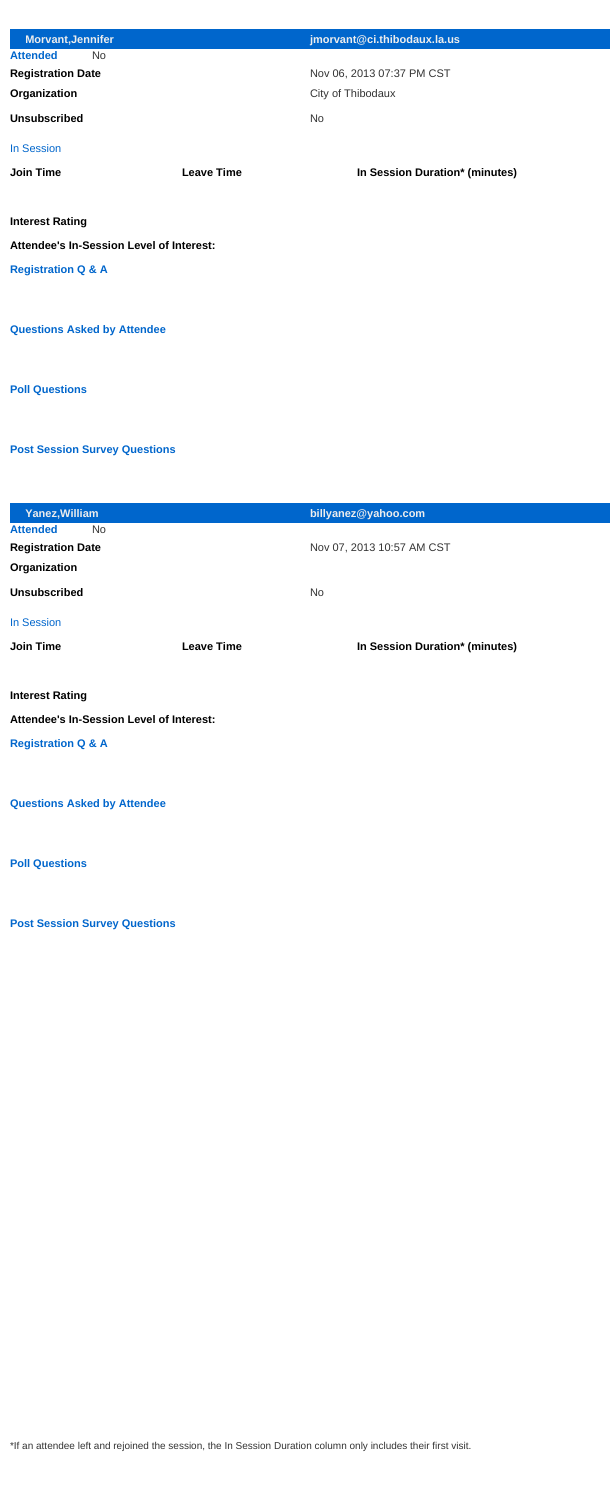| <b>Morvant, Jennifer</b>                        |                   | jmorvant@ci.thibodaux.la.us    |
|-------------------------------------------------|-------------------|--------------------------------|
| <b>Attended</b><br><b>No</b>                    |                   |                                |
| <b>Registration Date</b>                        |                   | Nov 06, 2013 07:37 PM CST      |
| Organization                                    |                   | City of Thibodaux              |
| <b>Unsubscribed</b>                             |                   | <b>No</b>                      |
| <b>In Session</b>                               |                   |                                |
| <b>Join Time</b>                                | <b>Leave Time</b> | In Session Duration* (minutes) |
|                                                 |                   |                                |
| <b>Interest Rating</b>                          |                   |                                |
| <b>Attendee's In-Session Level of Interest:</b> |                   |                                |
| <b>Registration Q &amp; A</b>                   |                   |                                |
|                                                 |                   |                                |
| <b>Questions Asked by Attendee</b>              |                   |                                |
| <b>Poll Questions</b>                           |                   |                                |

| <b>Yanez, William</b>                           |                   | billyanez@yahoo.com            |
|-------------------------------------------------|-------------------|--------------------------------|
| <b>Attended</b><br><b>No</b>                    |                   |                                |
| <b>Registration Date</b>                        |                   | Nov 07, 2013 10:57 AM CST      |
| Organization                                    |                   |                                |
| <b>Unsubscribed</b>                             |                   | <b>No</b>                      |
| <b>In Session</b>                               |                   |                                |
| <b>Join Time</b>                                | <b>Leave Time</b> | In Session Duration* (minutes) |
|                                                 |                   |                                |
| <b>Interest Rating</b>                          |                   |                                |
| <b>Attendee's In-Session Level of Interest:</b> |                   |                                |
| <b>Registration Q &amp; A</b>                   |                   |                                |
|                                                 |                   |                                |
| <b>Questions Asked by Attendee</b>              |                   |                                |
|                                                 |                   |                                |

**Post Session Survey Questions**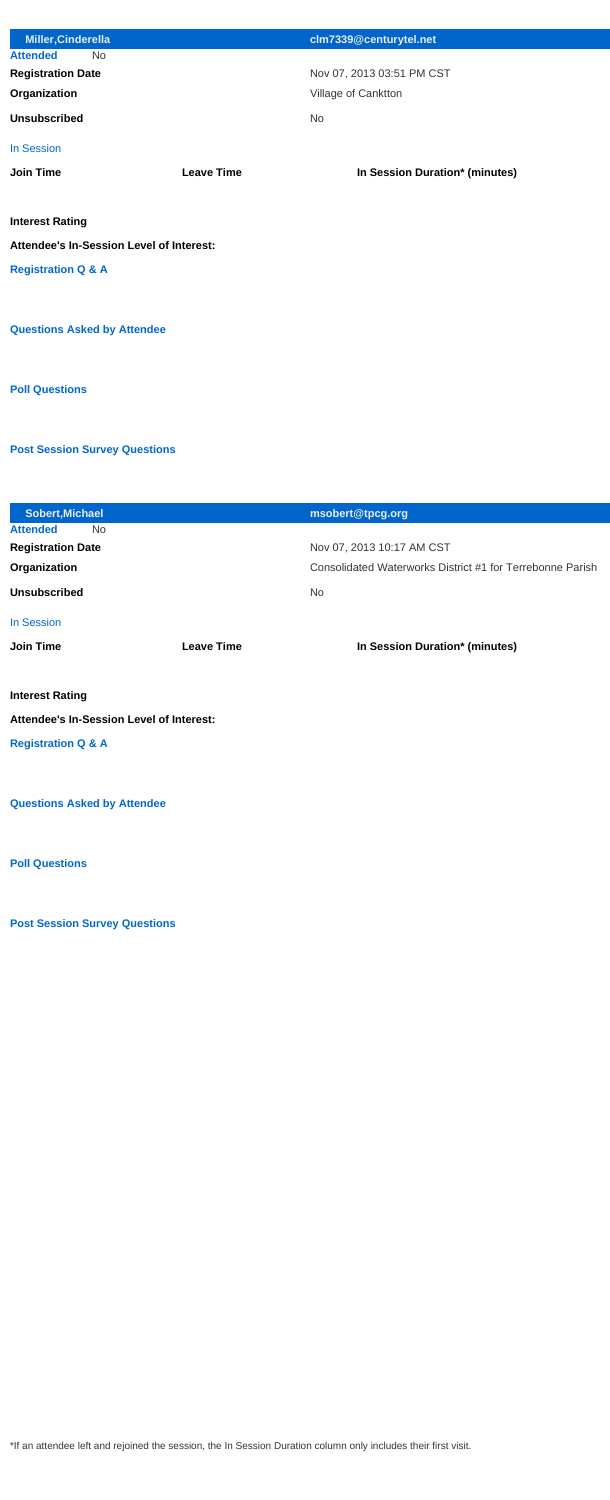| Miller, Cinderella                 |                                          | clm7339@centurytel.net         |  |
|------------------------------------|------------------------------------------|--------------------------------|--|
| <b>Attended</b><br><b>No</b>       |                                          |                                |  |
| <b>Registration Date</b>           |                                          | Nov 07, 2013 03:51 PM CST      |  |
| Organization                       |                                          | Village of Canktton            |  |
| <b>Unsubscribed</b>                |                                          | <b>No</b>                      |  |
| In Session                         |                                          |                                |  |
| <b>Join Time</b>                   | <b>Leave Time</b>                        | In Session Duration* (minutes) |  |
|                                    |                                          |                                |  |
| <b>Interest Rating</b>             |                                          |                                |  |
|                                    | Attendee's In-Session Level of Interest: |                                |  |
| <b>Registration Q &amp; A</b>      |                                          |                                |  |
|                                    |                                          |                                |  |
| <b>Questions Asked by Attendee</b> |                                          |                                |  |
| <b>Poll Questions</b>              |                                          |                                |  |

| <b>Sobert, Michael</b>                   |                   | msobert@tpcg.org                                          |
|------------------------------------------|-------------------|-----------------------------------------------------------|
| <b>Attended</b><br><b>No</b>             |                   |                                                           |
| <b>Registration Date</b>                 |                   | Nov 07, 2013 10:17 AM CST                                 |
| Organization                             |                   | Consolidated Waterworks District #1 for Terrebonne Parish |
| <b>Unsubscribed</b>                      |                   | <b>No</b>                                                 |
| <b>In Session</b>                        |                   |                                                           |
| <b>Join Time</b>                         | <b>Leave Time</b> | In Session Duration* (minutes)                            |
|                                          |                   |                                                           |
| <b>Interest Rating</b>                   |                   |                                                           |
| Attendee's In-Session Level of Interest: |                   |                                                           |
| <b>Registration Q &amp; A</b>            |                   |                                                           |
|                                          |                   |                                                           |
| <b>Questions Asked by Attendee</b>       |                   |                                                           |

**Post Session Survey Questions**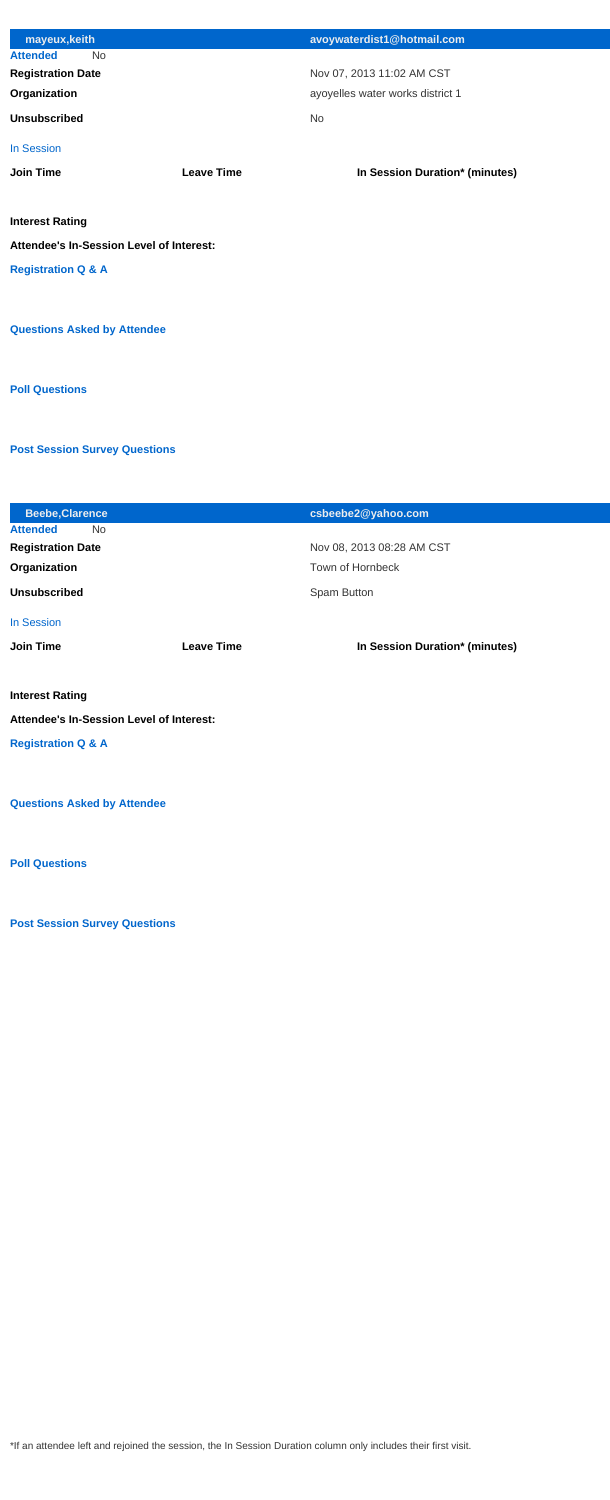| mayeux, keith                            |                   | avoywaterdist1@hotmail.com       |
|------------------------------------------|-------------------|----------------------------------|
| <b>Attended</b><br><b>No</b>             |                   |                                  |
| <b>Registration Date</b>                 |                   | Nov 07, 2013 11:02 AM CST        |
| Organization                             |                   | ayoyelles water works district 1 |
| <b>Unsubscribed</b>                      |                   | <b>No</b>                        |
| <b>In Session</b>                        |                   |                                  |
| <b>Join Time</b>                         | <b>Leave Time</b> | In Session Duration* (minutes)   |
|                                          |                   |                                  |
| <b>Interest Rating</b>                   |                   |                                  |
| Attendee's In-Session Level of Interest: |                   |                                  |
| <b>Registration Q &amp; A</b>            |                   |                                  |
|                                          |                   |                                  |
|                                          |                   |                                  |
| <b>Questions Asked by Attendee</b>       |                   |                                  |
|                                          |                   |                                  |
|                                          |                   |                                  |
| <b>Poll Questions</b>                    |                   |                                  |

| <b>Beebe, Clarence</b>                          |                   | csbeebe2@yahoo.com             |
|-------------------------------------------------|-------------------|--------------------------------|
| <b>Attended</b><br><b>No</b>                    |                   |                                |
| <b>Registration Date</b>                        |                   | Nov 08, 2013 08:28 AM CST      |
| Organization                                    |                   | <b>Town of Hornbeck</b>        |
| <b>Unsubscribed</b>                             |                   | Spam Button                    |
| <b>In Session</b>                               |                   |                                |
|                                                 |                   |                                |
| <b>Join Time</b>                                | <b>Leave Time</b> | In Session Duration* (minutes) |
|                                                 |                   |                                |
| <b>Interest Rating</b>                          |                   |                                |
| <b>Attendee's In-Session Level of Interest:</b> |                   |                                |
| <b>Registration Q &amp; A</b>                   |                   |                                |

## **Questions Asked by Attendee**

**Post Session Survey Questions**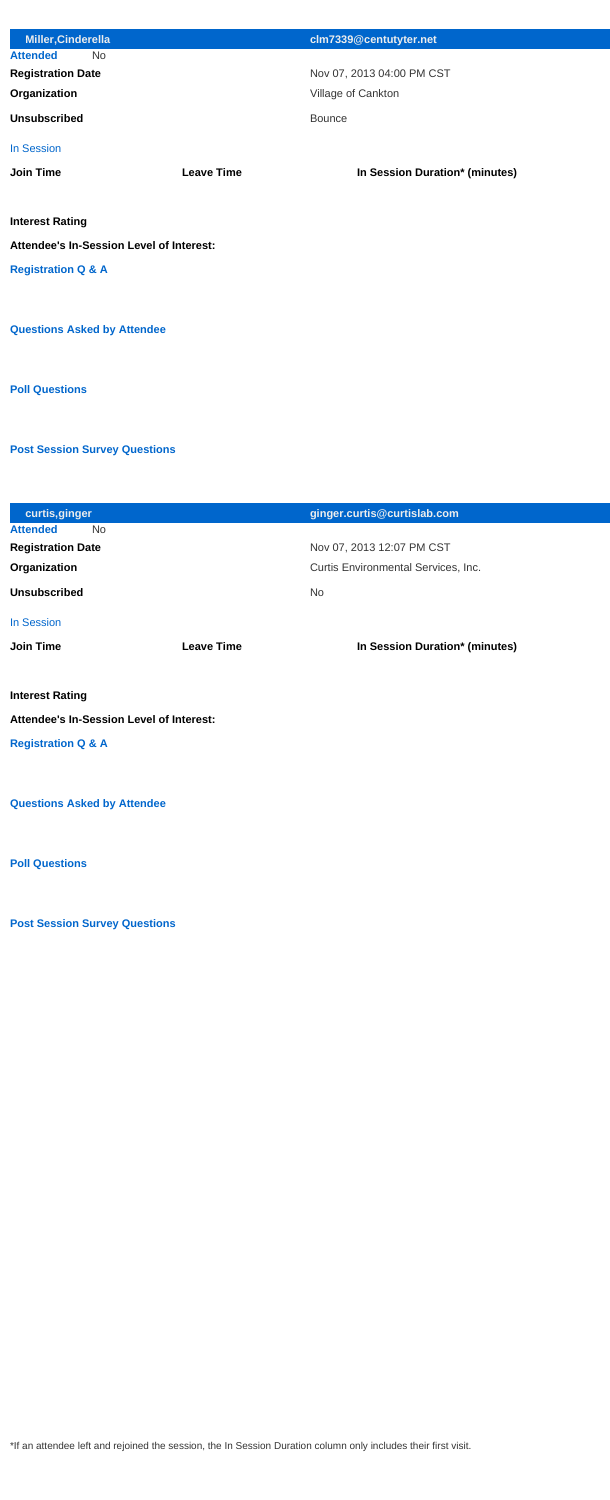| Miller, Cinderella                       |                   | clm7339@centutyter.net         |
|------------------------------------------|-------------------|--------------------------------|
| <b>Attended</b><br><b>No</b>             |                   |                                |
| <b>Registration Date</b>                 |                   | Nov 07, 2013 04:00 PM CST      |
| Organization                             |                   | Village of Cankton             |
| <b>Unsubscribed</b>                      |                   | <b>Bounce</b>                  |
| In Session                               |                   |                                |
| <b>Join Time</b>                         | <b>Leave Time</b> | In Session Duration* (minutes) |
|                                          |                   |                                |
| <b>Interest Rating</b>                   |                   |                                |
| Attendee's In-Session Level of Interest: |                   |                                |
| <b>Registration Q &amp; A</b>            |                   |                                |
|                                          |                   |                                |
| <b>Questions Asked by Attendee</b>       |                   |                                |
| <b>Poll Questions</b>                    |                   |                                |

| curtis, ginger                                  |                   | ginger.curtis@curtislab.com         |
|-------------------------------------------------|-------------------|-------------------------------------|
| <b>Attended</b><br><b>No</b>                    |                   |                                     |
| <b>Registration Date</b>                        |                   | Nov 07, 2013 12:07 PM CST           |
| Organization                                    |                   | Curtis Environmental Services, Inc. |
| <b>Unsubscribed</b>                             |                   | <b>No</b>                           |
| <b>In Session</b>                               |                   |                                     |
| <b>Join Time</b>                                | <b>Leave Time</b> | In Session Duration* (minutes)      |
|                                                 |                   |                                     |
| <b>Interest Rating</b>                          |                   |                                     |
| <b>Attendee's In-Session Level of Interest:</b> |                   |                                     |
| <b>Registration Q &amp; A</b>                   |                   |                                     |
|                                                 |                   |                                     |
|                                                 |                   |                                     |

**Questions Asked by Attendee**

**Post Session Survey Questions**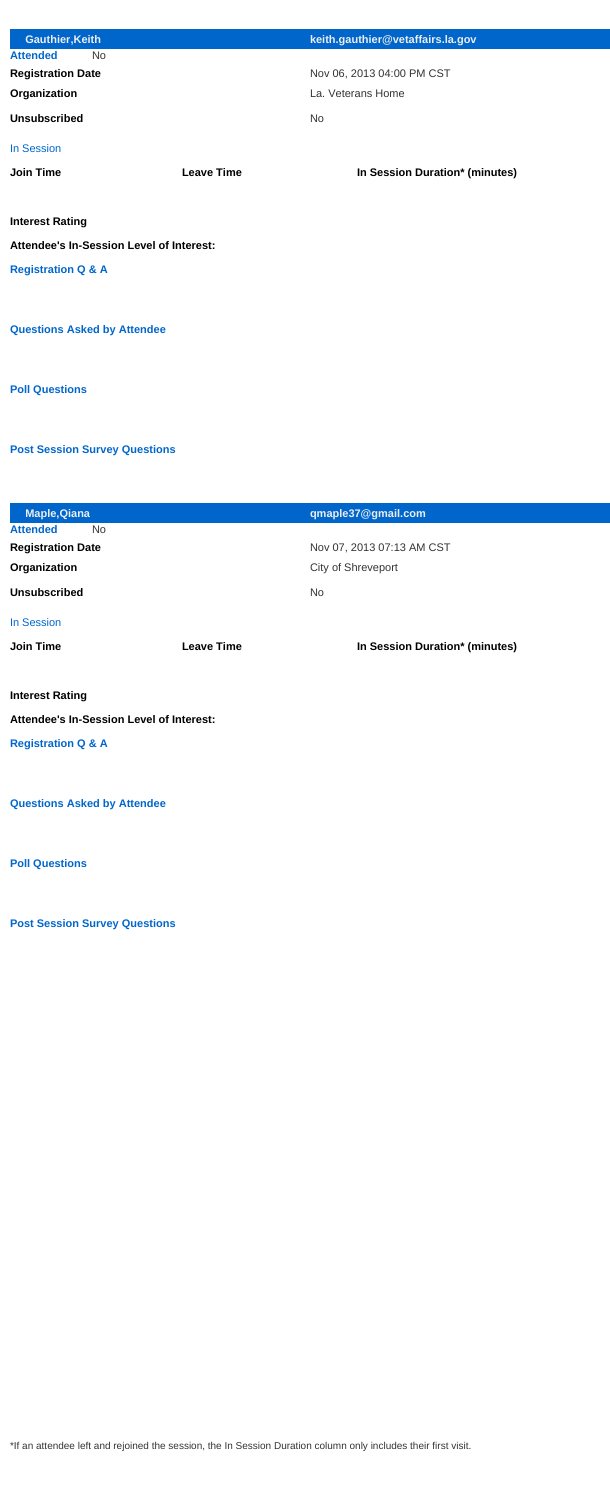| <b>Gauthier, Keith</b>                   |                   | keith.gauthier@vetaffairs.la.gov |
|------------------------------------------|-------------------|----------------------------------|
| <b>Attended</b><br><b>No</b>             |                   |                                  |
| <b>Registration Date</b>                 |                   | Nov 06, 2013 04:00 PM CST        |
| Organization                             |                   | La. Veterans Home                |
| <b>Unsubscribed</b>                      |                   | <b>No</b>                        |
| <b>In Session</b>                        |                   |                                  |
| <b>Join Time</b>                         | <b>Leave Time</b> | In Session Duration* (minutes)   |
|                                          |                   |                                  |
| <b>Interest Rating</b>                   |                   |                                  |
| Attendee's In-Session Level of Interest: |                   |                                  |
| <b>Registration Q &amp; A</b>            |                   |                                  |
|                                          |                   |                                  |
| <b>Questions Asked by Attendee</b>       |                   |                                  |
| <b>Poll Questions</b>                    |                   |                                  |

| <b>Maple, Qiana</b>                      |                   | qmaple37@gmail.com             |  |
|------------------------------------------|-------------------|--------------------------------|--|
| <b>Attended</b><br><b>No</b>             |                   |                                |  |
| <b>Registration Date</b>                 |                   | Nov 07, 2013 07:13 AM CST      |  |
| Organization                             |                   | City of Shreveport             |  |
| <b>Unsubscribed</b>                      |                   | No                             |  |
| In Session                               |                   |                                |  |
| <b>Join Time</b>                         | <b>Leave Time</b> | In Session Duration* (minutes) |  |
|                                          |                   |                                |  |
| <b>Interest Rating</b>                   |                   |                                |  |
| Attendee's In-Session Level of Interest: |                   |                                |  |
| <b>Registration Q &amp; A</b>            |                   |                                |  |
|                                          |                   |                                |  |
| <b>Questions Asked by Attendee</b>       |                   |                                |  |

**Post Session Survey Questions**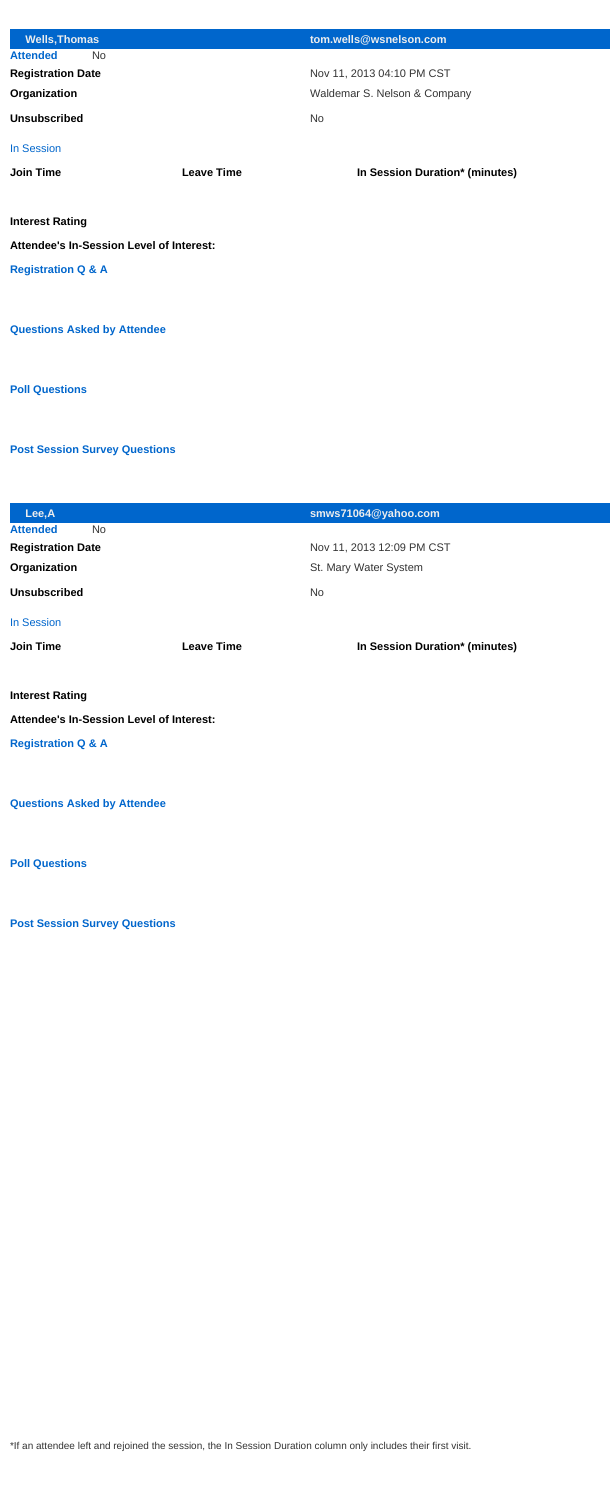| <b>Wells, Thomas</b>                     |                   | tom.wells@wsnelson.com         |
|------------------------------------------|-------------------|--------------------------------|
| <b>Attended</b><br><b>No</b>             |                   |                                |
| <b>Registration Date</b>                 |                   | Nov 11, 2013 04:10 PM CST      |
| Organization                             |                   | Waldemar S. Nelson & Company   |
| <b>Unsubscribed</b>                      |                   | <b>No</b>                      |
| <b>In Session</b>                        |                   |                                |
| <b>Join Time</b>                         | <b>Leave Time</b> | In Session Duration* (minutes) |
|                                          |                   |                                |
| <b>Interest Rating</b>                   |                   |                                |
| Attendee's In-Session Level of Interest: |                   |                                |
| <b>Registration Q &amp; A</b>            |                   |                                |
|                                          |                   |                                |
| <b>Questions Asked by Attendee</b>       |                   |                                |
|                                          |                   |                                |
|                                          |                   |                                |
| <b>Poll Questions</b>                    |                   |                                |
|                                          |                   |                                |

| Lee, A                                   |                   | smws71064@yahoo.com            |
|------------------------------------------|-------------------|--------------------------------|
| <b>No</b><br><b>Attended</b>             |                   |                                |
| <b>Registration Date</b>                 |                   | Nov 11, 2013 12:09 PM CST      |
| Organization                             |                   | St. Mary Water System          |
| <b>Unsubscribed</b>                      |                   | <b>No</b>                      |
| <b>In Session</b>                        |                   |                                |
| <b>Join Time</b>                         | <b>Leave Time</b> | In Session Duration* (minutes) |
|                                          |                   |                                |
| <b>Interest Rating</b>                   |                   |                                |
| Attendee's In-Session Level of Interest: |                   |                                |
| <b>Registration Q &amp; A</b>            |                   |                                |
|                                          |                   |                                |
| <b>Questions Asked by Attendee</b>       |                   |                                |

**Post Session Survey Questions**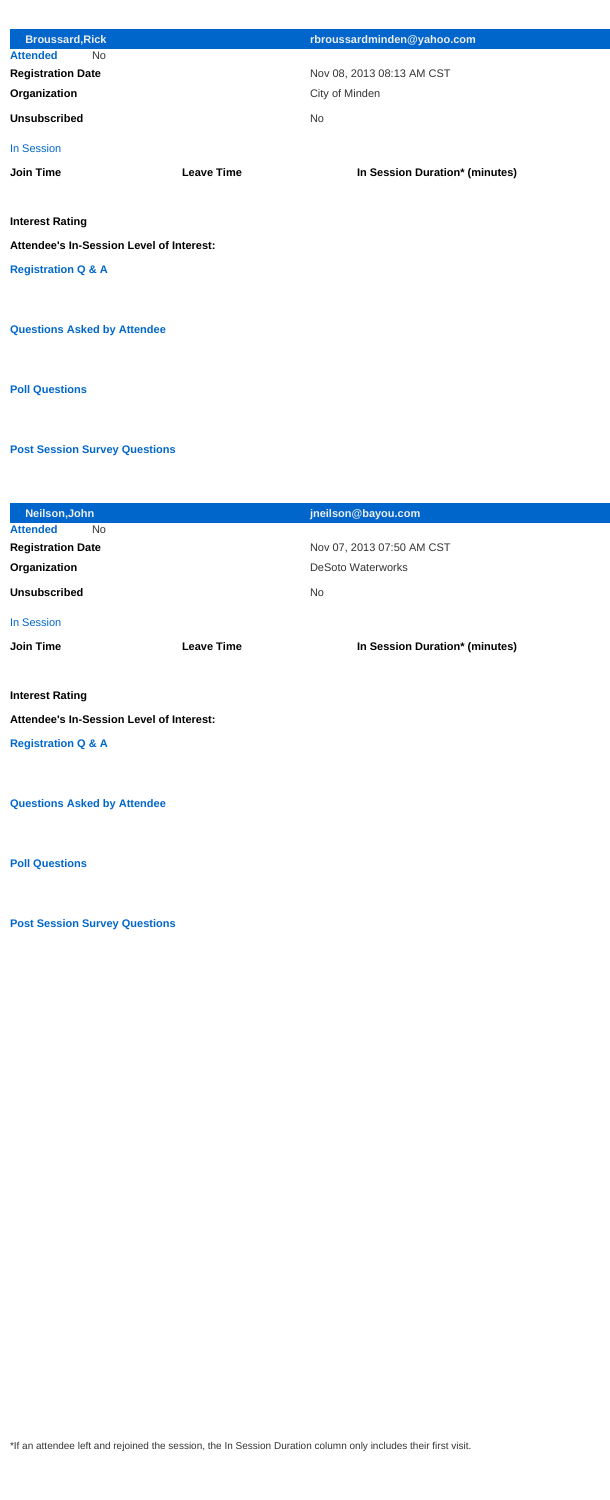| <b>Broussard, Rick</b>                          |                   | rbroussardminden@yahoo.com     |
|-------------------------------------------------|-------------------|--------------------------------|
| <b>Attended</b><br><b>No</b>                    |                   |                                |
| <b>Registration Date</b>                        |                   | Nov 08, 2013 08:13 AM CST      |
| Organization                                    |                   | City of Minden                 |
| <b>Unsubscribed</b>                             |                   | <b>No</b>                      |
| <b>In Session</b>                               |                   |                                |
| <b>Join Time</b>                                | <b>Leave Time</b> | In Session Duration* (minutes) |
|                                                 |                   |                                |
| <b>Interest Rating</b>                          |                   |                                |
| <b>Attendee's In-Session Level of Interest:</b> |                   |                                |
| <b>Registration Q &amp; A</b>                   |                   |                                |
|                                                 |                   |                                |
| <b>Questions Asked by Attendee</b>              |                   |                                |
| <b>Poll Questions</b>                           |                   |                                |

| Neilson, John                            |                   | jneilson@bayou.com             |  |
|------------------------------------------|-------------------|--------------------------------|--|
| <b>Attended</b><br><b>No</b>             |                   |                                |  |
| <b>Registration Date</b>                 |                   | Nov 07, 2013 07:50 AM CST      |  |
| Organization                             |                   | <b>DeSoto Waterworks</b>       |  |
| <b>Unsubscribed</b>                      |                   | <b>No</b>                      |  |
| <b>In Session</b>                        |                   |                                |  |
| <b>Join Time</b>                         | <b>Leave Time</b> | In Session Duration* (minutes) |  |
|                                          |                   |                                |  |
| <b>Interest Rating</b>                   |                   |                                |  |
| Attendee's In-Session Level of Interest: |                   |                                |  |
| <b>Registration Q &amp; A</b>            |                   |                                |  |
|                                          |                   |                                |  |
|                                          |                   |                                |  |

**Post Session Survey Questions**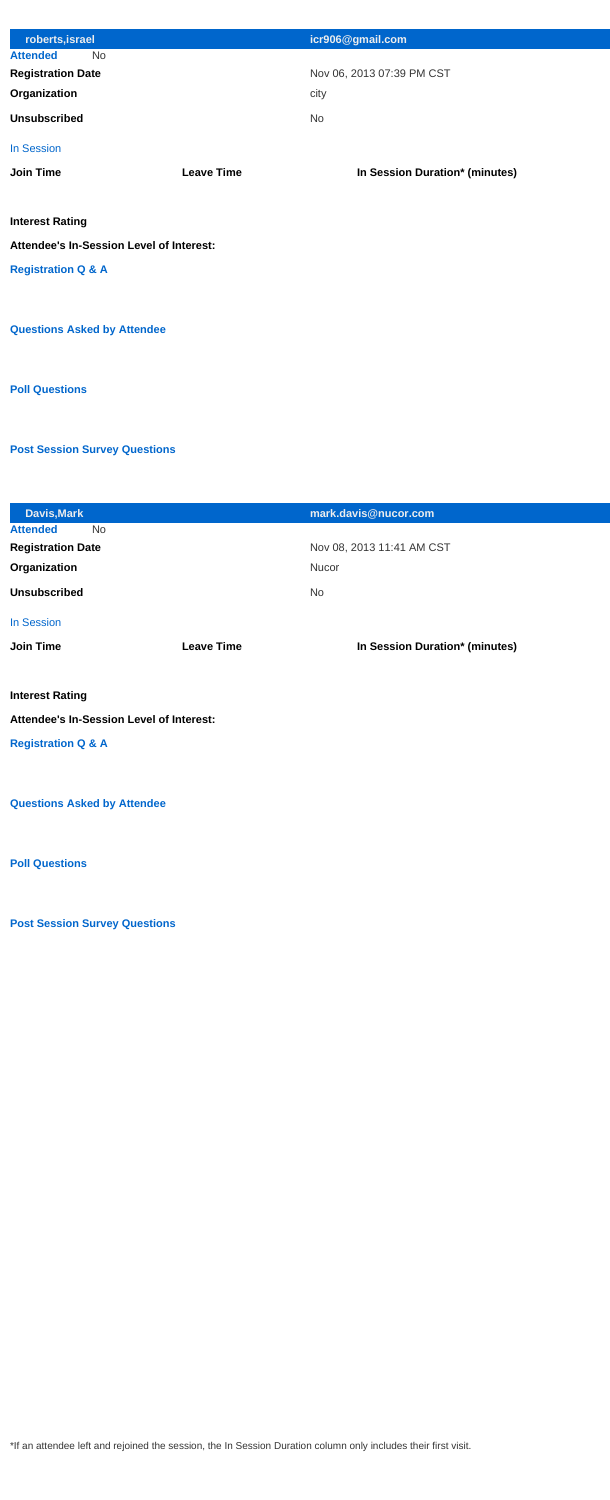| roberts, israel                                 |                   | icr906@gmail.com               |
|-------------------------------------------------|-------------------|--------------------------------|
| <b>Attended</b><br><b>No</b>                    |                   |                                |
| <b>Registration Date</b>                        |                   | Nov 06, 2013 07:39 PM CST      |
| Organization                                    |                   | city                           |
| <b>Unsubscribed</b>                             |                   | <b>No</b>                      |
| <b>In Session</b>                               |                   |                                |
| <b>Join Time</b>                                | <b>Leave Time</b> | In Session Duration* (minutes) |
|                                                 |                   |                                |
| <b>Interest Rating</b>                          |                   |                                |
| <b>Attendee's In-Session Level of Interest:</b> |                   |                                |
| <b>Registration Q &amp; A</b>                   |                   |                                |
|                                                 |                   |                                |
| <b>Questions Asked by Attendee</b>              |                   |                                |
|                                                 |                   |                                |
|                                                 |                   |                                |
| <b>Poll Questions</b>                           |                   |                                |

| Davis, Mark                              |                   | mark.davis@nucor.com           |
|------------------------------------------|-------------------|--------------------------------|
| <b>Attended</b><br><b>No</b>             |                   |                                |
| <b>Registration Date</b>                 |                   | Nov 08, 2013 11:41 AM CST      |
| Organization                             |                   | Nucor                          |
| <b>Unsubscribed</b>                      |                   | <b>No</b>                      |
| In Session                               |                   |                                |
| <b>Join Time</b>                         | <b>Leave Time</b> | In Session Duration* (minutes) |
|                                          |                   |                                |
| <b>Interest Rating</b>                   |                   |                                |
| Attendee's In-Session Level of Interest: |                   |                                |
| <b>Registration Q &amp; A</b>            |                   |                                |
|                                          |                   |                                |
| <b>Questions Asked by Attendee</b>       |                   |                                |

**Post Session Survey Questions**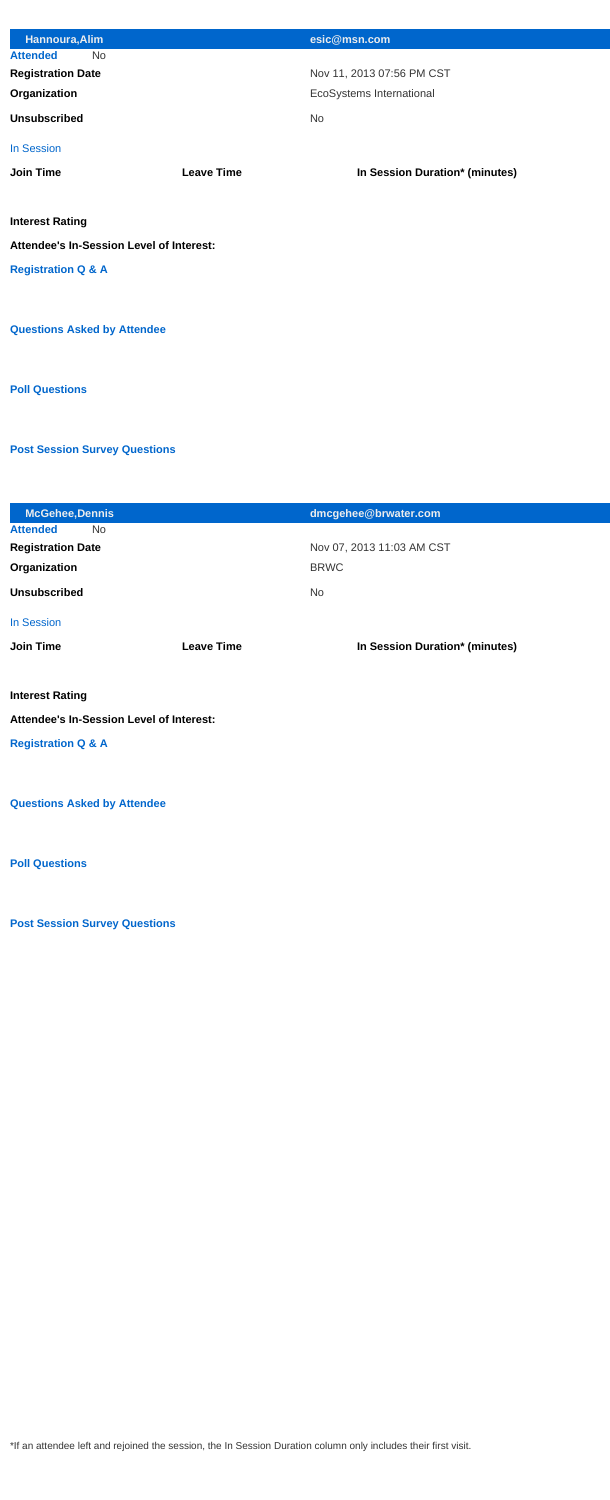| Hannoura, Alim                                  |                   | esic@msn.com                   |
|-------------------------------------------------|-------------------|--------------------------------|
| <b>Attended</b><br><b>No</b>                    |                   |                                |
| <b>Registration Date</b>                        |                   | Nov 11, 2013 07:56 PM CST      |
| Organization                                    |                   | EcoSystems International       |
| <b>Unsubscribed</b>                             |                   | <b>No</b>                      |
| In Session                                      |                   |                                |
| <b>Join Time</b>                                | <b>Leave Time</b> | In Session Duration* (minutes) |
|                                                 |                   |                                |
| <b>Interest Rating</b>                          |                   |                                |
| <b>Attendee's In-Session Level of Interest:</b> |                   |                                |
| <b>Registration Q &amp; A</b>                   |                   |                                |
|                                                 |                   |                                |
| <b>Questions Asked by Attendee</b>              |                   |                                |
| <b>Poll Questions</b>                           |                   |                                |

| <b>McGehee, Dennis</b>                          |                   | dmcgehee@brwater.com           |
|-------------------------------------------------|-------------------|--------------------------------|
| <b>Attended</b><br><b>No</b>                    |                   |                                |
| <b>Registration Date</b>                        |                   | Nov 07, 2013 11:03 AM CST      |
| Organization                                    |                   | <b>BRWC</b>                    |
| <b>Unsubscribed</b>                             |                   | <b>No</b>                      |
| In Session                                      |                   |                                |
| <b>Join Time</b>                                | <b>Leave Time</b> | In Session Duration* (minutes) |
|                                                 |                   |                                |
| <b>Interest Rating</b>                          |                   |                                |
| <b>Attendee's In-Session Level of Interest:</b> |                   |                                |
| <b>Registration Q &amp; A</b>                   |                   |                                |
|                                                 |                   |                                |
| <b>Questions Asked by Attendee</b>              |                   |                                |

**Post Session Survey Questions**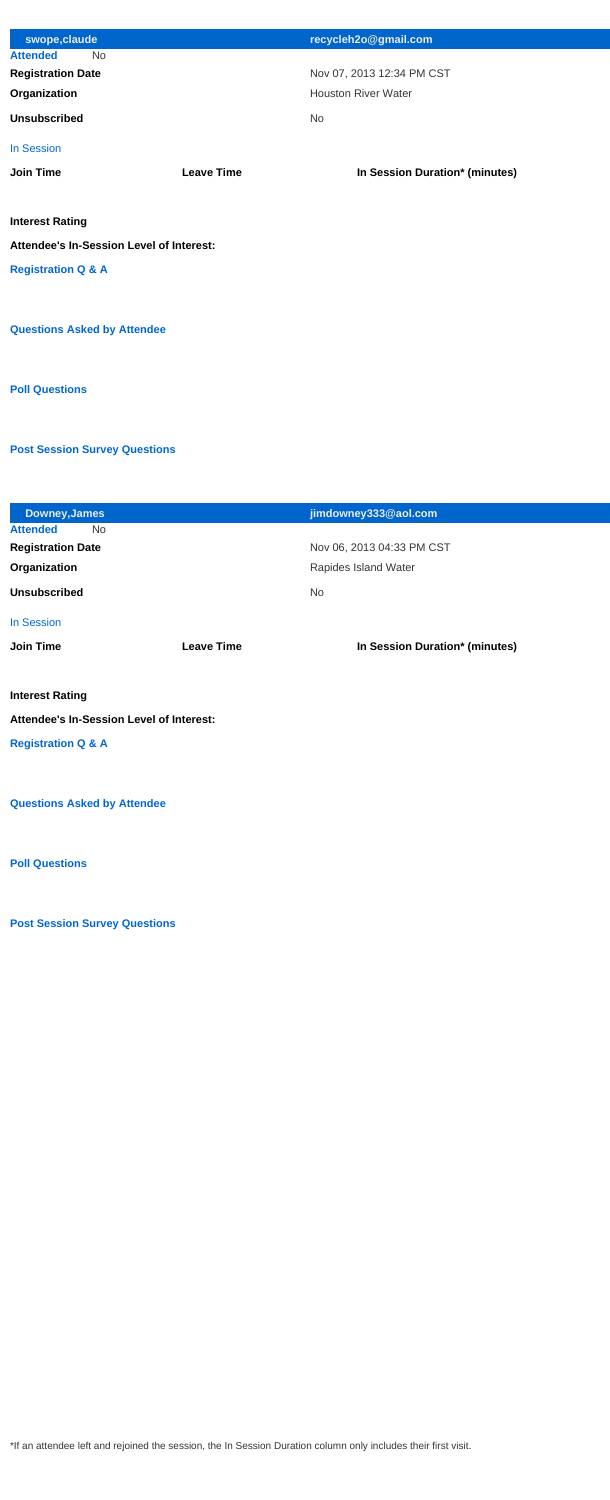| swope, claude                                   |                   | recycleh2o@gmail.com           |
|-------------------------------------------------|-------------------|--------------------------------|
| <b>Attended</b><br><b>No</b>                    |                   |                                |
| <b>Registration Date</b>                        |                   | Nov 07, 2013 12:34 PM CST      |
| Organization                                    |                   | <b>Houston River Water</b>     |
| <b>Unsubscribed</b>                             |                   | <b>No</b>                      |
| In Session                                      |                   |                                |
| <b>Join Time</b>                                | <b>Leave Time</b> | In Session Duration* (minutes) |
|                                                 |                   |                                |
| <b>Interest Rating</b>                          |                   |                                |
| <b>Attendee's In-Session Level of Interest:</b> |                   |                                |
| <b>Registration Q &amp; A</b>                   |                   |                                |
|                                                 |                   |                                |
|                                                 |                   |                                |
| <b>Questions Asked by Attendee</b>              |                   |                                |
|                                                 |                   |                                |
| <b>Poll Questions</b>                           |                   |                                |
|                                                 |                   |                                |

| <b>Downey, James</b>                            |                   | jimdowney333@aol.com           |
|-------------------------------------------------|-------------------|--------------------------------|
| <b>Attended</b><br><b>No</b>                    |                   |                                |
| <b>Registration Date</b>                        |                   | Nov 06, 2013 04:33 PM CST      |
| Organization                                    |                   | Rapides Island Water           |
| <b>Unsubscribed</b>                             |                   | <b>No</b>                      |
| <b>In Session</b>                               |                   |                                |
| <b>Join Time</b>                                | <b>Leave Time</b> | In Session Duration* (minutes) |
|                                                 |                   |                                |
| <b>Interest Rating</b>                          |                   |                                |
| <b>Attendee's In-Session Level of Interest:</b> |                   |                                |
| <b>Registration Q &amp; A</b>                   |                   |                                |
|                                                 |                   |                                |
|                                                 |                   |                                |

#### **Questions Asked by Attendee**

**Post Session Survey Questions**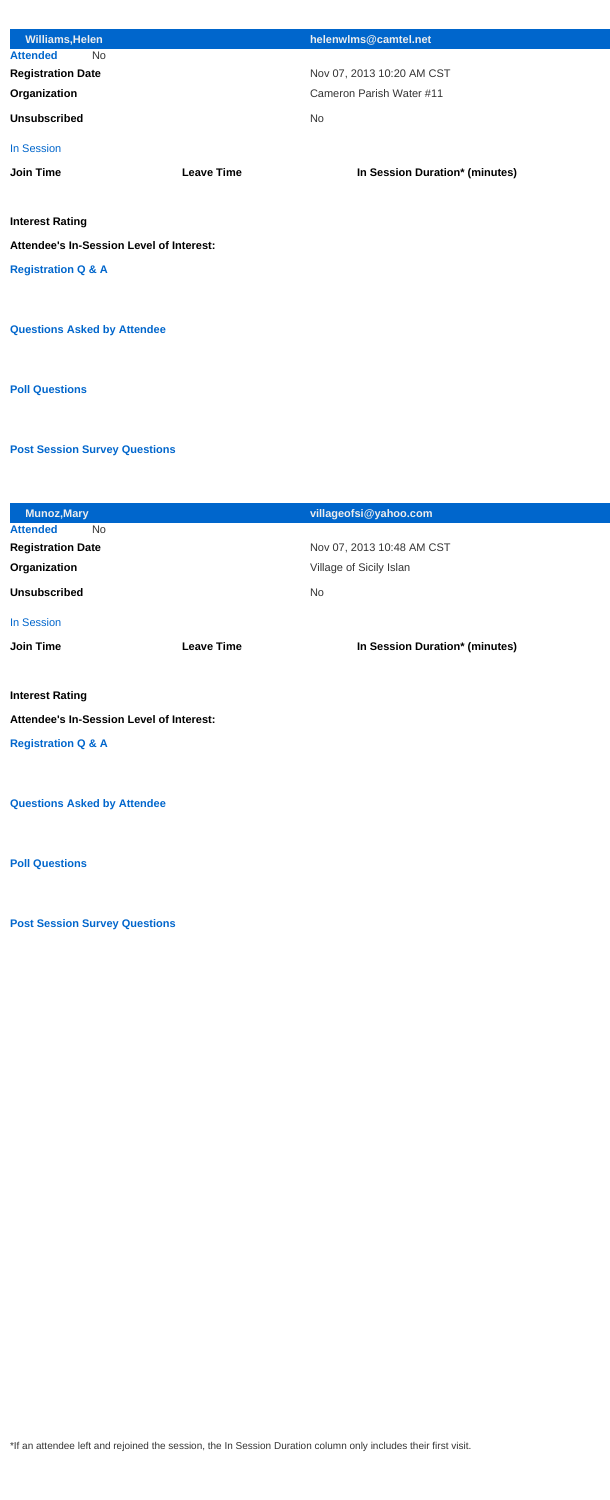| <b>Williams, Helen</b>                          |                   | helenwims@camtel.net           |
|-------------------------------------------------|-------------------|--------------------------------|
| <b>Attended</b><br><b>No</b>                    |                   |                                |
| <b>Registration Date</b>                        |                   | Nov 07, 2013 10:20 AM CST      |
| Organization                                    |                   | Cameron Parish Water #11       |
| <b>Unsubscribed</b>                             |                   | <b>No</b>                      |
| <b>In Session</b>                               |                   |                                |
| <b>Join Time</b>                                | <b>Leave Time</b> | In Session Duration* (minutes) |
|                                                 |                   |                                |
| <b>Interest Rating</b>                          |                   |                                |
| <b>Attendee's In-Session Level of Interest:</b> |                   |                                |
| <b>Registration Q &amp; A</b>                   |                   |                                |
|                                                 |                   |                                |
| <b>Questions Asked by Attendee</b>              |                   |                                |
|                                                 |                   |                                |
| <b>Poll Questions</b>                           |                   |                                |
|                                                 |                   |                                |

| <b>Munoz, Mary</b>                       |                   | villageofsi@yahoo.com          |
|------------------------------------------|-------------------|--------------------------------|
| <b>Attended</b><br><b>No</b>             |                   |                                |
| <b>Registration Date</b>                 |                   | Nov 07, 2013 10:48 AM CST      |
| Organization                             |                   | Village of Sicily Islan        |
| <b>Unsubscribed</b>                      |                   | <b>No</b>                      |
| <b>In Session</b>                        |                   |                                |
| <b>Join Time</b>                         | <b>Leave Time</b> | In Session Duration* (minutes) |
|                                          |                   |                                |
| <b>Interest Rating</b>                   |                   |                                |
| Attendee's In-Session Level of Interest: |                   |                                |
| <b>Registration Q &amp; A</b>            |                   |                                |
|                                          |                   |                                |
| <b>Questions Asked by Attendee</b>       |                   |                                |

**Post Session Survey Questions**